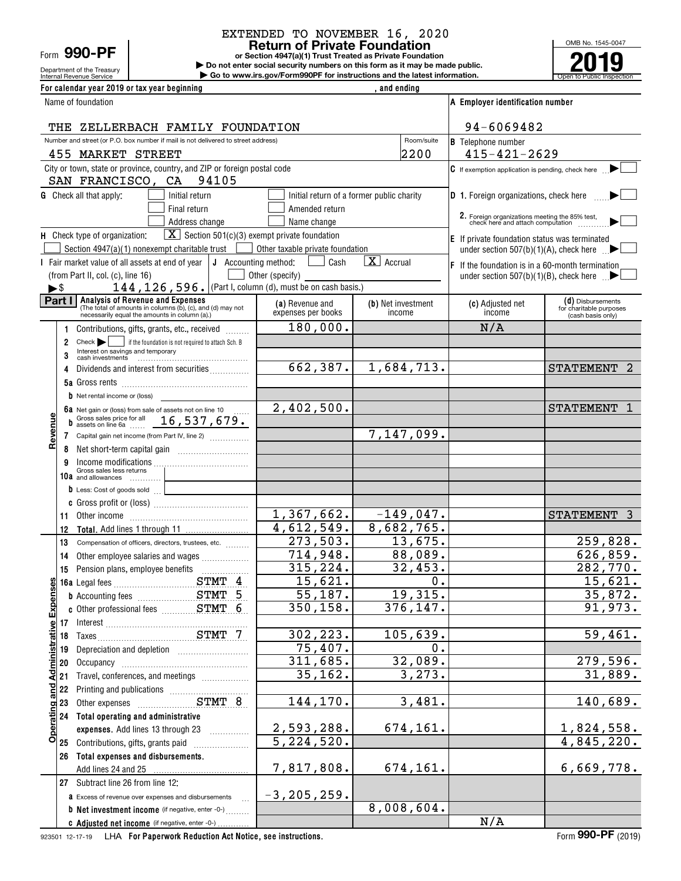Department of the Treasury<br>Internal Revenue Service Form **990-PF**

## EXTENDED TO NOVEMBER 16, 2020

**or Section 4947(a)(1) Trust Treated as Private Foundation Return of Private Foundation**

**| Do not enter social security numbers on this form as it may be made public. | Go to www.irs.gov/Form990PF for instructions and the latest information.**

OMB No. 1545-0047 Internal Revenue Service **Number 19th Construction Constructions and the latest information.** The Service of Public Inspection **2019**

| For calendar year 2019 or tax year beginning                                                                |                                        | , and ending                              |                                                                                  |                                                                   |
|-------------------------------------------------------------------------------------------------------------|----------------------------------------|-------------------------------------------|----------------------------------------------------------------------------------|-------------------------------------------------------------------|
| Name of foundation                                                                                          |                                        |                                           | A Employer identification number                                                 |                                                                   |
| THE ZELLERBACH FAMILY FOUNDATION                                                                            |                                        |                                           | 94-6069482                                                                       |                                                                   |
| Number and street (or P.O. box number if mail is not delivered to street address)                           |                                        | Room/suite                                | <b>B</b> Telephone number                                                        |                                                                   |
| 455 MARKET STREET                                                                                           |                                        | 2200                                      | $415 - 421 - 2629$                                                               |                                                                   |
| City or town, state or province, country, and ZIP or foreign postal code<br>SAN FRANCISCO, CA<br>94105      |                                        |                                           | $ C $ If exemption application is pending, check here                            |                                                                   |
| <b>G</b> Check all that apply:<br>Initial return                                                            |                                        | Initial return of a former public charity | D 1. Foreign organizations, check here                                           |                                                                   |
| Final return                                                                                                | Amended return                         |                                           |                                                                                  |                                                                   |
| Address change                                                                                              | Name change                            |                                           | 2. Foreign organizations meeting the 85% test, check here and attach computation |                                                                   |
| $\boxed{\mathbf{X}}$ Section 501(c)(3) exempt private foundation<br>H Check type of organization:           |                                        |                                           | <b>E</b> If private foundation status was terminated                             |                                                                   |
| Section $4947(a)(1)$ nonexempt charitable trust $\vert$                                                     | Other taxable private foundation       |                                           | under section $507(b)(1)(A)$ , check here                                        |                                                                   |
| I Fair market value of all assets at end of year                                                            | J Accounting method:<br>Cash           | $\overline{\mathbf{X}}$ Accrual           | $F$ If the foundation is in a 60-month termination                               |                                                                   |
| (from Part II, col. (c), line 16)<br>144, 126, 596. (Part I, column (d), must be on cash basis.)<br>►\$     | Other (specify) ______                 |                                           | under section $507(b)(1)(B)$ , check here $\Box$                                 |                                                                   |
| <b>Analysis of Revenue and Expenses</b><br>Part I                                                           | (a) Revenue and                        | (b) Net investment                        | (c) Adjusted net                                                                 |                                                                   |
| (The total of amounts in columns (b), (c), and (d) may not<br>necessarily equal the amounts in column (a).) | expenses per books                     | income                                    | income                                                                           | (d) Disbursements<br>for charitable purposes<br>(cash basis only) |
| Contributions, gifts, grants, etc., received<br>1                                                           | 180,000.                               |                                           | N/A                                                                              |                                                                   |
| if the foundation is not required to attach Sch. B<br>$Check$ $\blacktriangleright$<br>2                    |                                        |                                           |                                                                                  |                                                                   |
| Interest on savings and temporary<br>cash investments<br>3                                                  | 662,387.                               | 1,684,713.                                |                                                                                  | -2                                                                |
| Dividends and interest from securities<br>4                                                                 |                                        |                                           |                                                                                  | <b>STATEMENT</b>                                                  |
| <b>b</b> Net rental income or (loss)                                                                        |                                        |                                           |                                                                                  |                                                                   |
| 6a Net gain or (loss) from sale of assets not on line 10                                                    | 2,402,500.                             |                                           |                                                                                  | <b>STATEMENT</b><br>-1                                            |
| Gross sales price for all $16,537,679$ .<br>D                                                               |                                        |                                           |                                                                                  |                                                                   |
| Revenu<br>7 Capital gain net income (from Part IV, line 2)                                                  |                                        | 7,147,099.                                |                                                                                  |                                                                   |
| 8                                                                                                           |                                        |                                           |                                                                                  |                                                                   |
| 9                                                                                                           |                                        |                                           |                                                                                  |                                                                   |
| Gross sales less returns<br>10a and allowances                                                              |                                        |                                           |                                                                                  |                                                                   |
| <b>b</b> Less: Cost of goods sold                                                                           |                                        |                                           |                                                                                  |                                                                   |
|                                                                                                             |                                        |                                           |                                                                                  |                                                                   |
|                                                                                                             | 1,367,662.<br>$\overline{4,612,549}$ . | $-149,047$ .<br>8,682,765.                |                                                                                  | STATEMENT 3                                                       |
| 12<br>13<br>Compensation of officers, directors, trustees, etc.                                             | 273,503.                               | 13,675.                                   |                                                                                  | 259,828.                                                          |
| Other employee salaries and wages<br>14                                                                     | 714,948.                               | 88,089.                                   |                                                                                  | 626,859.                                                          |
| 15                                                                                                          | 315, 224.                              | 32,453.                                   |                                                                                  | 282,770.                                                          |
| 있                                                                                                           | 15,621                                 | 0                                         |                                                                                  | 15,621.                                                           |
| <b>b</b> Accounting fees <b>EXALL</b> 5                                                                     | 55,187.                                | 19,315.                                   |                                                                                  | 35,872.                                                           |
| <b>Administrative Expens</b>                                                                                | 350,158.                               | 376,147.                                  |                                                                                  | 91,973.                                                           |
|                                                                                                             |                                        |                                           |                                                                                  |                                                                   |
|                                                                                                             | 302,223.                               | 105,639.                                  |                                                                                  | 59,461.                                                           |
| Depreciation and depletion [11] [11] Depreciation and depletion<br>19                                       | 75,407.                                | 0.                                        |                                                                                  |                                                                   |
| 20                                                                                                          | 311,685.                               | 32,089.                                   |                                                                                  | 279,596.                                                          |
| Travel, conferences, and meetings<br>21                                                                     | 35,162.                                | 3,273.                                    |                                                                                  | 31,889.                                                           |
| and<br>Fi<br>22<br>23                                                                                       | 144,170.                               | 3,481.                                    |                                                                                  | 140,689.                                                          |
| Operating<br>24 Total operating and administrative                                                          |                                        |                                           |                                                                                  |                                                                   |
| expenses. Add lines 13 through 23                                                                           | 2,593,288.                             | 674,161.                                  |                                                                                  | 1,824,558.                                                        |
| Contributions, gifts, grants paid<br>25                                                                     | 5, 224, 520.                           |                                           |                                                                                  | 4,845,220.                                                        |
| Total expenses and disbursements.<br>26                                                                     |                                        |                                           |                                                                                  |                                                                   |
| Add lines 24 and 25                                                                                         | 7,817,808.                             | 674,161.                                  |                                                                                  | 6,669,778.                                                        |
| 27 Subtract line 26 from line 12:                                                                           |                                        |                                           |                                                                                  |                                                                   |
| a Excess of revenue over expenses and disbursements                                                         | $-3, 205, 259.$                        |                                           |                                                                                  |                                                                   |
| <b>b</b> Net investment income (if negative, enter -0-)                                                     |                                        | 8,008,604.                                |                                                                                  |                                                                   |
| C Adjusted net income (if negative, enter -0-).                                                             |                                        |                                           | N/A                                                                              |                                                                   |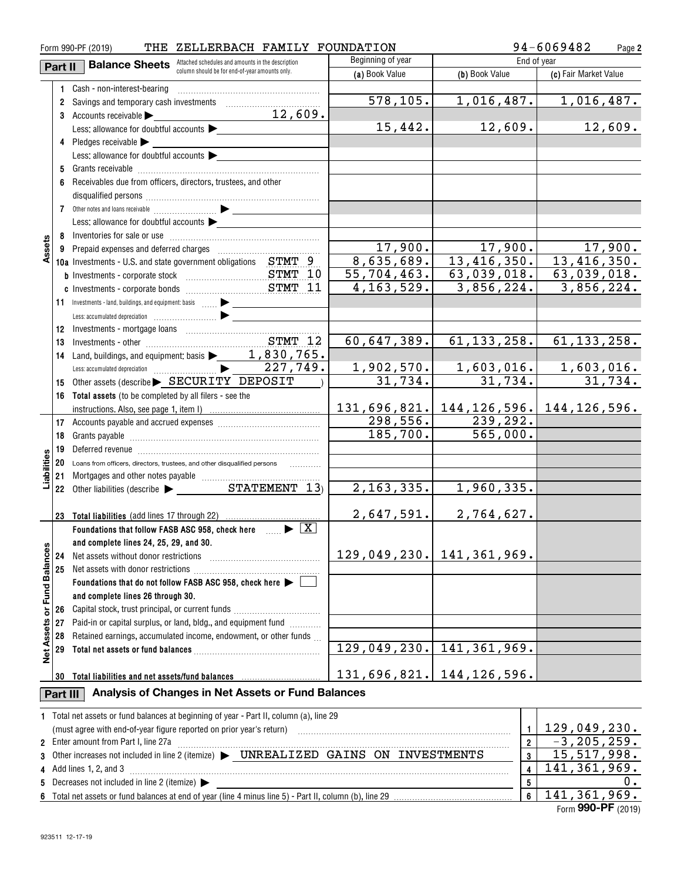| 94-6069482<br>ZELLERBACH FAMILY FOUNDATION<br>Form 990-PF (2019)<br>THE<br>Page 2 |          |                                                                                                                                                                                                                                |                    |                                        |                              |  |  |
|-----------------------------------------------------------------------------------|----------|--------------------------------------------------------------------------------------------------------------------------------------------------------------------------------------------------------------------------------|--------------------|----------------------------------------|------------------------------|--|--|
|                                                                                   | Part II  | Attached schedules and amounts in the description<br><b>Balance Sheets</b>                                                                                                                                                     | End of year        |                                        |                              |  |  |
|                                                                                   |          | column should be for end-of-year amounts only.                                                                                                                                                                                 | (a) Book Value     | (b) Book Value                         | (c) Fair Market Value        |  |  |
|                                                                                   |          | 1 Cash - non-interest-bearing                                                                                                                                                                                                  |                    |                                        |                              |  |  |
|                                                                                   |          | 2 Savings and temporary cash investments                                                                                                                                                                                       | 578, 105.          | 1,016,487.                             | 1,016,487.                   |  |  |
|                                                                                   |          | 12,609.<br>3 Accounts receivable                                                                                                                                                                                               |                    |                                        |                              |  |  |
|                                                                                   |          | Less: allowance for doubtful accounts                                                                                                                                                                                          | 15,442.            | 12,609.                                | 12,609.                      |  |  |
|                                                                                   |          | 4 Pledges receivable                                                                                                                                                                                                           |                    |                                        |                              |  |  |
|                                                                                   |          | Less: allowance for doubtful accounts                                                                                                                                                                                          |                    |                                        |                              |  |  |
|                                                                                   | 5        |                                                                                                                                                                                                                                |                    |                                        |                              |  |  |
|                                                                                   | 6        | Receivables due from officers, directors, trustees, and other                                                                                                                                                                  |                    |                                        |                              |  |  |
|                                                                                   |          |                                                                                                                                                                                                                                |                    |                                        |                              |  |  |
|                                                                                   |          |                                                                                                                                                                                                                                |                    |                                        |                              |  |  |
|                                                                                   |          | Less: allowance for doubtful accounts                                                                                                                                                                                          |                    |                                        |                              |  |  |
|                                                                                   |          |                                                                                                                                                                                                                                |                    |                                        |                              |  |  |
| Assets                                                                            |          |                                                                                                                                                                                                                                | 17,900.            | 17,900.                                | 17,900.                      |  |  |
|                                                                                   |          | 10a Investments - U.S. and state government obligations STMT 9                                                                                                                                                                 | 8,635,689.         | 13,416,350.                            | 13,416,350.                  |  |  |
|                                                                                   |          |                                                                                                                                                                                                                                | <u>55,704,463.</u> | 63,039,018.                            | 63,039,018.                  |  |  |
|                                                                                   |          |                                                                                                                                                                                                                                | 4, 163, 529.       | 3,856,224.                             | 3,856,224.                   |  |  |
|                                                                                   |          |                                                                                                                                                                                                                                |                    |                                        |                              |  |  |
|                                                                                   |          | 11 Investments - land, buildings, and equipment: basis  > _______________                                                                                                                                                      |                    |                                        |                              |  |  |
|                                                                                   |          |                                                                                                                                                                                                                                |                    |                                        |                              |  |  |
|                                                                                   | 12       |                                                                                                                                                                                                                                | 60,647,389.        | 61, 133, 258.                          |                              |  |  |
|                                                                                   | 13       |                                                                                                                                                                                                                                |                    |                                        | 61, 133, 258.                |  |  |
|                                                                                   | 14       |                                                                                                                                                                                                                                |                    |                                        |                              |  |  |
|                                                                                   |          | 227,749.                                                                                                                                                                                                                       | <u>1,902,570.</u>  | $\frac{1,603,016.}{31,734.}$           | $\frac{1,603,016.}{31,734.}$ |  |  |
|                                                                                   | 15       | Other assets (describe > SECURITY DEPOSIT                                                                                                                                                                                      | 31,734.            |                                        |                              |  |  |
|                                                                                   | 16       | Total assets (to be completed by all filers - see the                                                                                                                                                                          |                    |                                        |                              |  |  |
|                                                                                   |          |                                                                                                                                                                                                                                |                    | 131,696,821. 144,126,596. 144,126,596. |                              |  |  |
|                                                                                   |          |                                                                                                                                                                                                                                | 298,556.           | 239,292.                               |                              |  |  |
|                                                                                   | 18       |                                                                                                                                                                                                                                | 185,700.           | 565,000.                               |                              |  |  |
|                                                                                   | 19       | Deferred revenue imminimum contracts and the contracts of the contracts of the contracts of the contracts of the contracts of the contracts of the contracts of the contracts of the contracts of the contracts of the contrac |                    |                                        |                              |  |  |
| Liabilities                                                                       | 20       | Loans from officers, directors, trustees, and other disqualified persons [                                                                                                                                                     |                    |                                        |                              |  |  |
|                                                                                   | 21       |                                                                                                                                                                                                                                |                    |                                        |                              |  |  |
|                                                                                   |          | 22 Other liabilities (describe $\triangleright$ STATEMENT 13)                                                                                                                                                                  | 2, 163, 335.       | 1,960,335.                             |                              |  |  |
|                                                                                   |          |                                                                                                                                                                                                                                |                    |                                        |                              |  |  |
|                                                                                   | 23       | <b>Total liabilities</b> (add lines 17 through 22)                                                                                                                                                                             | 2,647,591.         | 2,764,627.                             |                              |  |  |
|                                                                                   |          | Foundations that follow FASB ASC 958, check here $\Box$                                                                                                                                                                        |                    |                                        |                              |  |  |
|                                                                                   |          | and complete lines 24, 25, 29, and 30.                                                                                                                                                                                         |                    |                                        |                              |  |  |
|                                                                                   | 24       | Net assets without donor restrictions                                                                                                                                                                                          | 129,049,230.       | 141,361,969.                           |                              |  |  |
| Net Assets or Fund Balances                                                       | 25       | Net assets with donor restrictions                                                                                                                                                                                             |                    |                                        |                              |  |  |
|                                                                                   |          | Foundations that do not follow FASB ASC 958, check here                                                                                                                                                                        |                    |                                        |                              |  |  |
|                                                                                   |          | and complete lines 26 through 30.                                                                                                                                                                                              |                    |                                        |                              |  |  |
|                                                                                   | 26       | Capital stock, trust principal, or current funds                                                                                                                                                                               |                    |                                        |                              |  |  |
|                                                                                   | 27       | Paid-in or capital surplus, or land, bldg., and equipment fund <i>[[[[[[[[[[[[[[[]]]]</i>                                                                                                                                      |                    |                                        |                              |  |  |
|                                                                                   | 28       | Retained earnings, accumulated income, endowment, or other funds                                                                                                                                                               |                    |                                        |                              |  |  |
|                                                                                   | 29       |                                                                                                                                                                                                                                | 129,049,230.       | 141, 361, 969.                         |                              |  |  |
|                                                                                   |          |                                                                                                                                                                                                                                |                    |                                        |                              |  |  |
|                                                                                   | 30       | Total liabilities and net assets/fund balances                                                                                                                                                                                 | 131,696,821.       | 144, 126, 596.                         |                              |  |  |
|                                                                                   | Part III | Analysis of Changes in Net Assets or Fund Balances                                                                                                                                                                             |                    |                                        |                              |  |  |
|                                                                                   |          | 1 Total net assets or fund balances at beginning of year - Part II, column (a), line 29                                                                                                                                        |                    |                                        |                              |  |  |
|                                                                                   |          | (must agree with end-of-year figure reported on prior year's return) with an accommutation and agree with end-of-year figure reported on prior year's return)                                                                  |                    | 1                                      | 129,049,230.                 |  |  |
|                                                                                   |          | 2 Enter amount from Part I, line 27a                                                                                                                                                                                           |                    | $\overline{\mathbf{2}}$                | $-3, 205, 259.$              |  |  |
|                                                                                   |          | 3 Other increases not included in line 2 (itemize) > UNREALIZED GAINS ON INVESTMENTS                                                                                                                                           |                    | 3                                      | 15, 517, 998.                |  |  |
|                                                                                   |          | 4 Add lines 1, 2, and 3                                                                                                                                                                                                        |                    | 4                                      | 141, 361, 969.               |  |  |
|                                                                                   |          | 5 Decreases not included in line 2 (itemize) >                                                                                                                                                                                 |                    | 5                                      | υ.                           |  |  |
|                                                                                   |          |                                                                                                                                                                                                                                |                    | $6\phantom{a}$                         | 141, 361, 969.               |  |  |

| 5 Decreases not included in line 2 (itemize) $\blacktriangleright$ |  |
|--------------------------------------------------------------------|--|
|                                                                    |  |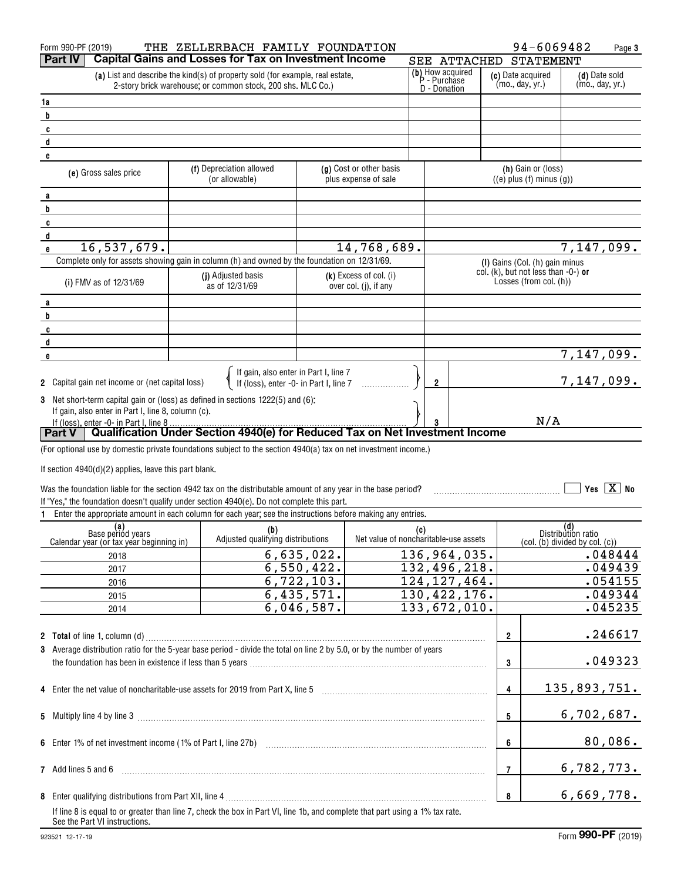|        | Form 990-PF (2019)                                      | THE ZELLERBACH FAMILY FOUNDATION                                                                                                                                                                                           |              |                                                   |     |              |                                  |                | 94-6069482                                                                                     |                           | Page 3                   |
|--------|---------------------------------------------------------|----------------------------------------------------------------------------------------------------------------------------------------------------------------------------------------------------------------------------|--------------|---------------------------------------------------|-----|--------------|----------------------------------|----------------|------------------------------------------------------------------------------------------------|---------------------------|--------------------------|
|        | Part IV                                                 | <b>Capital Gains and Losses for Tax on Investment Income</b>                                                                                                                                                               |              |                                                   |     |              | SEE ATTACHED                     |                | <b>STATEMENT</b>                                                                               |                           |                          |
|        |                                                         | (a) List and describe the kind(s) of property sold (for example, real estate,                                                                                                                                              |              |                                                   |     |              | (b) How acquired<br>P - Purchase |                | (c) Date acquired                                                                              |                           | (d) Date sold            |
|        |                                                         | 2-story brick warehouse; or common stock, 200 shs. MLC Co.)                                                                                                                                                                |              |                                                   |     | D - Donation |                                  |                | (mo., day, yr.)                                                                                |                           | (mo., day, yr.)          |
| 1a     |                                                         |                                                                                                                                                                                                                            |              |                                                   |     |              |                                  |                |                                                                                                |                           |                          |
| b      |                                                         |                                                                                                                                                                                                                            |              |                                                   |     |              |                                  |                |                                                                                                |                           |                          |
| C      |                                                         |                                                                                                                                                                                                                            |              |                                                   |     |              |                                  |                |                                                                                                |                           |                          |
| d<br>e |                                                         |                                                                                                                                                                                                                            |              |                                                   |     |              |                                  |                |                                                                                                |                           |                          |
|        |                                                         | (f) Depreciation allowed                                                                                                                                                                                                   |              | (g) Cost or other basis                           |     |              |                                  |                | (h) Gain or (loss)                                                                             |                           |                          |
|        | (e) Gross sales price                                   | (or allowable)                                                                                                                                                                                                             |              | plus expense of sale                              |     |              |                                  |                | $((e)$ plus $(f)$ minus $(g)$ )                                                                |                           |                          |
| a      |                                                         |                                                                                                                                                                                                                            |              |                                                   |     |              |                                  |                |                                                                                                |                           |                          |
| b      |                                                         |                                                                                                                                                                                                                            |              |                                                   |     |              |                                  |                |                                                                                                |                           |                          |
| C      |                                                         |                                                                                                                                                                                                                            |              |                                                   |     |              |                                  |                |                                                                                                |                           |                          |
| d      |                                                         |                                                                                                                                                                                                                            |              |                                                   |     |              |                                  |                |                                                                                                |                           |                          |
| e      | 16,537,679.                                             |                                                                                                                                                                                                                            |              | 14,768,689.                                       |     |              |                                  |                |                                                                                                |                           | $\overline{7,147,099}$ . |
|        |                                                         | Complete only for assets showing gain in column (h) and owned by the foundation on 12/31/69.                                                                                                                               |              |                                                   |     |              |                                  |                | (I) Gains (Col. (h) gain minus<br>col. (k), but not less than -0-) or                          |                           |                          |
|        | (i) FMV as of 12/31/69                                  | (j) Adjusted basis<br>as of 12/31/69                                                                                                                                                                                       |              | $(k)$ Excess of col. (i)<br>over col. (j), if any |     |              |                                  |                | Losses (from col. (h))                                                                         |                           |                          |
|        |                                                         |                                                                                                                                                                                                                            |              |                                                   |     |              |                                  |                |                                                                                                |                           |                          |
| a<br>b |                                                         |                                                                                                                                                                                                                            |              |                                                   |     |              |                                  |                |                                                                                                |                           |                          |
| C      |                                                         |                                                                                                                                                                                                                            |              |                                                   |     |              |                                  |                |                                                                                                |                           |                          |
| d      |                                                         |                                                                                                                                                                                                                            |              |                                                   |     |              |                                  |                |                                                                                                |                           |                          |
| e      |                                                         |                                                                                                                                                                                                                            |              |                                                   |     |              |                                  |                |                                                                                                |                           | $\overline{7,}147,099.$  |
|        |                                                         |                                                                                                                                                                                                                            |              |                                                   |     |              |                                  |                |                                                                                                |                           |                          |
|        | 2 Capital gain net income or (net capital loss)         | If gain, also enter in Part I, line 7<br>If (loss), enter -0- in Part I, line 7                                                                                                                                            |              |                                                   |     | 2            |                                  |                |                                                                                                |                           | 7,147,099.               |
|        |                                                         | 3 Net short-term capital gain or (loss) as defined in sections 1222(5) and (6):                                                                                                                                            |              |                                                   |     |              |                                  |                |                                                                                                |                           |                          |
|        | If gain, also enter in Part I, line 8, column (c).      |                                                                                                                                                                                                                            |              |                                                   |     |              |                                  |                |                                                                                                |                           |                          |
|        | If (loss), enter -0- in Part I, line 8                  |                                                                                                                                                                                                                            |              |                                                   |     |              |                                  |                | N/A                                                                                            |                           |                          |
|        | <b>Part V</b>                                           | Qualification Under Section 4940(e) for Reduced Tax on Net Investment Income                                                                                                                                               |              |                                                   |     |              |                                  |                |                                                                                                |                           |                          |
|        |                                                         | (For optional use by domestic private foundations subject to the section 4940(a) tax on net investment income.)                                                                                                            |              |                                                   |     |              |                                  |                |                                                                                                |                           |                          |
|        | If section $4940(d)(2)$ applies, leave this part blank. |                                                                                                                                                                                                                            |              |                                                   |     |              |                                  |                |                                                                                                |                           |                          |
|        |                                                         | Was the foundation liable for the section 4942 tax on the distributable amount of any year in the base period?                                                                                                             |              |                                                   |     |              |                                  |                |                                                                                                |                           | Yes $\boxed{X}$ No       |
|        |                                                         | If "Yes," the foundation doesn't qualify under section 4940(e). Do not complete this part.                                                                                                                                 |              |                                                   |     |              |                                  |                |                                                                                                |                           |                          |
|        |                                                         | Enter the appropriate amount in each column for each year; see the instructions before making any entries.                                                                                                                 |              |                                                   |     |              |                                  |                |                                                                                                |                           |                          |
|        | (a)<br>Base period years                                | (b)                                                                                                                                                                                                                        |              |                                                   | (c) |              |                                  |                |                                                                                                | (d)<br>Distribution ratio |                          |
|        | Calendar year (or tax year beginning in)                | Adjusted qualifying distributions                                                                                                                                                                                          |              | Net value of noncharitable-use assets             |     |              |                                  |                | $\left(\text{col.} \left(\text{b}\right) \text{ divided by col.} \left(\text{c}\right)\right)$ |                           |                          |
|        | 2018                                                    |                                                                                                                                                                                                                            | 6,635,022.   |                                                   |     |              | 136,964,035.                     |                |                                                                                                |                           | .048444                  |
|        | 2017                                                    |                                                                                                                                                                                                                            | 6,550,422.   |                                                   |     |              | 132,496,218.                     |                |                                                                                                |                           | .049439                  |
|        | 2016                                                    |                                                                                                                                                                                                                            | 6, 722, 103. |                                                   |     |              | $\overline{124}$ , 127, 464.     |                |                                                                                                |                           | .054155                  |
|        | 2015                                                    |                                                                                                                                                                                                                            | 6,435,571.   |                                                   |     |              | 130, 422, 176.                   |                |                                                                                                |                           | .049344                  |
|        | 2014                                                    |                                                                                                                                                                                                                            | 6,046,587.   |                                                   |     |              | 133,672,010.                     |                |                                                                                                |                           | .045235                  |
|        |                                                         |                                                                                                                                                                                                                            |              |                                                   |     |              |                                  |                |                                                                                                |                           |                          |
|        |                                                         | 3 Average distribution ratio for the 5-year base period - divide the total on line 2 by 5.0, or by the number of years                                                                                                     |              |                                                   |     |              |                                  | $\overline{2}$ |                                                                                                |                           | .246617                  |
|        |                                                         |                                                                                                                                                                                                                            |              |                                                   |     |              |                                  |                |                                                                                                |                           | .049323                  |
|        |                                                         | the foundation has been in existence if less than 5 years [11] matter content to the foundation has been in existence if less than 5 years [11] matter content content to the foundation has been in existence if $\alpha$ |              |                                                   |     |              |                                  | 3              |                                                                                                |                           |                          |
|        |                                                         | 4 Enter the net value of noncharitable-use assets for 2019 from Part X, line 5 [2019] [2010] The net value of noncharitable-use assets for 2019 from Part X, line 5                                                        |              |                                                   |     |              |                                  | $\overline{4}$ |                                                                                                |                           | 135,893,751.             |
|        |                                                         |                                                                                                                                                                                                                            |              |                                                   |     |              |                                  |                |                                                                                                |                           |                          |
|        |                                                         |                                                                                                                                                                                                                            |              |                                                   |     |              |                                  | 5              |                                                                                                |                           | 6,702,687.               |
|        |                                                         |                                                                                                                                                                                                                            |              |                                                   |     |              |                                  |                |                                                                                                |                           |                          |
|        |                                                         |                                                                                                                                                                                                                            |              |                                                   |     |              |                                  | 6              |                                                                                                |                           | 80,086.                  |
|        |                                                         |                                                                                                                                                                                                                            |              |                                                   |     |              |                                  |                |                                                                                                |                           |                          |
|        | 7 Add lines 5 and 6                                     |                                                                                                                                                                                                                            |              |                                                   |     |              |                                  | 7              |                                                                                                |                           | 6,782,773.               |
|        |                                                         |                                                                                                                                                                                                                            |              |                                                   |     |              |                                  |                |                                                                                                |                           |                          |
|        |                                                         |                                                                                                                                                                                                                            |              |                                                   |     |              |                                  | 8              |                                                                                                |                           | 6,669,778.               |
|        | See the Part VI instructions.                           | If line 8 is equal to or greater than line 7, check the box in Part VI, line 1b, and complete that part using a 1% tax rate.                                                                                               |              |                                                   |     |              |                                  |                |                                                                                                |                           |                          |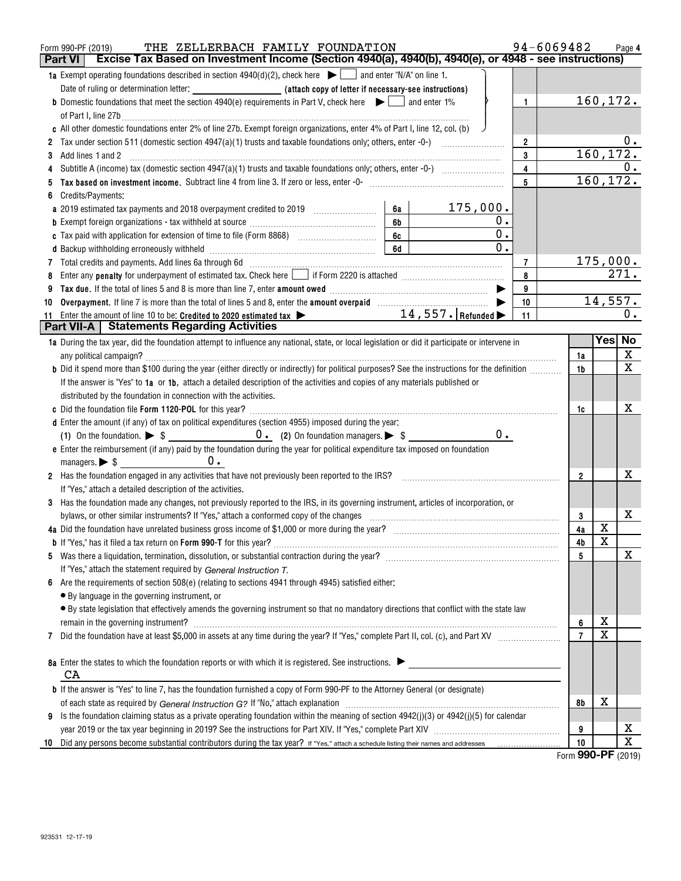|    | THE ZELLERBACH FAMILY FOUNDATION<br>Form 990-PF (2019)                                                                                          |                | 94-6069482     |    |                         | Page 4    |
|----|-------------------------------------------------------------------------------------------------------------------------------------------------|----------------|----------------|----|-------------------------|-----------|
|    | Excise Tax Based on Investment Income (Section 4940(a), 4940(b), 4940(e), or 4948 - see instructions)<br>Part VI                                |                |                |    |                         |           |
|    | <b>1a</b> Exempt operating foundations described in section $4940(d)(2)$ , check here $\Box$ and enter "N/A" on line 1.                         |                |                |    |                         |           |
|    |                                                                                                                                                 |                |                |    |                         |           |
|    | <b>b</b> Domestic foundations that meet the section 4940(e) requirements in Part V, check here $\bullet$ $\Box$ and enter 1%                    | $\mathbf{1}$   |                |    |                         | 160,172.  |
|    | of Part I, line 27b $\ldots$                                                                                                                    |                |                |    |                         |           |
|    | c All other domestic foundations enter 2% of line 27b. Exempt foreign organizations, enter 4% of Part I, line 12, col. (b)                      |                |                |    |                         |           |
|    | 2 Tax under section 511 (domestic section $4947(a)(1)$ trusts and taxable foundations only; others, enter -0-) $\ldots$                         | $\overline{2}$ |                |    |                         | $0$ .     |
|    |                                                                                                                                                 | $\mathbf{3}$   |                |    |                         | 160,172.  |
|    |                                                                                                                                                 | $\overline{4}$ |                |    |                         | 0.        |
|    |                                                                                                                                                 | 5              |                |    |                         | 160, 172. |
|    | Credits/Payments:                                                                                                                               |                |                |    |                         |           |
|    | 175,000.<br>6а                                                                                                                                  |                |                |    |                         |           |
|    | 0.<br>6b                                                                                                                                        |                |                |    |                         |           |
|    | 0.<br>6c                                                                                                                                        |                |                |    |                         |           |
|    | 0.<br>6d                                                                                                                                        |                |                |    |                         |           |
|    | 7 Total credits and payments. Add lines 6a through 6d [11] [11] Total Conservation material credits and payments. Add lines 6a through 6d       | 7              |                |    |                         | 175,000.  |
|    |                                                                                                                                                 | 8              |                |    |                         | 271.      |
|    |                                                                                                                                                 | 9              |                |    |                         |           |
| 10 |                                                                                                                                                 | 10             |                |    |                         | 14,557.   |
|    | $14$ , $557$ . $\vert$ Refunded $\blacktriangleright$<br>11 Enter the amount of line 10 to be: Credited to 2020 estimated tax >                 | 11             |                |    |                         | 0.        |
|    | <b>Part VII-A   Statements Regarding Activities</b>                                                                                             |                |                |    |                         |           |
|    | 1a During the tax year, did the foundation attempt to influence any national, state, or local legislation or did it participate or intervene in |                |                |    | Yes No                  |           |
|    | any political campaign?                                                                                                                         |                |                | 1a |                         | X         |
|    | b Did it spend more than \$100 during the year (either directly or indirectly) for political purposes? See the instructions for the definition  |                | 1b             |    |                         | X         |
|    | If the answer is "Yes" to 1a or 1b, attach a detailed description of the activities and copies of any materials published or                    |                |                |    |                         |           |
|    | distributed by the foundation in connection with the activities.                                                                                |                |                |    |                         |           |
|    |                                                                                                                                                 |                | 1c             |    |                         | x         |
|    | d Enter the amount (if any) of tax on political expenditures (section 4955) imposed during the year:                                            |                |                |    |                         |           |
|    | $0$ .                                                                                                                                           |                |                |    |                         |           |
|    | e Enter the reimbursement (if any) paid by the foundation during the year for political expenditure tax imposed on foundation                   |                |                |    |                         |           |
|    | managers. $\triangleright$ \$ $\_\_\_\_\_\_\_\_\_\_\_\_\_\_\_\_\_\_\_\_\_\_\_\_\_\_\_\_\_$<br>$0$ .                                             |                |                |    |                         |           |
|    | 2 Has the foundation engaged in any activities that have not previously been reported to the IRS?                                               |                | $\overline{2}$ |    |                         | x         |
|    | If "Yes," attach a detailed description of the activities.                                                                                      |                |                |    |                         |           |
|    | 3 Has the foundation made any changes, not previously reported to the IRS, in its governing instrument, articles of incorporation, or           |                |                |    |                         |           |
|    | bylaws, or other similar instruments? If "Yes," attach a conformed copy of the changes                                                          |                | 3              |    |                         | x         |
|    |                                                                                                                                                 |                | 4a             |    | X                       |           |
|    |                                                                                                                                                 |                | 4b             |    | $\overline{\mathbf{x}}$ |           |
|    |                                                                                                                                                 |                | 5              |    |                         | х         |
|    | If "Yes," attach the statement required by General Instruction T.                                                                               |                |                |    |                         |           |
| 6  | Are the requirements of section 508(e) (relating to sections 4941 through 4945) satisfied either:                                               |                |                |    |                         |           |
|    | • By language in the governing instrument, or                                                                                                   |                |                |    |                         |           |
|    | • By state legislation that effectively amends the governing instrument so that no mandatory directions that conflict with the state law        |                |                |    |                         |           |
|    |                                                                                                                                                 |                |                | 6  | х                       |           |
| 7  |                                                                                                                                                 |                | $\overline{7}$ |    | х                       |           |
|    |                                                                                                                                                 |                |                |    |                         |           |
|    | 8a Enter the states to which the foundation reports or with which it is registered. See instructions.                                           |                |                |    |                         |           |
|    | CA                                                                                                                                              |                |                |    |                         |           |
|    | <b>b</b> If the answer is "Yes" to line 7, has the foundation furnished a copy of Form 990-PF to the Attorney General (or designate)            |                |                |    |                         |           |
|    |                                                                                                                                                 |                | 8b             |    | х                       |           |
|    | 9 Is the foundation claiming status as a private operating foundation within the meaning of section $4942(j)(3)$ or $4942(j)(5)$ for calendar   |                |                |    |                         |           |
|    |                                                                                                                                                 |                | 9              |    |                         | X         |
| 10 |                                                                                                                                                 |                | 10             |    |                         | X         |
|    |                                                                                                                                                 |                |                |    |                         |           |

Form (2019) **990-PF**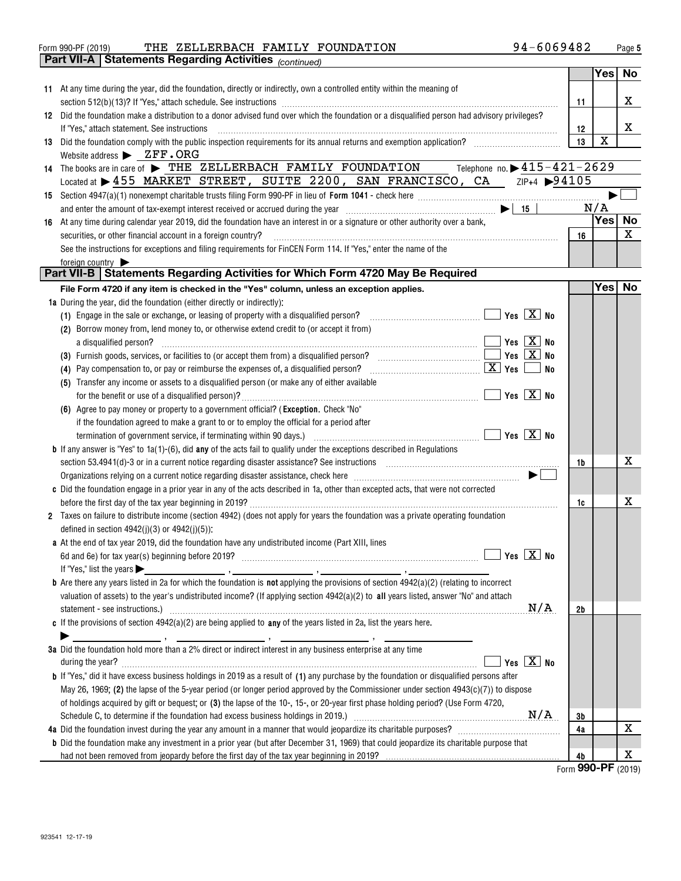|    | 94-6069482<br>THE ZELLERBACH FAMILY FOUNDATION<br>Form 990-PF (2019)                                                                                                                                                                                                                                                                                                        |    |            | Page 5 |
|----|-----------------------------------------------------------------------------------------------------------------------------------------------------------------------------------------------------------------------------------------------------------------------------------------------------------------------------------------------------------------------------|----|------------|--------|
|    | <b>Part VII-A   Statements Regarding Activities (continued)</b>                                                                                                                                                                                                                                                                                                             |    |            |        |
|    |                                                                                                                                                                                                                                                                                                                                                                             |    | Yes        | No     |
|    | 11 At any time during the year, did the foundation, directly or indirectly, own a controlled entity within the meaning of                                                                                                                                                                                                                                                   | 11 |            | x      |
| 12 | Did the foundation make a distribution to a donor advised fund over which the foundation or a disqualified person had advisory privileges?                                                                                                                                                                                                                                  |    |            |        |
|    | If "Yes," attach statement. See instructions                                                                                                                                                                                                                                                                                                                                | 12 |            | X      |
| 13 | Did the foundation comply with the public inspection requirements for its annual returns and exemption application?                                                                                                                                                                                                                                                         | 13 | X          |        |
|    | Website address $\blacktriangleright$ $\mathbb{Z}FF \cdot \mathbb{OR}G$                                                                                                                                                                                                                                                                                                     |    |            |        |
|    | 14 The books are in care of > THE ZELLERBACH FAMILY FOUNDATION Telephone no. > 415-421-2629                                                                                                                                                                                                                                                                                 |    |            |        |
|    | Located at > 455 MARKET STREET, SUITE 2200, SAN FRANCISCO, CA ZIP+4 > 94105                                                                                                                                                                                                                                                                                                 |    |            |        |
|    |                                                                                                                                                                                                                                                                                                                                                                             |    |            |        |
|    | and enter the amount of tax-exempt interest received or accrued during the year $\Box$ $\Box$ $\Box$                                                                                                                                                                                                                                                                        |    | N/A        |        |
|    | 16 At any time during calendar year 2019, did the foundation have an interest in or a signature or other authority over a bank,                                                                                                                                                                                                                                             |    | <b>Yes</b> | No     |
|    | securities, or other financial account in a foreign country?                                                                                                                                                                                                                                                                                                                | 16 |            | X      |
|    | See the instructions for exceptions and filing requirements for FinCEN Form 114. If "Yes," enter the name of the                                                                                                                                                                                                                                                            |    |            |        |
|    | foreign country                                                                                                                                                                                                                                                                                                                                                             |    |            |        |
|    | Part VII-B   Statements Regarding Activities for Which Form 4720 May Be Required                                                                                                                                                                                                                                                                                            |    |            |        |
|    | File Form 4720 if any item is checked in the "Yes" column, unless an exception applies.                                                                                                                                                                                                                                                                                     |    | Yes No     |        |
|    | <b>1a</b> During the year, did the foundation (either directly or indirectly):                                                                                                                                                                                                                                                                                              |    |            |        |
|    | Yes $\boxed{X}$ No<br>(1) Engage in the sale or exchange, or leasing of property with a disqualified person?                                                                                                                                                                                                                                                                |    |            |        |
|    | (2) Borrow money from, lend money to, or otherwise extend credit to (or accept it from)                                                                                                                                                                                                                                                                                     |    |            |        |
|    | Yes $\boxed{X}$ No<br>a disqualified person?                                                                                                                                                                                                                                                                                                                                |    |            |        |
|    | Yes $\boxed{X}$ No<br>(3) Furnish goods, services, or facilities to (or accept them from) a disqualified person?                                                                                                                                                                                                                                                            |    |            |        |
|    | <u>x</u> Yes  <br>No<br>(4) Pay compensation to, or pay or reimburse the expenses of, a disqualified person?                                                                                                                                                                                                                                                                |    |            |        |
|    | (5) Transfer any income or assets to a disqualified person (or make any of either available                                                                                                                                                                                                                                                                                 |    |            |        |
|    | $\boxed{\phantom{1}}$ Yes $\boxed{\text{X}}$ No                                                                                                                                                                                                                                                                                                                             |    |            |        |
|    | (6) Agree to pay money or property to a government official? (Exception. Check "No"                                                                                                                                                                                                                                                                                         |    |            |        |
|    | if the foundation agreed to make a grant to or to employ the official for a period after                                                                                                                                                                                                                                                                                    |    |            |        |
|    | termination of government service, if terminating within 90 days.)                                                                                                                                                                                                                                                                                                          |    |            |        |
|    | <b>b</b> If any answer is "Yes" to $1a(1)$ -(6), did <b>any</b> of the acts fail to qualify under the exceptions described in Regulations<br>section 53.4941(d)-3 or in a current notice regarding disaster assistance? See instructions [100] and the section 53.4941(d)-3 or in a current notice regarding disaster assistance? See instructions [100] and the section 53 | 1b |            | х      |
|    | Organizations relying on a current notice regarding disaster assistance, check here <i>manufficumal containmances</i>                                                                                                                                                                                                                                                       |    |            |        |
|    | c Did the foundation engage in a prior year in any of the acts described in 1a, other than excepted acts, that were not corrected                                                                                                                                                                                                                                           |    |            |        |
|    |                                                                                                                                                                                                                                                                                                                                                                             | 1c |            | x      |
|    | 2 Taxes on failure to distribute income (section 4942) (does not apply for years the foundation was a private operating foundation                                                                                                                                                                                                                                          |    |            |        |
|    | defined in section $4942(j)(3)$ or $4942(j)(5)$ :                                                                                                                                                                                                                                                                                                                           |    |            |        |
|    | a At the end of tax year 2019, did the foundation have any undistributed income (Part XIII, lines                                                                                                                                                                                                                                                                           |    |            |        |
|    | Yes $X$ No<br>6d and 6e) for tax year(s) beginning before 2019? [1] manufactured manufactured in the set of the set of the set of the set of the set of the set of the set of the set of the set of the set of the set of the set of the set                                                                                                                                |    |            |        |
|    | If "Yes," list the years $\blacktriangleright$<br><u>2006 - Paris Parameter (b. 1989)</u><br>19 de desember - Antonio II (b. 1908)<br>19 de desember - Antonio II (b. 1910)                                                                                                                                                                                                 |    |            |        |
|    | <b>b</b> Are there any years listed in 2a for which the foundation is <b>not</b> applying the provisions of section $4942(a)(2)$ (relating to incorrect                                                                                                                                                                                                                     |    |            |        |
|    | valuation of assets) to the year's undistributed income? (If applying section $4942(a)(2)$ to all years listed, answer "No" and attach                                                                                                                                                                                                                                      |    |            |        |
|    | N/A                                                                                                                                                                                                                                                                                                                                                                         | 2b |            |        |
|    | c If the provisions of section $4942(a)(2)$ are being applied to any of the years listed in 2a, list the years here.                                                                                                                                                                                                                                                        |    |            |        |
|    |                                                                                                                                                                                                                                                                                                                                                                             |    |            |        |
|    | 3a Did the foundation hold more than a 2% direct or indirect interest in any business enterprise at any time                                                                                                                                                                                                                                                                |    |            |        |
|    | Yes $\boxed{X}$ No<br>during the year?                                                                                                                                                                                                                                                                                                                                      |    |            |        |
|    | <b>b</b> If "Yes," did it have excess business holdings in 2019 as a result of (1) any purchase by the foundation or disqualified persons after                                                                                                                                                                                                                             |    |            |        |
|    | May 26, 1969; (2) the lapse of the 5-year period (or longer period approved by the Commissioner under section $4943(c)(7)$ ) to dispose                                                                                                                                                                                                                                     |    |            |        |
|    | of holdings acquired by gift or bequest; or (3) the lapse of the 10-, 15-, or 20-year first phase holding period? (Use Form 4720,                                                                                                                                                                                                                                           |    |            |        |
|    |                                                                                                                                                                                                                                                                                                                                                                             | 3b |            |        |
|    |                                                                                                                                                                                                                                                                                                                                                                             | 4a |            | X      |
|    | <b>b</b> Did the foundation make any investment in a prior year (but after December 31, 1969) that could jeopardize its charitable purpose that                                                                                                                                                                                                                             | 4b |            | х      |
|    |                                                                                                                                                                                                                                                                                                                                                                             |    |            |        |

<u>Form</u> 990-PF <sub>(2019)</sub>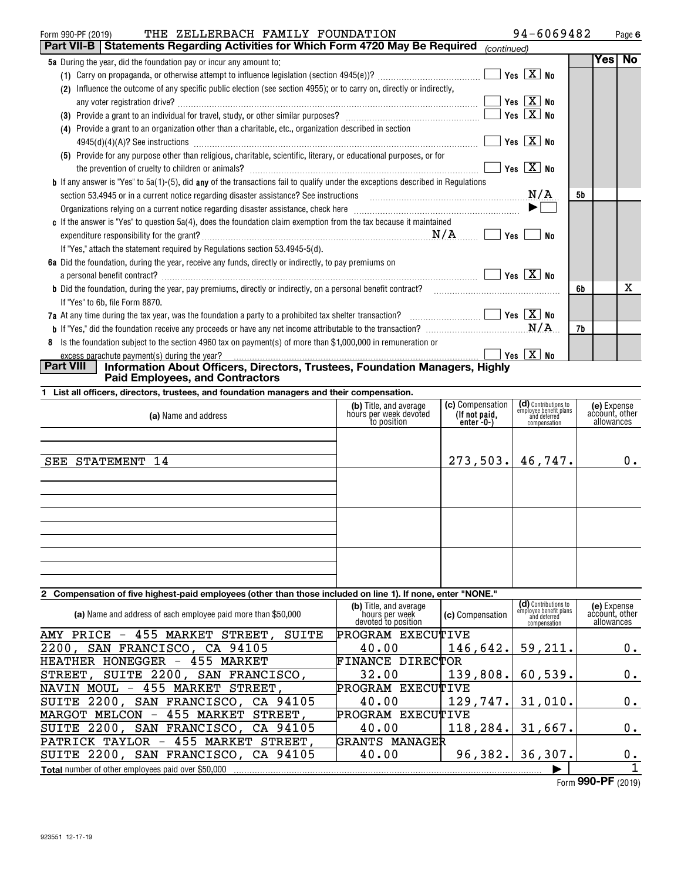| THE ZELLERBACH FAMILY FOUNDATION<br>Form 990-PF (2019)                                                                                  |                   | 94-6069482                     |    |     | Page 6    |
|-----------------------------------------------------------------------------------------------------------------------------------------|-------------------|--------------------------------|----|-----|-----------|
| <b>Part VII-B   Statements Regarding Activities for Which Form 4720 May Be Required</b>                                                 | (continued)       |                                |    |     |           |
| 5a During the year, did the foundation pay or incur any amount to:                                                                      |                   |                                |    | Yes | <b>No</b> |
|                                                                                                                                         |                   | Yes $\boxed{\text{X}}$ No      |    |     |           |
| Influence the outcome of any specific public election (see section 4955); or to carry on, directly or indirectly,<br>(2)                |                   |                                |    |     |           |
|                                                                                                                                         |                   | Yes $\boxed{\mathbf{X}}$ No    |    |     |           |
|                                                                                                                                         |                   | Yes $\boxed{\mathbf{X}}$ No    |    |     |           |
| Provide a grant to an organization other than a charitable, etc., organization described in section<br>(4)                              |                   |                                |    |     |           |
|                                                                                                                                         |                   | Yes $X$ No                     |    |     |           |
| (5) Provide for any purpose other than religious, charitable, scientific, literary, or educational purposes, or for                     |                   |                                |    |     |           |
|                                                                                                                                         |                   | Yes $\boxed{\text{X}}$ No      |    |     |           |
| <b>b</b> If any answer is "Yes" to 5a(1)-(5), did any of the transactions fail to qualify under the exceptions described in Regulations |                   |                                |    |     |           |
| N/A<br>section 53.4945 or in a current notice regarding disaster assistance? See instructions                                           |                   |                                | 5b |     |           |
|                                                                                                                                         |                   | $\blacktriangleright$ $\vdash$ |    |     |           |
| c If the answer is "Yes" to question 5a(4), does the foundation claim exemption from the tax because it maintained                      |                   |                                |    |     |           |
|                                                                                                                                         | Yes l             | No                             |    |     |           |
| If "Yes," attach the statement required by Regulations section 53.4945-5(d).                                                            |                   |                                |    |     |           |
| 6a Did the foundation, during the year, receive any funds, directly or indirectly, to pay premiums on                                   |                   |                                |    |     |           |
|                                                                                                                                         |                   | Yes $\boxed{\text{X}}$ No      |    |     |           |
| <b>b</b> Did the foundation, during the year, pay premiums, directly or indirectly, on a personal benefit contract?                     |                   |                                | 6b |     | х         |
| If "Yes" to 6b, file Form 8870.                                                                                                         |                   |                                |    |     |           |
|                                                                                                                                         |                   | Yes $X$ No                     |    |     |           |
|                                                                                                                                         |                   |                                | 7b |     |           |
| Is the foundation subject to the section 4960 tax on payment(s) of more than \$1,000,000 in remuneration or<br>8                        |                   |                                |    |     |           |
| excess parachute payment(s) during the year?                                                                                            | $Yes \ \boxed{X}$ | <b>No</b>                      |    |     |           |
| Part VIII<br>Information About Officers, Directors, Trustees, Foundation Managers, Highly                                               |                   |                                |    |     |           |

# **Paid Employees, and Contractors**

|  |  | 1 List all officers, directors, trustees, and foundation managers and their compensation. |  |
|--|--|-------------------------------------------------------------------------------------------|--|
|  |  |                                                                                           |  |

| (a) Name and address | (b) Title, and average<br>hours per week devoted<br>to position | (c) Compensation<br>(If not paid,<br>enter -0-) | (d) Contributions to<br>employee benefit plans<br>and deferred<br>compensation | (e) Expense<br>account, other<br>allowances |
|----------------------|-----------------------------------------------------------------|-------------------------------------------------|--------------------------------------------------------------------------------|---------------------------------------------|
| SEE STATEMENT 14     |                                                                 | $273,503.$ 46,747.                              |                                                                                | $0$ .                                       |
|                      |                                                                 |                                                 |                                                                                |                                             |
|                      |                                                                 |                                                 |                                                                                |                                             |
|                      |                                                                 |                                                 |                                                                                |                                             |

## **2 Compensation of five highest-paid employees (other than those included on line 1). If none, enter "NONE."**

| (a) Name and address of each employee paid more than \$50,000              | (b) Title, and average<br>`hours per week<br>devoted to position | <b>(c)</b> Compensation | (d) Contributions to<br>employee benefit plans<br>and deferred<br>compensation | (e) Expense<br>account, other<br>allowances |
|----------------------------------------------------------------------------|------------------------------------------------------------------|-------------------------|--------------------------------------------------------------------------------|---------------------------------------------|
| 455<br>MARKET<br>STREET,<br>SUITE<br>AMY PRICE<br>$\overline{\phantom{m}}$ | PROGRAM EXECUTIVE                                                |                         |                                                                                |                                             |
| 2200, SAN FRANCISCO, CA 94105                                              | 40.00                                                            | 146,642.                | 59,211.                                                                        | 0.                                          |
| HONEGGER<br>455 MARKET<br>HEATHER<br>$-$                                   | FINANCE DIRECTOR                                                 |                         |                                                                                |                                             |
| STREET, SUITE 2200,<br>SAN FRANCISCO,                                      | 32.00                                                            | 139,808.                | 60,539.                                                                        | 0.                                          |
| NAVIN MOUL - 455 MARKET STREET,                                            | PROGRAM EXECUTIVE                                                |                         |                                                                                |                                             |
| SUITE 2200, SAN FRANCISCO, CA 94105                                        | 40.00                                                            | 129,747.                | 31,010.                                                                        | 0.                                          |
| 455 MARKET<br>STREET.<br>MARGOT MELCON<br>$\overline{\phantom{m}}$         | PROGRAM EXECUTIVE                                                |                         |                                                                                |                                             |
| SUITE 2200, SAN FRANCISCO, CA 94105                                        | 40.00                                                            | 118, 284.               | 31,667.                                                                        | 0.                                          |
| PATRICK TAYLOR - 455 MARKET<br>STREET.                                     | <b>GRANTS MANAGER</b>                                            |                         |                                                                                |                                             |
| SUITE 2200, SAN FRANCISCO, CA 94105                                        | 40.00                                                            | 96, 382.                | 36,307.                                                                        | 0.                                          |
| <b>Total</b> number of other employees paid over \$50,000                  |                                                                  |                         |                                                                                |                                             |

Form (2019) **990-PF**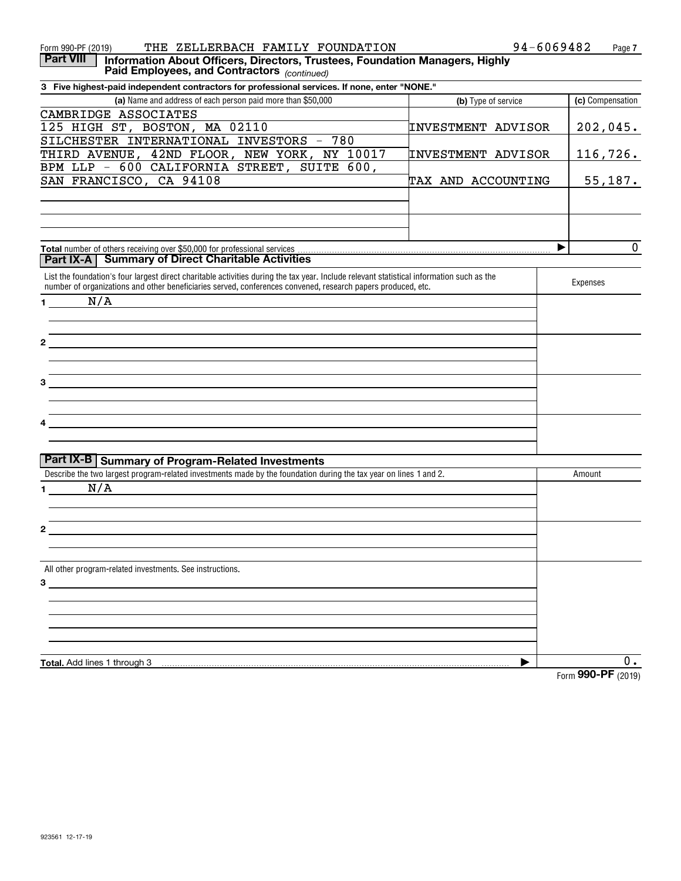| THE ZELLERBACH FAMILY FOUNDATION<br>Form 990-PF (2019)                                                                                                                                                                                                    | 94-6069482                | Page 7                           |
|-----------------------------------------------------------------------------------------------------------------------------------------------------------------------------------------------------------------------------------------------------------|---------------------------|----------------------------------|
| <b>Part VIII</b><br>Information About Officers, Directors, Trustees, Foundation Managers, Highly<br>Paid Employees, and Contractors (continued)                                                                                                           |                           |                                  |
| 3 Five highest-paid independent contractors for professional services. If none, enter "NONE."                                                                                                                                                             |                           |                                  |
| (a) Name and address of each person paid more than \$50,000                                                                                                                                                                                               | (b) Type of service       | (c) Compensation                 |
| CAMBRIDGE ASSOCIATES                                                                                                                                                                                                                                      |                           |                                  |
| 125 HIGH ST, BOSTON, MA 02110                                                                                                                                                                                                                             | <b>INVESTMENT ADVISOR</b> | 202,045.                         |
| SILCHESTER INTERNATIONAL INVESTORS - 780                                                                                                                                                                                                                  |                           |                                  |
| THIRD AVENUE, 42ND FLOOR, NEW YORK, NY 10017                                                                                                                                                                                                              | INVESTMENT ADVISOR        | 116,726.                         |
| BPM LLP - 600 CALIFORNIA STREET, SUITE 600,                                                                                                                                                                                                               |                           |                                  |
| SAN FRANCISCO, CA 94108                                                                                                                                                                                                                                   | TAX AND ACCOUNTING        | 55,187.                          |
|                                                                                                                                                                                                                                                           |                           |                                  |
|                                                                                                                                                                                                                                                           |                           | $\mathbf 0$<br>▶                 |
| <b>Part IX-A</b>   Summary of Direct Charitable Activities                                                                                                                                                                                                |                           |                                  |
| List the foundation's four largest direct charitable activities during the tax year. Include relevant statistical information such as the<br>number of organizations and other beneficiaries served, conferences convened, research papers produced, etc. |                           | Expenses                         |
| N/A<br>$1 \qquad \qquad$                                                                                                                                                                                                                                  |                           |                                  |
|                                                                                                                                                                                                                                                           |                           |                                  |
|                                                                                                                                                                                                                                                           |                           |                                  |
| <u> 1989 - John Stein, Amerikaansk politiker (</u>                                                                                                                                                                                                        |                           |                                  |
|                                                                                                                                                                                                                                                           |                           |                                  |
|                                                                                                                                                                                                                                                           |                           |                                  |
| 3<br><u> 1980 - Andrea Andrew Maria (h. 1980).</u>                                                                                                                                                                                                        |                           |                                  |
|                                                                                                                                                                                                                                                           |                           |                                  |
|                                                                                                                                                                                                                                                           |                           |                                  |
|                                                                                                                                                                                                                                                           |                           |                                  |
|                                                                                                                                                                                                                                                           |                           |                                  |
|                                                                                                                                                                                                                                                           |                           |                                  |
| Part IX-B Summary of Program-Related Investments                                                                                                                                                                                                          |                           |                                  |
| Describe the two largest program-related investments made by the foundation during the tax year on lines 1 and 2.                                                                                                                                         |                           | Amount                           |
| N/A<br>$\mathbf 1$                                                                                                                                                                                                                                        |                           |                                  |
|                                                                                                                                                                                                                                                           |                           |                                  |
|                                                                                                                                                                                                                                                           |                           |                                  |
| 2                                                                                                                                                                                                                                                         |                           |                                  |
|                                                                                                                                                                                                                                                           |                           |                                  |
|                                                                                                                                                                                                                                                           |                           |                                  |
| All other program-related investments. See instructions.                                                                                                                                                                                                  |                           |                                  |
| $3^{\circ}$                                                                                                                                                                                                                                               |                           |                                  |
|                                                                                                                                                                                                                                                           |                           |                                  |
|                                                                                                                                                                                                                                                           |                           |                                  |
|                                                                                                                                                                                                                                                           |                           |                                  |
|                                                                                                                                                                                                                                                           |                           |                                  |
| <b>Total.</b> Add lines 1 through 3                                                                                                                                                                                                                       |                           | 0.                               |
|                                                                                                                                                                                                                                                           |                           | $T_{\text{arm}}$ QQO_DF $(0010)$ |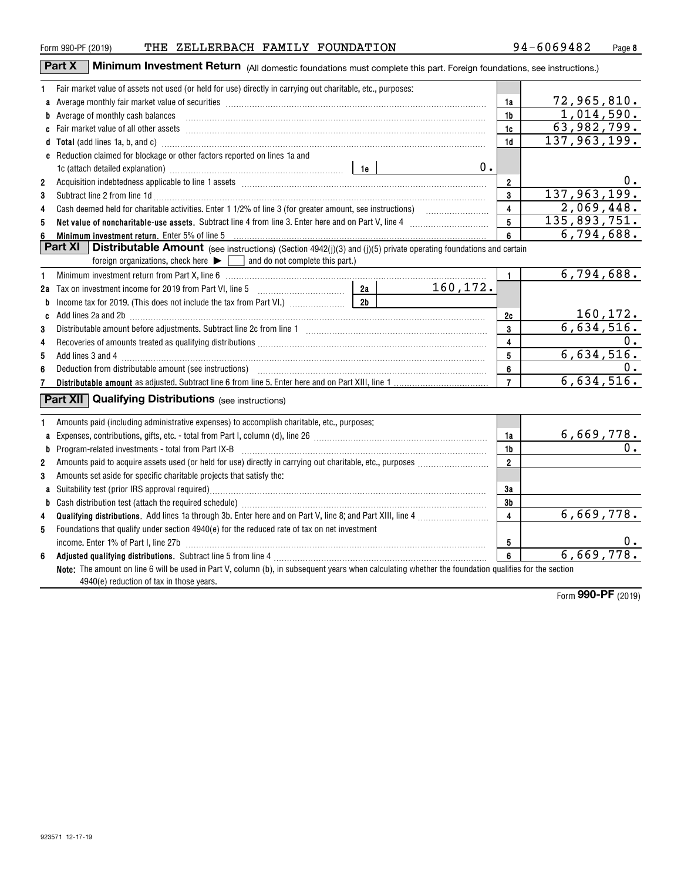**ab**

**23**

**45**

**ab**

**6**

| 94-6069482<br>THE ZELLERBACH FAMILY FOUNDATION<br>Form 990-PF (2019)<br>Minimum Investment Return (All domestic foundations must complete this part. Foreign foundations, see instructions.)<br>Part X<br>Fair market value of assets not used (or held for use) directly in carrying out charitable, etc., purposes:<br>1.<br>a Average monthly fair market value of securities [11] match match match match of the control match of a securities [11] match match match match match match match match match match match match match match match match match<br>1a<br><b>b</b> Average of monthly cash balances<br>1b<br>1c<br>137,963,199.<br>d Total (add lines 1a, b, and c) manufactured and control of the control of the control of the control of the control of the control of the control of the control of the control of the control of the control of the control<br>1 <sub>d</sub><br>e Reduction claimed for blockage or other factors reported on lines 1a and<br>0.<br>$\overline{2}$<br>$\overline{2}$<br>3<br>3<br>Subtract line 2 from line 1d <b>Machinese and Contract Line 2</b> from line 1d <b>machinese and contract line 2</b> from line 1d<br>2,069,448.<br>$\overline{4}$<br>4<br>5<br>5<br>Net value of noncharitable-use assets. Subtract line 4 from line 3. Enter here and on Part V, line 4 [11, 1110] Net value of noncharitable-use assets. Subtract line 4 [11] $\alpha$<br>6<br>Minimum investment return. Enter 5% of line 5<br>6<br><b>Part XI</b><br><b>Distributable Amount</b> (see instructions) (Section 4942(j)(3) and (j)(5) private operating foundations and certain<br>foreign organizations, check here $\blacktriangleright \Box$ and do not complete this part.)<br>Minimum investment return from Part X, line 6 [11] Minimum materials and the material of the Minimum investment return from Part X, line 6<br>$\mathbf{1}$<br>1<br>160,172.<br>b<br>160, 172.<br>2c<br>3<br>3<br>4<br>4<br>5<br>5<br>6<br>6<br>6,634,516.<br>$\overline{7}$<br>7<br><b>Part XII Qualifying Distributions</b> (see instructions)<br>Amounts paid (including administrative expenses) to accomplish charitable, etc., purposes:<br>1<br>a Expenses, contributions, gifts, etc. - total from Part I, column (d), line 26 |  |    |                                          |
|----------------------------------------------------------------------------------------------------------------------------------------------------------------------------------------------------------------------------------------------------------------------------------------------------------------------------------------------------------------------------------------------------------------------------------------------------------------------------------------------------------------------------------------------------------------------------------------------------------------------------------------------------------------------------------------------------------------------------------------------------------------------------------------------------------------------------------------------------------------------------------------------------------------------------------------------------------------------------------------------------------------------------------------------------------------------------------------------------------------------------------------------------------------------------------------------------------------------------------------------------------------------------------------------------------------------------------------------------------------------------------------------------------------------------------------------------------------------------------------------------------------------------------------------------------------------------------------------------------------------------------------------------------------------------------------------------------------------------------------------------------------------------------------------------------------------------------------------------------------------------------------------------------------------------------------------------------------------------------------------------------------------------------------------------------------------------------------------------------------------------------------------------------------------------------------------------------------------------------------------------------------|--|----|------------------------------------------|
|                                                                                                                                                                                                                                                                                                                                                                                                                                                                                                                                                                                                                                                                                                                                                                                                                                                                                                                                                                                                                                                                                                                                                                                                                                                                                                                                                                                                                                                                                                                                                                                                                                                                                                                                                                                                                                                                                                                                                                                                                                                                                                                                                                                                                                                                |  |    | Page 8                                   |
|                                                                                                                                                                                                                                                                                                                                                                                                                                                                                                                                                                                                                                                                                                                                                                                                                                                                                                                                                                                                                                                                                                                                                                                                                                                                                                                                                                                                                                                                                                                                                                                                                                                                                                                                                                                                                                                                                                                                                                                                                                                                                                                                                                                                                                                                |  |    | 72,965,810.<br>1,014,590.<br>63,982,799. |
|                                                                                                                                                                                                                                                                                                                                                                                                                                                                                                                                                                                                                                                                                                                                                                                                                                                                                                                                                                                                                                                                                                                                                                                                                                                                                                                                                                                                                                                                                                                                                                                                                                                                                                                                                                                                                                                                                                                                                                                                                                                                                                                                                                                                                                                                |  |    | $0$ .<br>137,963,199.                    |
|                                                                                                                                                                                                                                                                                                                                                                                                                                                                                                                                                                                                                                                                                                                                                                                                                                                                                                                                                                                                                                                                                                                                                                                                                                                                                                                                                                                                                                                                                                                                                                                                                                                                                                                                                                                                                                                                                                                                                                                                                                                                                                                                                                                                                                                                |  |    | 135,893,751.<br>6,794,688.               |
|                                                                                                                                                                                                                                                                                                                                                                                                                                                                                                                                                                                                                                                                                                                                                                                                                                                                                                                                                                                                                                                                                                                                                                                                                                                                                                                                                                                                                                                                                                                                                                                                                                                                                                                                                                                                                                                                                                                                                                                                                                                                                                                                                                                                                                                                |  |    | 6,794,688.                               |
|                                                                                                                                                                                                                                                                                                                                                                                                                                                                                                                                                                                                                                                                                                                                                                                                                                                                                                                                                                                                                                                                                                                                                                                                                                                                                                                                                                                                                                                                                                                                                                                                                                                                                                                                                                                                                                                                                                                                                                                                                                                                                                                                                                                                                                                                |  |    | 6,634,516.<br>0.<br>6,634,516.<br>$0$ .  |
|                                                                                                                                                                                                                                                                                                                                                                                                                                                                                                                                                                                                                                                                                                                                                                                                                                                                                                                                                                                                                                                                                                                                                                                                                                                                                                                                                                                                                                                                                                                                                                                                                                                                                                                                                                                                                                                                                                                                                                                                                                                                                                                                                                                                                                                                |  | 1a | 6,669,778.                               |

**Qualifying distributions.** Add lines 1a through 3b. Enter here and on Part V, line 8; and Part XIII, line 4  $\ldots\ldots\ldots\ldots\ldots\ldots$ 

Suitability test (prior IRS approval required)………………………………………………………………………………………… Cash distribution test (attach the required schedule)  $\hspace*{1.5mm}$   $\hspace*{1.5mm}$   $\hspace*{1.5mm}$   $\hspace*{1.5mm}$   $\hspace*{1.5mm}$   $\hspace*{1.5mm}$   $\hspace*{1.5mm}$   $\hspace*{1.5mm}$   $\hspace*{1.5mm}$   $\hspace*{1.5mm}$   $\hspace*{1.5mm}$   $\hspace*{1.5mm}$   $\hspace*{1.5mm}$ 

Program-related investments - total from Part IX-B ~~~~~~~~~~~~~~~~~~~~~~~~~~~~~~~ Amounts paid to acquire assets used (or held for use) directly in carrying out charitable, etc., purposes  $\ldots\ldots\ldots\ldots\ldots\ldots\ldots$ 

Amounts set aside for specific charitable projects that satisfy the:

4940(e) reduction of tax in those years.

Foundations that qualify under section 4940(e) for the reduced rate of tax on net investment

**Adjusted qualifying distributions.** Subtract line 5 from line 4 ~~~~~~~~~~~~~~~~~~~~~~~~~~~

 $income.$  Enter 1% of Part I, line 27b  $\ldots$   $\ldots$   $\ldots$   $\ldots$   $\ldots$   $\ldots$   $\ldots$   $\ldots$   $\ldots$   $\ldots$   $\ldots$   $\ldots$   $\ldots$   $\ldots$   $\ldots$   $\ldots$   $\ldots$   $\ldots$ 

**Note:**The amount on line 6 will be used in Part V, column (b), in subsequent years when calculating whether the foundation qualifies for the section

Form (2019) **990-PF**

6,669,778.

6,669,778.

**1b2**

**3a 3b4**

> **56**

0.

0.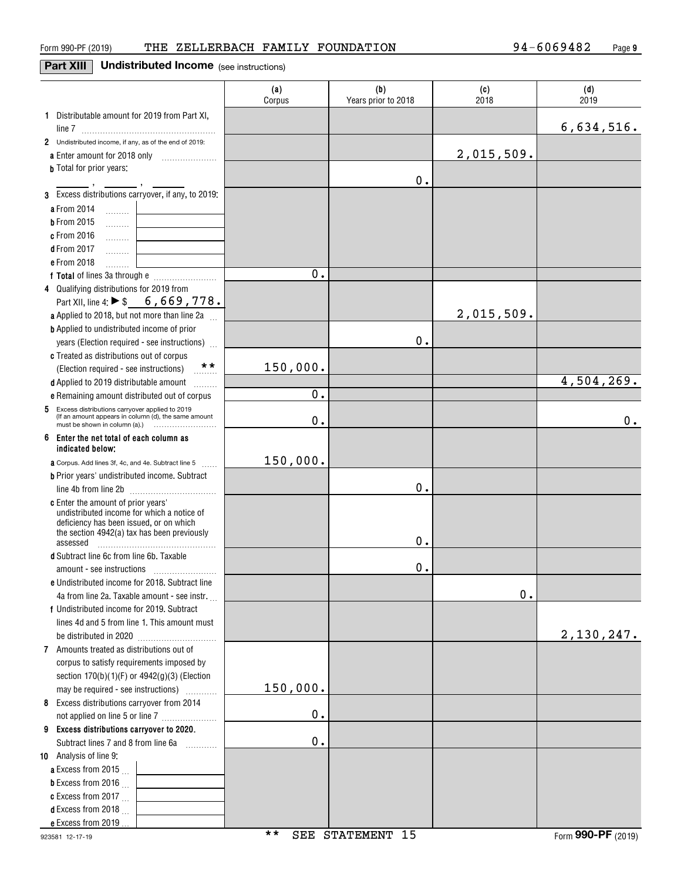### **Part XIII** Undistributed Income (see instructions)

|                                                                                         | (a)<br>Corpus | (b)<br>Years prior to 2018 | (c)<br>2018 | (d)<br>2019 |
|-----------------------------------------------------------------------------------------|---------------|----------------------------|-------------|-------------|
| 1 Distributable amount for 2019 from Part XI,                                           |               |                            |             |             |
|                                                                                         |               |                            |             | 6,634,516.  |
| 2 Undistributed income, if any, as of the end of 2019:                                  |               |                            |             |             |
| a Enter amount for 2018 only                                                            |               |                            | 2,015,509.  |             |
| <b>b</b> Total for prior years:                                                         |               |                            |             |             |
| 3 Excess distributions carryover, if any, to 2019:                                      |               | 0.                         |             |             |
|                                                                                         |               |                            |             |             |
| a From 2014<br>1.1.1.1.1.1                                                              |               |                            |             |             |
| <b>b</b> From 2015<br>.                                                                 |               |                            |             |             |
| c From 2016<br>1.1.1.1.1.1.1<br><b>d</b> From 2017                                      |               |                            |             |             |
| .<br>e From 2018                                                                        |               |                            |             |             |
| .                                                                                       | 0.            |                            |             |             |
| 4 Qualifying distributions for 2019 from                                                |               |                            |             |             |
| Part XII, line 4: ▶ \$ 6, 669, 778.                                                     |               |                            |             |             |
| a Applied to 2018, but not more than line 2a                                            |               |                            | 2,015,509.  |             |
| <b>b</b> Applied to undistributed income of prior                                       |               |                            |             |             |
| years (Election required - see instructions)                                            |               | 0.                         |             |             |
| c Treated as distributions out of corpus                                                |               |                            |             |             |
| **<br>(Election required - see instructions)                                            | 150,000.      |                            |             |             |
| d Applied to 2019 distributable amount<br>.                                             |               |                            |             | 4,504,269.  |
| e Remaining amount distributed out of corpus                                            | 0.            |                            |             |             |
| Excess distributions carryover applied to 2019<br>5                                     |               |                            |             |             |
| (If an amount appears in column (d), the same amount                                    | 0.            |                            |             | 0.          |
| 6<br>Enter the net total of each column as<br>indicated below;                          |               |                            |             |             |
| <b>a</b> Corpus. Add lines 3f, 4c, and 4e. Subtract line 5                              | 150,000.      |                            |             |             |
| <b>b</b> Prior years' undistributed income. Subtract                                    |               |                            |             |             |
|                                                                                         |               | Ο.                         |             |             |
| <b>c</b> Enter the amount of prior years'<br>undistributed income for which a notice of |               |                            |             |             |
| deficiency has been issued, or on which                                                 |               |                            |             |             |
| the section 4942(a) tax has been previously                                             |               | 0.                         |             |             |
| assessed<br>d Subtract line 6c from line 6b. Taxable                                    |               |                            |             |             |
|                                                                                         |               | $\mathbf 0$ .              |             |             |
| e Undistributed income for 2018. Subtract line                                          |               |                            |             |             |
| 4a from line 2a. Taxable amount - see instr.                                            |               |                            | 0.          |             |
| f Undistributed income for 2019. Subtract                                               |               |                            |             |             |
| lines 4d and 5 from line 1. This amount must                                            |               |                            |             |             |
|                                                                                         |               |                            |             | 2,130,247.  |
| 7 Amounts treated as distributions out of                                               |               |                            |             |             |
| corpus to satisfy requirements imposed by                                               |               |                            |             |             |
| section 170(b)(1)(F) or 4942(g)(3) (Election                                            |               |                            |             |             |
| may be required - see instructions)                                                     | 150,000.      |                            |             |             |
| 8 Excess distributions carryover from 2014                                              |               |                            |             |             |
| not applied on line 5 or line 7                                                         | 0.            |                            |             |             |
| 9 Excess distributions carryover to 2020.                                               |               |                            |             |             |
| Subtract lines 7 and 8 from line 6a                                                     | $0$ .         |                            |             |             |
| 10 Analysis of line 9:                                                                  |               |                            |             |             |
| <b>a</b> Excess from 2015 $\ldots$                                                      |               |                            |             |             |
| <b>b</b> Excess from 2016 $\ldots$                                                      |               |                            |             |             |
| c Excess from 2017 $\ldots$                                                             |               |                            |             |             |
| <b>d</b> Excess from 2018                                                               |               |                            |             |             |
| e Excess from 2019                                                                      |               |                            |             |             |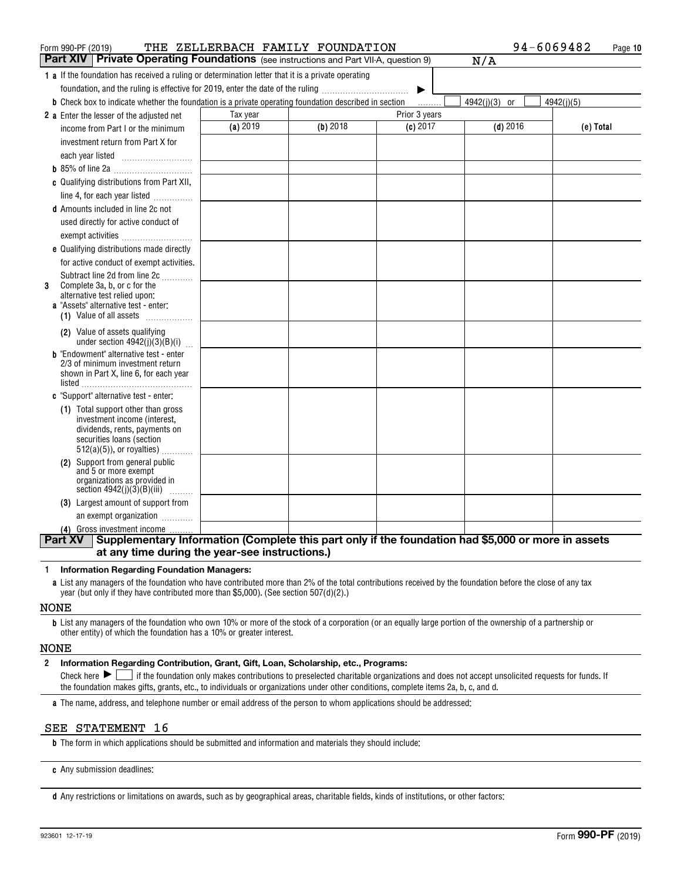| Form 990-PF (2019)                                                                                                                                  |          | THE ZELLERBACH FAMILY FOUNDATION |               | 94-6069482                  | Page 10    |
|-----------------------------------------------------------------------------------------------------------------------------------------------------|----------|----------------------------------|---------------|-----------------------------|------------|
| Part XIV<br>Private Operating Foundations (see instructions and Part VII-A, question 9)                                                             |          |                                  |               | N/A                         |            |
| <b>1 a</b> If the foundation has received a ruling or determination letter that it is a private operating                                           |          |                                  |               |                             |            |
| foundation, and the ruling is effective for 2019, enter the date of the ruling                                                                      |          |                                  |               |                             |            |
| <b>b</b> Check box to indicate whether the foundation is a private operating foundation described in section                                        |          |                                  |               | 4942(j)(3)<br><sub>or</sub> | 4942(j)(5) |
| 2 a Enter the lesser of the adjusted net                                                                                                            | Tax year |                                  | Prior 3 years |                             |            |
| income from Part I or the minimum                                                                                                                   | (a) 2019 | $(b)$ 2018                       | (c) 2017      | $(d)$ 2016                  | (e) Total  |
| investment return from Part X for                                                                                                                   |          |                                  |               |                             |            |
|                                                                                                                                                     |          |                                  |               |                             |            |
|                                                                                                                                                     |          |                                  |               |                             |            |
| c Qualifying distributions from Part XII,                                                                                                           |          |                                  |               |                             |            |
| line 4, for each year listed                                                                                                                        |          |                                  |               |                             |            |
| <b>d</b> Amounts included in line 2c not                                                                                                            |          |                                  |               |                             |            |
| used directly for active conduct of                                                                                                                 |          |                                  |               |                             |            |
| exempt activities                                                                                                                                   |          |                                  |               |                             |            |
| e Qualifying distributions made directly                                                                                                            |          |                                  |               |                             |            |
| for active conduct of exempt activities.                                                                                                            |          |                                  |               |                             |            |
| Subtract line 2d from line 2c                                                                                                                       |          |                                  |               |                             |            |
| Complete 3a, b, or c for the<br>3<br>alternative test relied upon:                                                                                  |          |                                  |               |                             |            |
| <b>a</b> "Assets" alternative test - enter:                                                                                                         |          |                                  |               |                             |            |
| (1) Value of all assets                                                                                                                             |          |                                  |               |                             |            |
| (2) Value of assets qualifying                                                                                                                      |          |                                  |               |                             |            |
| under section $4942(j)(3)(B)(i)$                                                                                                                    |          |                                  |               |                             |            |
| <b>b</b> "Endowment" alternative test - enter<br>2/3 of minimum investment return                                                                   |          |                                  |               |                             |            |
| shown in Part X, line 6, for each year                                                                                                              |          |                                  |               |                             |            |
|                                                                                                                                                     |          |                                  |               |                             |            |
| c "Support" alternative test - enter:                                                                                                               |          |                                  |               |                             |            |
| (1) Total support other than gross                                                                                                                  |          |                                  |               |                             |            |
| investment income (interest,<br>dividends, rents, payments on                                                                                       |          |                                  |               |                             |            |
| securities loans (section                                                                                                                           |          |                                  |               |                             |            |
| $512(a)(5)$ , or royalties)                                                                                                                         |          |                                  |               |                             |            |
| (2) Support from general public<br>and 5 or more exempt                                                                                             |          |                                  |               |                             |            |
| organizations as provided in                                                                                                                        |          |                                  |               |                             |            |
| section $4942(j)(3)(B)(iii)$<br>.                                                                                                                   |          |                                  |               |                             |            |
| (3) Largest amount of support from                                                                                                                  |          |                                  |               |                             |            |
| an exempt organization                                                                                                                              |          |                                  |               |                             |            |
| (4) Gross investment income<br>Supplementary Information (Complete this part only if the foundation had \$5,000 or more in assets<br><b>Part XV</b> |          |                                  |               |                             |            |
| at any time during the year-see instructions.)                                                                                                      |          |                                  |               |                             |            |
|                                                                                                                                                     |          |                                  |               |                             |            |

#### **1Information Regarding Foundation Managers:**

**a**List any managers of the foundation who have contributed more than 2% of the total contributions received by the foundation before the close of any tax year (but only if they have contributed more than \$5,000). (See section 507(d)(2).)

#### NONE

**b**List any managers of the foundation who own 10% or more of the stock of a corporation (or an equally large portion of the ownership of a partnership or other entity) of which the foundation has a 10% or greater interest.

#### NONE

#### **2Information Regarding Contribution, Grant, Gift, Loan, Scholarship, etc., Programs:**

Check here  $\blacktriangleright\Box$  if the foundation only makes contributions to preselected charitable organizations and does not accept unsolicited requests for funds. If the foundation makes gifts, grants, etc., to individuals or organizations under other conditions, complete items 2a, b, c, and d. Check here  $\blacktriangleright$  |

**a**The name, address, and telephone number or email address of the person to whom applications should be addressed:

#### SEE STATEMENT 16

**b**The form in which applications should be submitted and information and materials they should include:

**c**Any submission deadlines:

**d** Any restrictions or limitations on awards, such as by geographical areas, charitable fields, kinds of institutions, or other factors: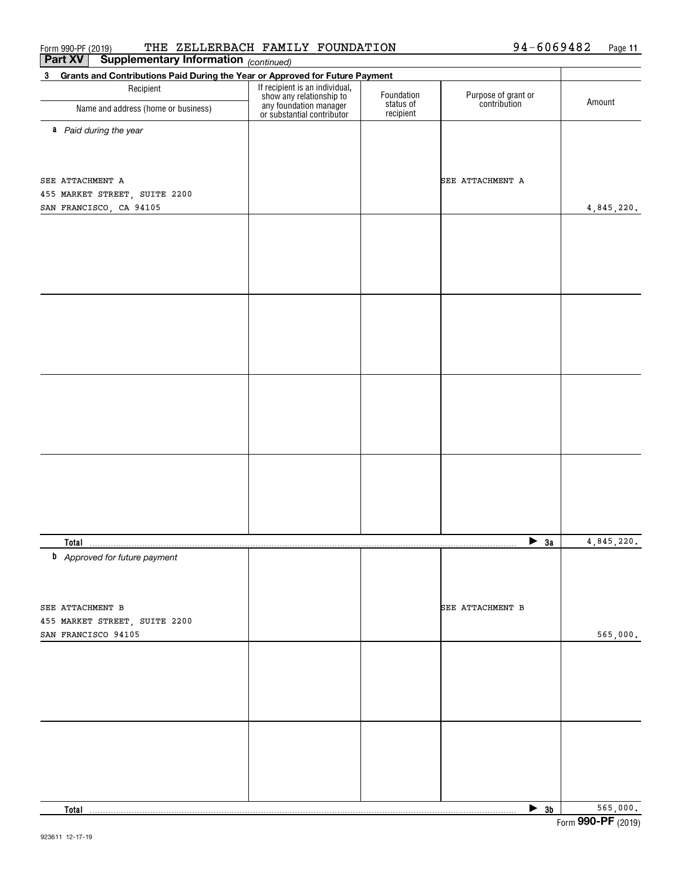| 3 Grants and Contributions Paid During the Year or Approved for Future Payment<br>If recipient is an individual,<br>show any relationship to<br>any foundation manager<br>or substantial contributor<br>Recipient<br>Foundation<br>Purpose of grant or<br>contribution<br>Amount<br>status of<br>Name and address (home or business)<br>recipient<br>a Paid during the year<br>SEE ATTACHMENT A<br>4,845,220.<br>4,845,220.<br>$\blacktriangleright$ 3a<br><b>Total</b><br><b>b</b> Approved for future payment<br>SEE ATTACHMENT B<br>SEE ATTACHMENT B<br>455 MARKET STREET, SUITE 2200<br>565,000.<br>565,000.<br>$\blacktriangleright$ 3b<br>Total | Part XV<br>Supplementary Information (continued) |  |  |
|-------------------------------------------------------------------------------------------------------------------------------------------------------------------------------------------------------------------------------------------------------------------------------------------------------------------------------------------------------------------------------------------------------------------------------------------------------------------------------------------------------------------------------------------------------------------------------------------------------------------------------------------------------|--------------------------------------------------|--|--|
|                                                                                                                                                                                                                                                                                                                                                                                                                                                                                                                                                                                                                                                       |                                                  |  |  |
|                                                                                                                                                                                                                                                                                                                                                                                                                                                                                                                                                                                                                                                       |                                                  |  |  |
|                                                                                                                                                                                                                                                                                                                                                                                                                                                                                                                                                                                                                                                       |                                                  |  |  |
|                                                                                                                                                                                                                                                                                                                                                                                                                                                                                                                                                                                                                                                       |                                                  |  |  |
|                                                                                                                                                                                                                                                                                                                                                                                                                                                                                                                                                                                                                                                       |                                                  |  |  |
|                                                                                                                                                                                                                                                                                                                                                                                                                                                                                                                                                                                                                                                       |                                                  |  |  |
|                                                                                                                                                                                                                                                                                                                                                                                                                                                                                                                                                                                                                                                       | SEE ATTACHMENT A                                 |  |  |
|                                                                                                                                                                                                                                                                                                                                                                                                                                                                                                                                                                                                                                                       | 455 MARKET STREET, SUITE 2200                    |  |  |
|                                                                                                                                                                                                                                                                                                                                                                                                                                                                                                                                                                                                                                                       | SAN FRANCISCO, CA 94105                          |  |  |
|                                                                                                                                                                                                                                                                                                                                                                                                                                                                                                                                                                                                                                                       |                                                  |  |  |
|                                                                                                                                                                                                                                                                                                                                                                                                                                                                                                                                                                                                                                                       |                                                  |  |  |
|                                                                                                                                                                                                                                                                                                                                                                                                                                                                                                                                                                                                                                                       |                                                  |  |  |
|                                                                                                                                                                                                                                                                                                                                                                                                                                                                                                                                                                                                                                                       |                                                  |  |  |
|                                                                                                                                                                                                                                                                                                                                                                                                                                                                                                                                                                                                                                                       |                                                  |  |  |
|                                                                                                                                                                                                                                                                                                                                                                                                                                                                                                                                                                                                                                                       |                                                  |  |  |
|                                                                                                                                                                                                                                                                                                                                                                                                                                                                                                                                                                                                                                                       |                                                  |  |  |
|                                                                                                                                                                                                                                                                                                                                                                                                                                                                                                                                                                                                                                                       |                                                  |  |  |
|                                                                                                                                                                                                                                                                                                                                                                                                                                                                                                                                                                                                                                                       |                                                  |  |  |
|                                                                                                                                                                                                                                                                                                                                                                                                                                                                                                                                                                                                                                                       |                                                  |  |  |
|                                                                                                                                                                                                                                                                                                                                                                                                                                                                                                                                                                                                                                                       |                                                  |  |  |
|                                                                                                                                                                                                                                                                                                                                                                                                                                                                                                                                                                                                                                                       |                                                  |  |  |
|                                                                                                                                                                                                                                                                                                                                                                                                                                                                                                                                                                                                                                                       |                                                  |  |  |
|                                                                                                                                                                                                                                                                                                                                                                                                                                                                                                                                                                                                                                                       |                                                  |  |  |
|                                                                                                                                                                                                                                                                                                                                                                                                                                                                                                                                                                                                                                                       |                                                  |  |  |
|                                                                                                                                                                                                                                                                                                                                                                                                                                                                                                                                                                                                                                                       |                                                  |  |  |
|                                                                                                                                                                                                                                                                                                                                                                                                                                                                                                                                                                                                                                                       |                                                  |  |  |
|                                                                                                                                                                                                                                                                                                                                                                                                                                                                                                                                                                                                                                                       |                                                  |  |  |
|                                                                                                                                                                                                                                                                                                                                                                                                                                                                                                                                                                                                                                                       |                                                  |  |  |
|                                                                                                                                                                                                                                                                                                                                                                                                                                                                                                                                                                                                                                                       |                                                  |  |  |
|                                                                                                                                                                                                                                                                                                                                                                                                                                                                                                                                                                                                                                                       |                                                  |  |  |
|                                                                                                                                                                                                                                                                                                                                                                                                                                                                                                                                                                                                                                                       |                                                  |  |  |
|                                                                                                                                                                                                                                                                                                                                                                                                                                                                                                                                                                                                                                                       |                                                  |  |  |
|                                                                                                                                                                                                                                                                                                                                                                                                                                                                                                                                                                                                                                                       |                                                  |  |  |
|                                                                                                                                                                                                                                                                                                                                                                                                                                                                                                                                                                                                                                                       |                                                  |  |  |
|                                                                                                                                                                                                                                                                                                                                                                                                                                                                                                                                                                                                                                                       |                                                  |  |  |
|                                                                                                                                                                                                                                                                                                                                                                                                                                                                                                                                                                                                                                                       | SAN FRANCISCO 94105                              |  |  |
|                                                                                                                                                                                                                                                                                                                                                                                                                                                                                                                                                                                                                                                       |                                                  |  |  |
|                                                                                                                                                                                                                                                                                                                                                                                                                                                                                                                                                                                                                                                       |                                                  |  |  |
|                                                                                                                                                                                                                                                                                                                                                                                                                                                                                                                                                                                                                                                       |                                                  |  |  |
|                                                                                                                                                                                                                                                                                                                                                                                                                                                                                                                                                                                                                                                       |                                                  |  |  |
|                                                                                                                                                                                                                                                                                                                                                                                                                                                                                                                                                                                                                                                       |                                                  |  |  |
|                                                                                                                                                                                                                                                                                                                                                                                                                                                                                                                                                                                                                                                       |                                                  |  |  |
|                                                                                                                                                                                                                                                                                                                                                                                                                                                                                                                                                                                                                                                       |                                                  |  |  |
|                                                                                                                                                                                                                                                                                                                                                                                                                                                                                                                                                                                                                                                       |                                                  |  |  |
|                                                                                                                                                                                                                                                                                                                                                                                                                                                                                                                                                                                                                                                       |                                                  |  |  |
|                                                                                                                                                                                                                                                                                                                                                                                                                                                                                                                                                                                                                                                       |                                                  |  |  |
|                                                                                                                                                                                                                                                                                                                                                                                                                                                                                                                                                                                                                                                       |                                                  |  |  |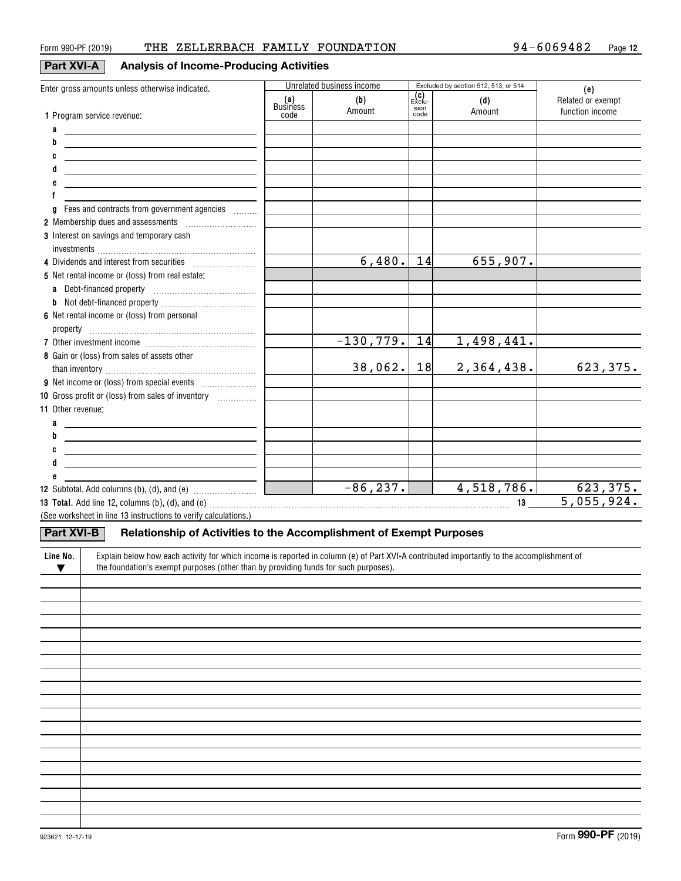## **Part XVI**

| I-A I |  |  | <b>Analysis of Income-Producing Activities</b> |  |
|-------|--|--|------------------------------------------------|--|
|-------|--|--|------------------------------------------------|--|

| Enter gross amounts unless otherwise indicated.                                                                                                       |                 | Unrelated business income |              | Excluded by section 512, 513, or 514 | (e)               |
|-------------------------------------------------------------------------------------------------------------------------------------------------------|-----------------|---------------------------|--------------|--------------------------------------|-------------------|
|                                                                                                                                                       | (a)<br>Business | (b)                       | Exclu-       | (d)                                  | Related or exempt |
| 1 Program service revenue:                                                                                                                            | code            | Amount                    | sion<br>code | Amount                               | function income   |
| a<br>the control of the control of the control of the control of the control of                                                                       |                 |                           |              |                                      |                   |
| b                                                                                                                                                     |                 |                           |              |                                      |                   |
| <u> 1989 - Johann Stoff, deutscher Stoffen und der Stoffen und der Stoffen und der Stoffen und der Stoffen und der</u>                                |                 |                           |              |                                      |                   |
| the control of the control of the control of the control of the control of the control of                                                             |                 |                           |              |                                      |                   |
| d<br><u> 1989 - Johann Barn, amerikansk politiker (d. 1989)</u>                                                                                       |                 |                           |              |                                      |                   |
| <u> 1989 - Johann Barbara, martxa eta idazlea (h. 1989).</u>                                                                                          |                 |                           |              |                                      |                   |
|                                                                                                                                                       |                 |                           |              |                                      |                   |
| Fees and contracts from government agencies<br>a                                                                                                      |                 |                           |              |                                      |                   |
| 2 Membership dues and assessments [111] Membership dues and assessments                                                                               |                 |                           |              |                                      |                   |
| 3 Interest on savings and temporary cash                                                                                                              |                 |                           |              |                                      |                   |
|                                                                                                                                                       |                 |                           |              |                                      |                   |
|                                                                                                                                                       |                 | 6,480.                    | 14           | 655,907.                             |                   |
| 5 Net rental income or (loss) from real estate:                                                                                                       |                 |                           |              |                                      |                   |
| a Debt-financed property [11] [11] Debt-financed property                                                                                             |                 |                           |              |                                      |                   |
|                                                                                                                                                       |                 |                           |              |                                      |                   |
| 6 Net rental income or (loss) from personal                                                                                                           |                 |                           |              |                                      |                   |
|                                                                                                                                                       |                 |                           |              |                                      |                   |
|                                                                                                                                                       |                 | $-130, 779.$              | 14           | 1,498,441.                           |                   |
| 8 Gain or (loss) from sales of assets other                                                                                                           |                 |                           |              |                                      |                   |
|                                                                                                                                                       |                 | 38,062.                   | 18           | 2,364,438.                           | 623,375.          |
|                                                                                                                                                       |                 |                           |              |                                      |                   |
| 10 Gross profit or (loss) from sales of inventory                                                                                                     |                 |                           |              |                                      |                   |
| 11 Other revenue:                                                                                                                                     |                 |                           |              |                                      |                   |
| a                                                                                                                                                     |                 |                           |              |                                      |                   |
| <u> 1989 - Johann Barn, amerikansk politiker (d. 1989)</u><br>b                                                                                       |                 |                           |              |                                      |                   |
| <u> 1989 - Johann Stoff, deutscher Stoff, der Stoff, der Stoff, der Stoff, der Stoff, der Stoff, der Stoff, der S</u>                                 |                 |                           |              |                                      |                   |
| <u> 1989 - Johann John Stone, markin fizikar (h. 1982).</u>                                                                                           |                 |                           |              |                                      |                   |
| <u> 1989 - Johann Stoff, deutscher Stoffen und der Stoffen und der Stoffen und der Stoffen und der Stoffen und der</u>                                |                 |                           |              |                                      |                   |
| е                                                                                                                                                     |                 | $-86, 237.$               |              | 4,518,786.                           | 623, 375.         |
| <b>12</b> Subtotal. Add columns (b), (d), and (e) $\ldots$ [                                                                                          |                 |                           |              |                                      | 5,055,924.        |
|                                                                                                                                                       |                 |                           |              |                                      |                   |
| (See worksheet in line 13 instructions to verify calculations.)                                                                                       |                 |                           |              |                                      |                   |
| <b>Part XVI-B</b><br>Relationship of Activities to the Accomplishment of Exempt Purposes                                                              |                 |                           |              |                                      |                   |
|                                                                                                                                                       |                 |                           |              |                                      |                   |
| Explain below how each activity for which income is reported in column (e) of Part XVI-A contributed importantly to the accomplishment of<br>Line No. |                 |                           |              |                                      |                   |
| the foundation's exempt purposes (other than by providing funds for such purposes).<br>$\blacktriangledown$                                           |                 |                           |              |                                      |                   |
|                                                                                                                                                       |                 |                           |              |                                      |                   |
|                                                                                                                                                       |                 |                           |              |                                      |                   |
|                                                                                                                                                       |                 |                           |              |                                      |                   |
|                                                                                                                                                       |                 |                           |              |                                      |                   |
|                                                                                                                                                       |                 |                           |              |                                      |                   |
|                                                                                                                                                       |                 |                           |              |                                      |                   |
|                                                                                                                                                       |                 |                           |              |                                      |                   |
|                                                                                                                                                       |                 |                           |              |                                      |                   |
|                                                                                                                                                       |                 |                           |              |                                      |                   |
|                                                                                                                                                       |                 |                           |              |                                      |                   |
|                                                                                                                                                       |                 |                           |              |                                      |                   |
|                                                                                                                                                       |                 |                           |              |                                      |                   |
|                                                                                                                                                       |                 |                           |              |                                      |                   |
|                                                                                                                                                       |                 |                           |              |                                      |                   |
|                                                                                                                                                       |                 |                           |              |                                      |                   |
|                                                                                                                                                       |                 |                           |              |                                      |                   |
|                                                                                                                                                       |                 |                           |              |                                      |                   |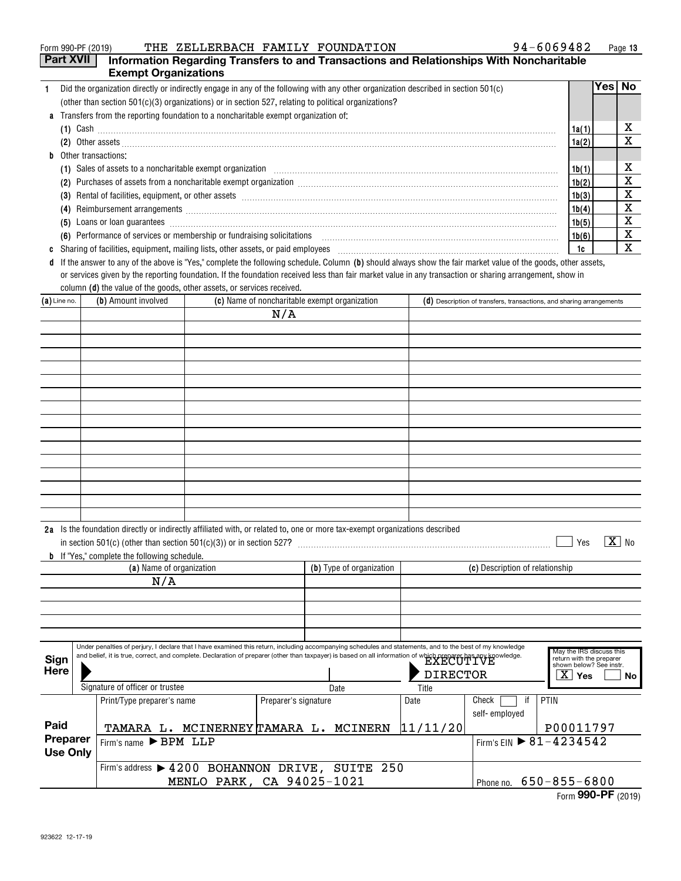| 94-6069482<br>THE ZELLERBACH FAMILY FOUNDATION<br>Form 990-PF (2019)                                                                                                                                                                        |       |      | Page 13 |
|---------------------------------------------------------------------------------------------------------------------------------------------------------------------------------------------------------------------------------------------|-------|------|---------|
| <b>Part XVII</b><br>Information Regarding Transfers to and Transactions and Relationships With Noncharitable                                                                                                                                |       |      |         |
| <b>Exempt Organizations</b>                                                                                                                                                                                                                 |       |      |         |
| Did the organization directly or indirectly engage in any of the following with any other organization described in section 501(c)                                                                                                          |       | Yes⊺ | No.     |
| (other than section $501(c)(3)$ organizations) or in section 527, relating to political organizations?                                                                                                                                      |       |      |         |
| <b>a</b> Transfers from the reporting foundation to a noncharitable exempt organization of:                                                                                                                                                 |       |      |         |
| $(1)$ Cash $\ldots$                                                                                                                                                                                                                         | 1a(1) |      | x       |
|                                                                                                                                                                                                                                             | 1a(2) |      | x       |
| <b>b</b> Other transactions:                                                                                                                                                                                                                |       |      |         |
|                                                                                                                                                                                                                                             | 1b(1) |      | х       |
| (2)                                                                                                                                                                                                                                         | 1b(2) |      | х       |
| (3)                                                                                                                                                                                                                                         | 1b(3) |      | X       |
| Reimbursement arrangements [111] March 2016 (2016) and the contract of the contract of the contract of the contract of the contract of the contract of the contract of the contract of the contract of the contract of the con<br>(4)       | 1b(4) |      | х       |
| Loans or loan guarantees <b>contract the contract of the contract of the contract of the contract of the contract of the contract of the contract of the contract of the contract of the contract of the contract of the contrac</b><br>(5) | 1b(5) |      | х       |
| (6) Performance of services or membership or fundraising solicitations [11] content to content the performance of services or membership or fundraising solicitations [11] [12] content to Performance of services or membersh              | 1b(6) |      | х       |
| Sharing of facilities, equipment, mailing lists, other assets, or paid employees [11] manufactures manufactures and the state in the state of the state of the state of the state of the state of the state of the state of th              | 1c    |      | х       |
| d If the answer to any of the above is "Yes," complete the following schedule. Column (b) should always show the fair market value of the goods, other assets,                                                                              |       |      |         |

column **(d)** the value of the goods, other assets, or services received. or services given by the reporting foundation. If the foundation received less than fair market value in any transaction or sharing arrangement, show in

| $(a)$ Line no.      | (b) Amount involved                                                                                                                                                                                                                                                                                                       |                      | (c) Name of noncharitable exempt organization |                 | (d) Description of transfers, transactions, and sharing arrangements |    |                                                      |                   |
|---------------------|---------------------------------------------------------------------------------------------------------------------------------------------------------------------------------------------------------------------------------------------------------------------------------------------------------------------------|----------------------|-----------------------------------------------|-----------------|----------------------------------------------------------------------|----|------------------------------------------------------|-------------------|
|                     |                                                                                                                                                                                                                                                                                                                           | N/A                  |                                               |                 |                                                                      |    |                                                      |                   |
|                     |                                                                                                                                                                                                                                                                                                                           |                      |                                               |                 |                                                                      |    |                                                      |                   |
|                     |                                                                                                                                                                                                                                                                                                                           |                      |                                               |                 |                                                                      |    |                                                      |                   |
|                     |                                                                                                                                                                                                                                                                                                                           |                      |                                               |                 |                                                                      |    |                                                      |                   |
|                     |                                                                                                                                                                                                                                                                                                                           |                      |                                               |                 |                                                                      |    |                                                      |                   |
|                     |                                                                                                                                                                                                                                                                                                                           |                      |                                               |                 |                                                                      |    |                                                      |                   |
|                     |                                                                                                                                                                                                                                                                                                                           |                      |                                               |                 |                                                                      |    |                                                      |                   |
|                     |                                                                                                                                                                                                                                                                                                                           |                      |                                               |                 |                                                                      |    |                                                      |                   |
|                     |                                                                                                                                                                                                                                                                                                                           |                      |                                               |                 |                                                                      |    |                                                      |                   |
|                     |                                                                                                                                                                                                                                                                                                                           |                      |                                               |                 |                                                                      |    |                                                      |                   |
|                     |                                                                                                                                                                                                                                                                                                                           |                      |                                               |                 |                                                                      |    |                                                      |                   |
|                     |                                                                                                                                                                                                                                                                                                                           |                      |                                               |                 |                                                                      |    |                                                      |                   |
|                     |                                                                                                                                                                                                                                                                                                                           |                      |                                               |                 |                                                                      |    |                                                      |                   |
|                     |                                                                                                                                                                                                                                                                                                                           |                      |                                               |                 |                                                                      |    |                                                      |                   |
|                     |                                                                                                                                                                                                                                                                                                                           |                      |                                               |                 |                                                                      |    |                                                      |                   |
|                     |                                                                                                                                                                                                                                                                                                                           |                      |                                               |                 |                                                                      |    |                                                      |                   |
|                     | 2a Is the foundation directly or indirectly affiliated with, or related to, one or more tax-exempt organizations described                                                                                                                                                                                                |                      |                                               |                 |                                                                      |    |                                                      |                   |
|                     | in section 501(c) (other than section $501(c)(3)$ ) or in section 527?                                                                                                                                                                                                                                                    |                      |                                               |                 |                                                                      |    | Yes                                                  | $\overline{X}$ No |
|                     | <b>b</b> If "Yes," complete the following schedule.                                                                                                                                                                                                                                                                       |                      |                                               |                 |                                                                      |    |                                                      |                   |
|                     | (a) Name of organization                                                                                                                                                                                                                                                                                                  |                      | (b) Type of organization                      |                 | (c) Description of relationship                                      |    |                                                      |                   |
|                     | N/A                                                                                                                                                                                                                                                                                                                       |                      |                                               |                 |                                                                      |    |                                                      |                   |
|                     |                                                                                                                                                                                                                                                                                                                           |                      |                                               |                 |                                                                      |    |                                                      |                   |
|                     |                                                                                                                                                                                                                                                                                                                           |                      |                                               |                 |                                                                      |    |                                                      |                   |
|                     |                                                                                                                                                                                                                                                                                                                           |                      |                                               |                 |                                                                      |    |                                                      |                   |
|                     |                                                                                                                                                                                                                                                                                                                           |                      |                                               |                 |                                                                      |    |                                                      |                   |
|                     | Under penalties of perjury, I declare that I have examined this return, including accompanying schedules and statements, and to the best of my knowledge<br>and belief, it is true, correct, and complete. Declaration of preparer (other than taxpayer) is based on all information of which preparer has any knowledge. |                      |                                               |                 |                                                                      |    | May the IRS discuss this<br>return with the preparer |                   |
| <b>Sign</b><br>Here |                                                                                                                                                                                                                                                                                                                           |                      |                                               |                 |                                                                      |    | shown below? See instr.                              |                   |
|                     |                                                                                                                                                                                                                                                                                                                           |                      |                                               | <b>DIRECTOR</b> |                                                                      |    | $\overline{X}$ Yes                                   | No                |
|                     | Signature of officer or trustee                                                                                                                                                                                                                                                                                           |                      | Date                                          | Title           |                                                                      |    |                                                      |                   |
|                     | Print/Type preparer's name                                                                                                                                                                                                                                                                                                | Preparer's signature |                                               | Date            | Check                                                                | if | PTIN                                                 |                   |

|                 | Print/Type preparer's name                      | Preparer's signature      | Date     | Check<br>if I  | PTIN                         |  |  |
|-----------------|-------------------------------------------------|---------------------------|----------|----------------|------------------------------|--|--|
|                 |                                                 |                           |          | self- employed |                              |  |  |
| Paid            | TAMARA L. MCINERNEY TAMARA L. MCINERN           |                           | 11/11/20 |                | P00011797                    |  |  |
| Preparer        | Firm's name $\blacktriangleright$ BPM LLP       |                           |          |                |                              |  |  |
| <b>Use Only</b> |                                                 |                           |          |                |                              |  |  |
|                 | Firm's address > 4200 BOHANNON DRIVE, SUITE 250 |                           |          |                |                              |  |  |
|                 |                                                 | MENLO PARK, CA 94025-1021 |          |                | Phone no. $650 - 855 - 6800$ |  |  |

Form (2019) **990-PF**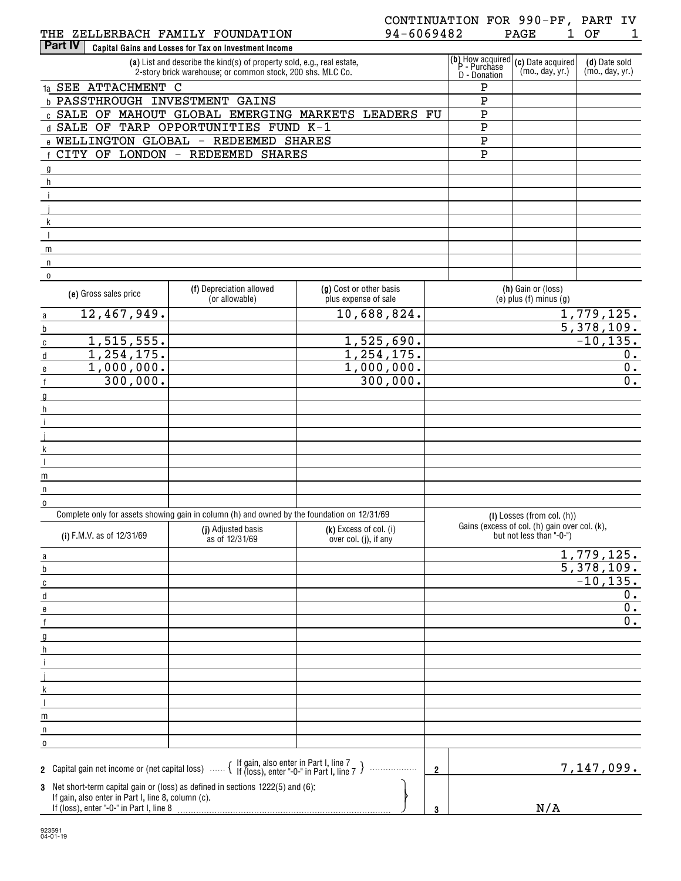| THE     | <b><i>LELLERBAC</i></b><br>10. | FAMILY<br>п.   | <b>TION</b><br>־Am) ה<br>īΝ           | $\overline{ }$ | PAGE | ∩ஈ<br>ັ |  |
|---------|--------------------------------|----------------|---------------------------------------|----------------|------|---------|--|
| Part iv | Capital Gains<br>and           | . Losses for 1 | <sup>.</sup> Tax on Investment Income |                |      |         |  |

| (a) List and describe the kind(s) of property sold, e.g., real estate,<br>2-story brick warehouse; or common stock, 200 shs. MLC Co. | D - Donation | $\begin{bmatrix} \textbf{(b)} \text{ How acquired} \\ \text{P} \text{ - Purchase} \end{bmatrix}$ (c) Date acquired<br>(mo., day, yr.) | (d) Date sold<br>(mo., day, yr.) |
|--------------------------------------------------------------------------------------------------------------------------------------|--------------|---------------------------------------------------------------------------------------------------------------------------------------|----------------------------------|
| 1a SEE ATTACHMENT C                                                                                                                  | Ρ            |                                                                                                                                       |                                  |
| b PASSTHROUGH INVESTMENT<br>GAINS                                                                                                    | Ρ            |                                                                                                                                       |                                  |
| EMERGING MARKETS<br>GLOBAL<br><b>LEADERS FU</b><br>c SALE OF<br>MAHOUT                                                               | P            |                                                                                                                                       |                                  |
| OPPORTUNITIES FUND K-1<br>OF<br>TARP<br>d SALE                                                                                       | Ρ            |                                                                                                                                       |                                  |
| e WELLINGTON<br>GLOBAL<br>REDEEMED<br><b>SHARES</b><br>$\overline{\phantom{m}}$                                                      | P            |                                                                                                                                       |                                  |
| REDEEMED<br>CITY<br>OF<br>LONDON<br>SHARES<br>$\qquad \qquad -$                                                                      | P            |                                                                                                                                       |                                  |
|                                                                                                                                      |              |                                                                                                                                       |                                  |
|                                                                                                                                      |              |                                                                                                                                       |                                  |
|                                                                                                                                      |              |                                                                                                                                       |                                  |
|                                                                                                                                      |              |                                                                                                                                       |                                  |
|                                                                                                                                      |              |                                                                                                                                       |                                  |
|                                                                                                                                      |              |                                                                                                                                       |                                  |
| m                                                                                                                                    |              |                                                                                                                                       |                                  |
|                                                                                                                                      |              |                                                                                                                                       |                                  |
| 0                                                                                                                                    |              |                                                                                                                                       |                                  |

| (e) Gross sales price                                                                                                                                                                                                               | (f) Depreciation allowed<br>(or allowable)                                                  | (g) Cost or other basis<br>plus expense of sale   | (h) Gain or (loss)<br>$(e)$ plus $(f)$ minus $(g)$                        |
|-------------------------------------------------------------------------------------------------------------------------------------------------------------------------------------------------------------------------------------|---------------------------------------------------------------------------------------------|---------------------------------------------------|---------------------------------------------------------------------------|
| 12,467,949.<br>$\overline{a}$                                                                                                                                                                                                       |                                                                                             | 10,688,824.                                       | 1,779,125.                                                                |
| $\underline{b}$                                                                                                                                                                                                                     |                                                                                             |                                                   | 5,378,109.                                                                |
| 1, 515, 555.<br>$\overline{c}$                                                                                                                                                                                                      |                                                                                             | 1,525,690.                                        | $-10, 135.$                                                               |
| 1, 254, 175.<br>$\sf d$                                                                                                                                                                                                             |                                                                                             | 1, 254, 175.                                      | 0.                                                                        |
| 1,000,000.<br>$\mathbf{e}$                                                                                                                                                                                                          |                                                                                             | 1,000,000.                                        | $\overline{0}$ .                                                          |
| 300,000.<br>$\mathsf{f}$                                                                                                                                                                                                            |                                                                                             | 300,000.                                          | $\overline{0}$ .                                                          |
| g                                                                                                                                                                                                                                   |                                                                                             |                                                   |                                                                           |
| h                                                                                                                                                                                                                                   |                                                                                             |                                                   |                                                                           |
|                                                                                                                                                                                                                                     |                                                                                             |                                                   |                                                                           |
|                                                                                                                                                                                                                                     |                                                                                             |                                                   |                                                                           |
|                                                                                                                                                                                                                                     |                                                                                             |                                                   |                                                                           |
| $\overline{\phantom{a}}$                                                                                                                                                                                                            |                                                                                             |                                                   |                                                                           |
| m                                                                                                                                                                                                                                   |                                                                                             |                                                   |                                                                           |
| $\sf n$                                                                                                                                                                                                                             |                                                                                             |                                                   |                                                                           |
| $\overline{0}$                                                                                                                                                                                                                      |                                                                                             |                                                   |                                                                           |
|                                                                                                                                                                                                                                     | Complete only for assets showing gain in column (h) and owned by the foundation on 12/31/69 |                                                   | $(I)$ Losses (from col. $(h)$ )                                           |
| (i) F.M.V. as of 12/31/69                                                                                                                                                                                                           | (j) Adjusted basis<br>as of 12/31/69                                                        | $(k)$ Excess of col. (i)<br>over col. (j), if any | Gains (excess of col. (h) gain over col. (k),<br>but not less than "-0-") |
| a                                                                                                                                                                                                                                   |                                                                                             |                                                   | 1,779,125.                                                                |
| b                                                                                                                                                                                                                                   |                                                                                             |                                                   | $\overline{5,378,109.}$                                                   |
| C                                                                                                                                                                                                                                   |                                                                                             |                                                   | $-10, 135.$                                                               |
| $\sf d$                                                                                                                                                                                                                             |                                                                                             |                                                   | 0.                                                                        |
| e                                                                                                                                                                                                                                   |                                                                                             |                                                   | $\overline{0}$ .                                                          |
| $\mathsf{f}$                                                                                                                                                                                                                        |                                                                                             |                                                   | $\overline{0}$ .                                                          |
| g                                                                                                                                                                                                                                   |                                                                                             |                                                   |                                                                           |
| $\mathsf{h}$                                                                                                                                                                                                                        |                                                                                             |                                                   |                                                                           |
|                                                                                                                                                                                                                                     |                                                                                             |                                                   |                                                                           |
|                                                                                                                                                                                                                                     |                                                                                             |                                                   |                                                                           |
| k                                                                                                                                                                                                                                   |                                                                                             |                                                   |                                                                           |
| $\overline{1}$                                                                                                                                                                                                                      |                                                                                             |                                                   |                                                                           |
| m                                                                                                                                                                                                                                   |                                                                                             |                                                   |                                                                           |
| n                                                                                                                                                                                                                                   |                                                                                             |                                                   |                                                                           |
| 0                                                                                                                                                                                                                                   |                                                                                             |                                                   |                                                                           |
| 2 Capital gain net income or (net capital loss) $\ldots$ $\left\{ \begin{array}{l}$ If gain, also enter in Part I, line 7 $\end{array} \right\}$<br>3 Net short-term capital gain or (loss) as defined in sections 1222(5) and (6): |                                                                                             | .                                                 | 7,147,099.<br>$\overline{2}$                                              |
| If gain, also enter in Part I, line 8, column (c).<br>If (loss), enter "-0-" in Part I, line 8                                                                                                                                      |                                                                                             |                                                   | N/A<br>3                                                                  |

923591 04-01-19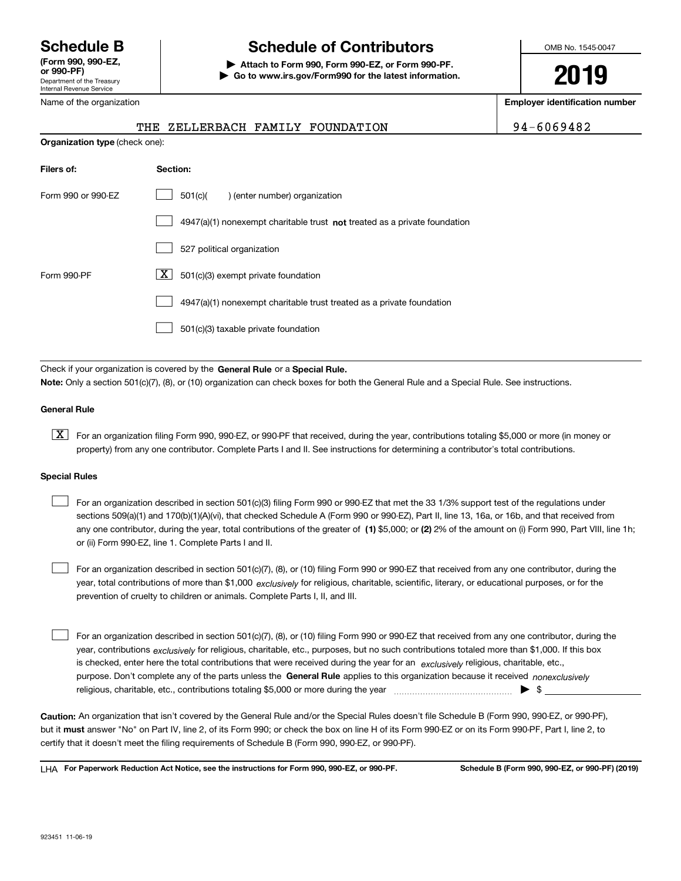Department of the Treasury Internal Revenue Service **(Form 990, 990-EZ, or 990-PF)**

## **Schedule B Schedule of Contributors**

**| Attach to Form 990, Form 990-EZ, or Form 990-PF. | Go to www.irs.gov/Form990 for the latest information.** OMB No. 1545-0047

**2019**

**Employer identification number**

|  |  |  | 94-6069482 |  |  |
|--|--|--|------------|--|--|
|  |  |  |            |  |  |

|  | Name of the organization |
|--|--------------------------|
|  |                          |

## **Organization type** (check one): **Filers of: Section:** 4947(a)(1) nonexempt charitable trust not treated as a private foundation Form 990 or 990-EZ  $\qquad \qquad$  501(c)( ) (enter number) organization 527 political organization Form 990-PF  $\overline{\mathbf{X}}$  501(c)(3) exempt private foundation 4947(a)(1) nonexempt charitable trust treated as a private foundation  $\mathcal{L}^{\text{max}}$  $\mathcal{L}^{\text{max}}$  $\mathcal{L}^{\text{max}}$  $\mathcal{L}^{\text{max}}$ THE ZELLERBACH FAMILY FOUNDATION

501(c)(3) taxable private foundation  $\mathcal{L}^{\text{max}}$ 

Check if your organization is covered by the **General Rule** or a **Special Rule. Note:**  Only a section 501(c)(7), (8), or (10) organization can check boxes for both the General Rule and a Special Rule. See instructions.

#### **General Rule**

 $\boxed{\textbf{X}}$  For an organization filing Form 990, 990-EZ, or 990-PF that received, during the year, contributions totaling \$5,000 or more (in money or property) from any one contributor. Complete Parts I and II. See instructions for determining a contributor's total contributions.

#### **Special Rules**

any one contributor, during the year, total contributions of the greater of  $\,$  (1) \$5,000; or **(2)** 2% of the amount on (i) Form 990, Part VIII, line 1h; For an organization described in section 501(c)(3) filing Form 990 or 990-EZ that met the 33 1/3% support test of the regulations under sections 509(a)(1) and 170(b)(1)(A)(vi), that checked Schedule A (Form 990 or 990-EZ), Part II, line 13, 16a, or 16b, and that received from or (ii) Form 990-EZ, line 1. Complete Parts I and II.  $\mathcal{L}^{\text{max}}$ 

year, total contributions of more than \$1,000 *exclusively* for religious, charitable, scientific, literary, or educational purposes, or for the For an organization described in section 501(c)(7), (8), or (10) filing Form 990 or 990-EZ that received from any one contributor, during the prevention of cruelty to children or animals. Complete Parts I, II, and III.  $\mathcal{L}^{\text{max}}$ 

purpose. Don't complete any of the parts unless the **General Rule** applies to this organization because it received *nonexclusively* year, contributions <sub>exclusively</sub> for religious, charitable, etc., purposes, but no such contributions totaled more than \$1,000. If this box is checked, enter here the total contributions that were received during the year for an  $\;$ exclusively religious, charitable, etc., For an organization described in section 501(c)(7), (8), or (10) filing Form 990 or 990-EZ that received from any one contributor, during the religious, charitable, etc., contributions totaling \$5,000 or more during the year  $\Box$ — $\Box$  =  $\Box$  $\mathcal{L}^{\text{max}}$ 

**Caution:**  An organization that isn't covered by the General Rule and/or the Special Rules doesn't file Schedule B (Form 990, 990-EZ, or 990-PF),  **must** but it answer "No" on Part IV, line 2, of its Form 990; or check the box on line H of its Form 990-EZ or on its Form 990-PF, Part I, line 2, to certify that it doesn't meet the filing requirements of Schedule B (Form 990, 990-EZ, or 990-PF).

**For Paperwork Reduction Act Notice, see the instructions for Form 990, 990-EZ, or 990-PF. Schedule B (Form 990, 990-EZ, or 990-PF) (2019)** LHA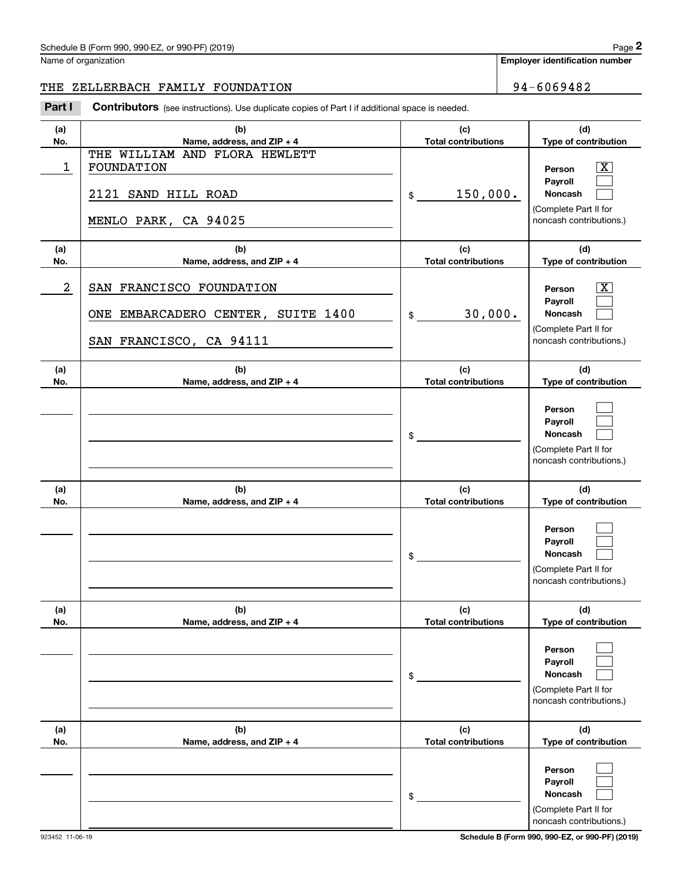Name of organization

**Employer identification number**

### THE ZELLERBACH FAMILY FOUNDATION 94-6069482

Chedule B (Form 990, 990-EZ, or 990-PF) (2019)<br>
lame of organization<br> **2PART I 2PALERBACH FAMILY FOUNDATION**<br> **2Part I Contributors** (see instructions). Use duplicate copies of Part I if additional space is needed.

| (a)<br>No. | (b)<br>Name, address, and ZIP + 4                                                          | (c)<br><b>Total contributions</b> | (d)<br>Type of contribution                                                                               |
|------------|--------------------------------------------------------------------------------------------|-----------------------------------|-----------------------------------------------------------------------------------------------------------|
| 1          | THE WILLIAM AND FLORA HEWLETT<br>FOUNDATION<br>2121 SAND HILL ROAD<br>MENLO PARK, CA 94025 | 150,000.<br>$\mathsf{\$}$         | $\overline{\text{X}}$<br>Person<br>Payroll<br>Noncash<br>(Complete Part II for<br>noncash contributions.) |
| (a)<br>No. | (b)<br>Name, address, and ZIP + 4                                                          | (c)<br><b>Total contributions</b> | (d)<br>Type of contribution                                                                               |
| 2          | SAN FRANCISCO FOUNDATION<br>ONE EMBARCADERO CENTER, SUITE 1400<br>SAN FRANCISCO, CA 94111  | 30,000.<br>$\frac{1}{2}$          | $\overline{\text{X}}$<br>Person<br>Payroll<br>Noncash<br>(Complete Part II for<br>noncash contributions.) |
| (a)<br>No. | (b)<br>Name, address, and ZIP + 4                                                          | (c)<br><b>Total contributions</b> | (d)<br>Type of contribution                                                                               |
|            |                                                                                            | \$                                | Person<br>Payroll<br><b>Noncash</b><br>(Complete Part II for<br>noncash contributions.)                   |
| (a)<br>No. | (b)<br>Name, address, and ZIP + 4                                                          | (c)<br><b>Total contributions</b> | (d)<br>Type of contribution                                                                               |
|            |                                                                                            | \$                                | Person<br>Payroll<br><b>Noncash</b><br>(Complete Part II for<br>noncash contributions.)                   |
| (a)<br>No. | (b)<br>Name, address, and ZIP + 4                                                          | (c)<br><b>Total contributions</b> | (d)<br>Type of contribution                                                                               |
|            |                                                                                            | \$                                | Person<br>Payroll<br>Noncash<br>(Complete Part II for<br>noncash contributions.)                          |
| (a)<br>No. | (b)<br>Name, address, and ZIP + 4                                                          | (c)<br><b>Total contributions</b> | (d)<br>Type of contribution                                                                               |
|            |                                                                                            | \$                                | Person<br>Payroll<br>Noncash<br>(Complete Part II for<br>noncash contributions.)                          |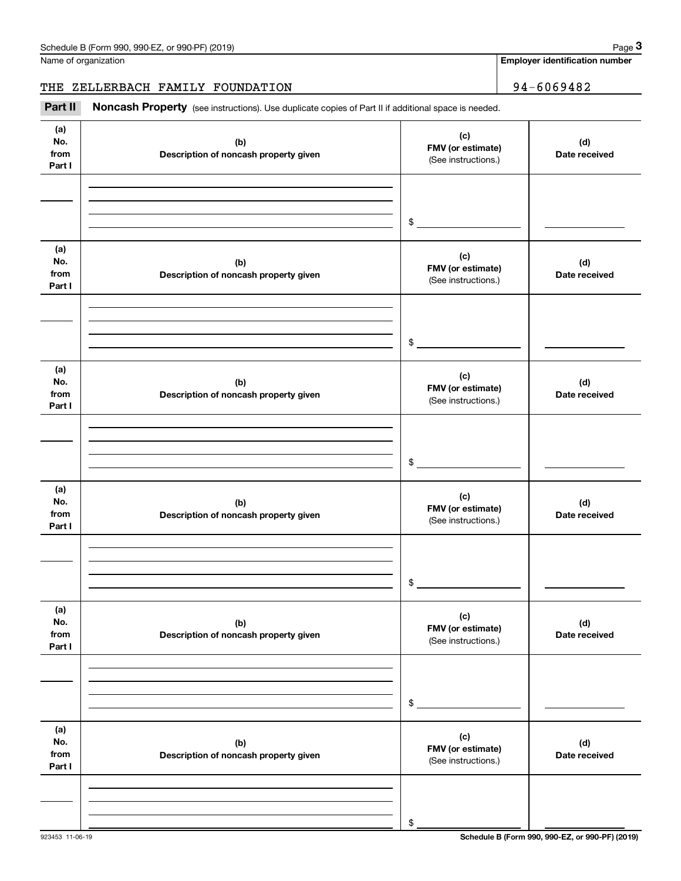Name of organization

**Employer identification number**

## THE ZELLERBACH FAMILY FOUNDATION | 94-6069482

Chedule B (Form 990, 990-EZ, or 990-PF) (2019)<br>
lame of organization<br> **34 – 6069482**<br> **2Part II if additional space is needed.**<br> **Part II Noncash Property** (see instructions). Use duplicate copies of Part II if additional

| (a)<br>No.<br>from<br>Part I | (b)<br>Description of noncash property given | (c)<br>FMV (or estimate)<br>(See instructions.) | (d)<br>Date received |
|------------------------------|----------------------------------------------|-------------------------------------------------|----------------------|
|                              |                                              |                                                 |                      |
|                              |                                              |                                                 |                      |
|                              |                                              | $\frac{1}{2}$                                   |                      |
| (a)<br>No.<br>from<br>Part I | (b)<br>Description of noncash property given | (c)<br>FMV (or estimate)<br>(See instructions.) | (d)<br>Date received |
|                              |                                              |                                                 |                      |
|                              |                                              |                                                 |                      |
|                              |                                              | $$\overbrace{\hspace{2.5cm}}$                   |                      |
| (a)<br>No.<br>from<br>Part I | (b)<br>Description of noncash property given | (c)<br>FMV (or estimate)<br>(See instructions.) | (d)<br>Date received |
|                              |                                              |                                                 |                      |
|                              |                                              |                                                 |                      |
|                              |                                              | $\mathsf{\$}$                                   |                      |
| (a)<br>No.<br>from<br>Part I | (b)<br>Description of noncash property given | (c)<br>FMV (or estimate)<br>(See instructions.) | (d)<br>Date received |
|                              |                                              |                                                 |                      |
|                              |                                              |                                                 |                      |
|                              |                                              | \$                                              |                      |
| (a)<br>No.<br>from<br>Part I | (b)<br>Description of noncash property given | (c)<br>FMV (or estimate)<br>(See instructions.) | (d)<br>Date received |
|                              |                                              |                                                 |                      |
|                              |                                              |                                                 |                      |
|                              |                                              | \$                                              |                      |
| (a)<br>No.<br>from<br>Part I | (b)<br>Description of noncash property given | (c)<br>FMV (or estimate)<br>(See instructions.) | (d)<br>Date received |
|                              |                                              |                                                 |                      |
|                              |                                              |                                                 |                      |
|                              |                                              | \$                                              |                      |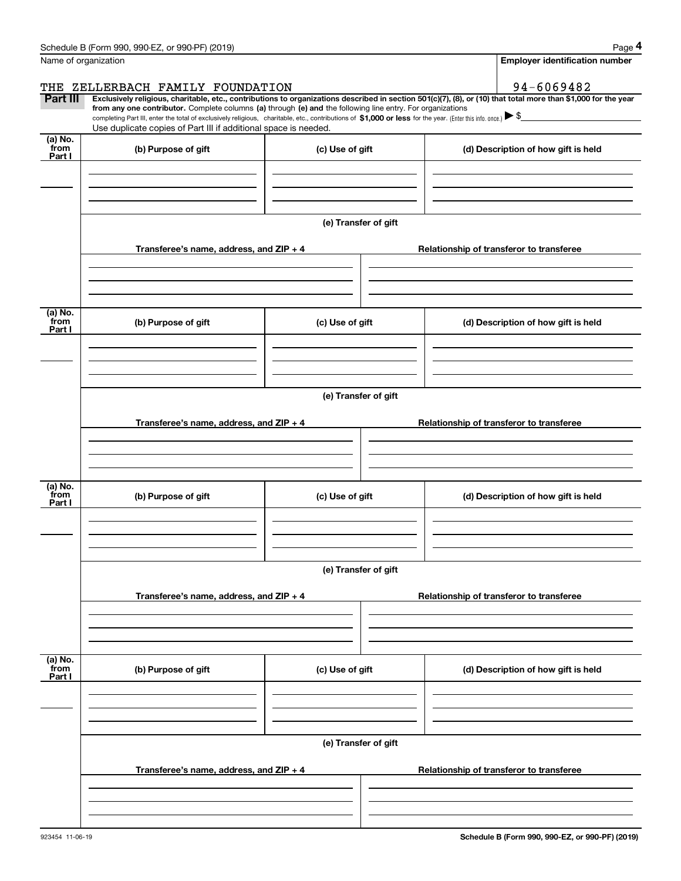|                           | Schedule B (Form 990, 990-EZ, or 990-PF) (2019)                                                                                                                                                                                                                                                                                                 |                      | Page 4                                                                                                                                                         |  |  |  |  |
|---------------------------|-------------------------------------------------------------------------------------------------------------------------------------------------------------------------------------------------------------------------------------------------------------------------------------------------------------------------------------------------|----------------------|----------------------------------------------------------------------------------------------------------------------------------------------------------------|--|--|--|--|
|                           | Name of organization                                                                                                                                                                                                                                                                                                                            |                      | <b>Employer identification number</b>                                                                                                                          |  |  |  |  |
|                           | THE ZELLERBACH FAMILY FOUNDATION                                                                                                                                                                                                                                                                                                                |                      | 94-6069482                                                                                                                                                     |  |  |  |  |
| Part III                  | from any one contributor. Complete columns (a) through (e) and the following line entry. For organizations<br>completing Part III, enter the total of exclusively religious, charitable, etc., contributions of $$1,000$ or less for the year. (Enter this info. once.) $$9$<br>Use duplicate copies of Part III if additional space is needed. |                      | Exclusively religious, charitable, etc., contributions to organizations described in section 501(c)(7), (8), or (10) that total more than \$1,000 for the year |  |  |  |  |
| (a) No.                   |                                                                                                                                                                                                                                                                                                                                                 |                      |                                                                                                                                                                |  |  |  |  |
| from<br>Part I            | (b) Purpose of gift                                                                                                                                                                                                                                                                                                                             | (c) Use of gift      | (d) Description of how gift is held                                                                                                                            |  |  |  |  |
|                           |                                                                                                                                                                                                                                                                                                                                                 | (e) Transfer of gift |                                                                                                                                                                |  |  |  |  |
|                           | Transferee's name, address, and ZIP + 4                                                                                                                                                                                                                                                                                                         |                      | Relationship of transferor to transferee                                                                                                                       |  |  |  |  |
|                           |                                                                                                                                                                                                                                                                                                                                                 |                      |                                                                                                                                                                |  |  |  |  |
| (a) No.<br>from<br>Part I | (b) Purpose of gift                                                                                                                                                                                                                                                                                                                             | (c) Use of gift      | (d) Description of how gift is held                                                                                                                            |  |  |  |  |
|                           |                                                                                                                                                                                                                                                                                                                                                 |                      |                                                                                                                                                                |  |  |  |  |
|                           |                                                                                                                                                                                                                                                                                                                                                 | (e) Transfer of gift |                                                                                                                                                                |  |  |  |  |
|                           | Transferee's name, address, and ZIP + 4                                                                                                                                                                                                                                                                                                         |                      | Relationship of transferor to transferee                                                                                                                       |  |  |  |  |
|                           |                                                                                                                                                                                                                                                                                                                                                 |                      |                                                                                                                                                                |  |  |  |  |
| (a) No.<br>from<br>Part I | (b) Purpose of gift                                                                                                                                                                                                                                                                                                                             | (c) Use of gift      | (d) Description of how gift is held                                                                                                                            |  |  |  |  |
|                           |                                                                                                                                                                                                                                                                                                                                                 |                      |                                                                                                                                                                |  |  |  |  |
|                           | (e) Transfer of gift                                                                                                                                                                                                                                                                                                                            |                      |                                                                                                                                                                |  |  |  |  |
|                           | Transferee's name, address, and $ZIP + 4$                                                                                                                                                                                                                                                                                                       |                      | Relationship of transferor to transferee                                                                                                                       |  |  |  |  |
|                           |                                                                                                                                                                                                                                                                                                                                                 |                      |                                                                                                                                                                |  |  |  |  |
| (a) No.<br>from<br>Part I | (b) Purpose of gift                                                                                                                                                                                                                                                                                                                             | (c) Use of gift      | (d) Description of how gift is held                                                                                                                            |  |  |  |  |
|                           |                                                                                                                                                                                                                                                                                                                                                 |                      |                                                                                                                                                                |  |  |  |  |
|                           |                                                                                                                                                                                                                                                                                                                                                 | (e) Transfer of gift |                                                                                                                                                                |  |  |  |  |
|                           | Transferee's name, address, and ZIP + 4                                                                                                                                                                                                                                                                                                         |                      | Relationship of transferor to transferee                                                                                                                       |  |  |  |  |
|                           |                                                                                                                                                                                                                                                                                                                                                 |                      |                                                                                                                                                                |  |  |  |  |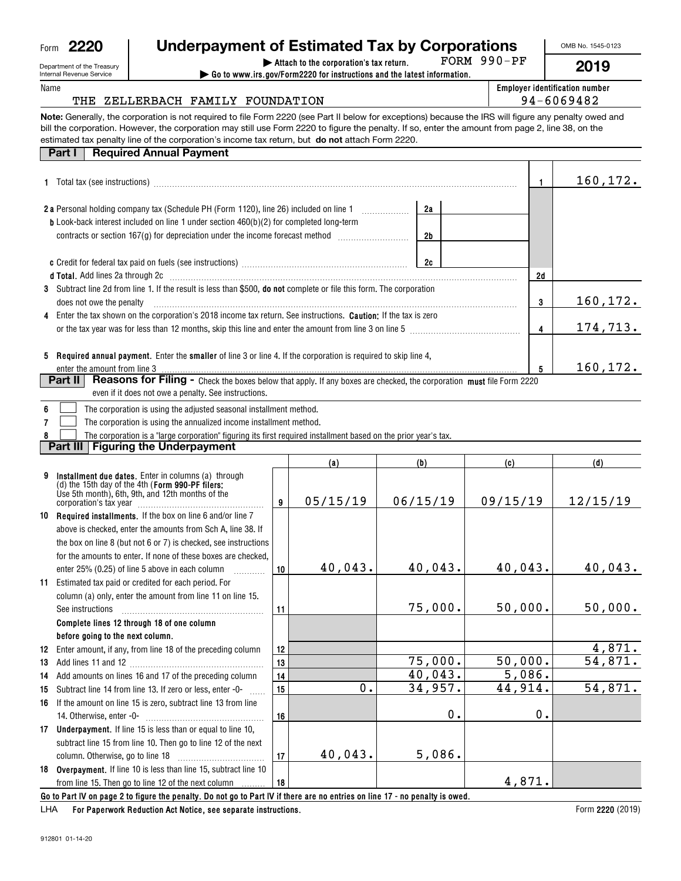|  | c |
|--|---|

|    | 1 Total tax (see instructions) manufacture and content to the set of the content of the set of the set of the set of the set of the set of the set of the set of the set of the set of the set of the set of the set of the se |          |                  |                | 1                       | 160,172.                       |
|----|--------------------------------------------------------------------------------------------------------------------------------------------------------------------------------------------------------------------------------|----------|------------------|----------------|-------------------------|--------------------------------|
|    |                                                                                                                                                                                                                                |          |                  |                |                         |                                |
|    | 2 a Personal holding company tax (Schedule PH (Form 1120), line 26) included on line 1<br><b>b</b> Look-back interest included on line 1 under section 460(b)(2) for completed long-term                                       |          |                  | 2a             |                         |                                |
|    | contracts or section 167(g) for depreciation under the income forecast method [111111111111111111111111111111                                                                                                                  |          |                  | 2 <sub>b</sub> |                         |                                |
|    |                                                                                                                                                                                                                                |          |                  |                |                         |                                |
|    |                                                                                                                                                                                                                                |          |                  | 2c             |                         |                                |
|    |                                                                                                                                                                                                                                |          |                  |                | 2d                      |                                |
|    | 3 Subtract line 2d from line 1. If the result is less than \$500, do not complete or file this form. The corporation                                                                                                           |          |                  |                |                         |                                |
|    | does not owe the penalty                                                                                                                                                                                                       |          |                  |                | 3                       | 160, 172.                      |
|    | Enter the tax shown on the corporation's 2018 income tax return. See instructions. Caution: If the tax is zero                                                                                                                 |          |                  |                |                         |                                |
|    |                                                                                                                                                                                                                                |          |                  |                | $\overline{\mathbf{4}}$ | 174,713.                       |
|    |                                                                                                                                                                                                                                |          |                  |                |                         |                                |
|    | 5 Required annual payment. Enter the smaller of line 3 or line 4. If the corporation is required to skip line 4,<br>enter the amount from line 3                                                                               |          |                  |                | 5                       | 160,172.                       |
|    | Reasons for Filing - Check the boxes below that apply. If any boxes are checked, the corporation must file Form 2220<br><b>Part II</b>                                                                                         |          |                  |                |                         |                                |
|    | even if it does not owe a penalty. See instructions.                                                                                                                                                                           |          |                  |                |                         |                                |
| 6  | The corporation is using the adjusted seasonal installment method.                                                                                                                                                             |          |                  |                |                         |                                |
| 7  | The corporation is using the annualized income installment method.                                                                                                                                                             |          |                  |                |                         |                                |
|    | The corporation is a "large corporation" figuring its first required installment based on the prior year's tax.                                                                                                                |          |                  |                |                         |                                |
|    | <b>Part III   Figuring the Underpayment</b>                                                                                                                                                                                    |          |                  |                |                         |                                |
|    |                                                                                                                                                                                                                                |          | (a)              | (b)            | (c)                     | (d)                            |
| 9  | Installment due dates. Enter in columns (a) through<br>(d) the 15th day of the 4th (Form 990-PF filers:                                                                                                                        |          |                  |                |                         |                                |
|    | Use 5th month), 6th, 9th, and 12th months of the                                                                                                                                                                               |          |                  |                |                         |                                |
|    |                                                                                                                                                                                                                                | 9        | 05/15/19         | 06/15/19       | 09/15/19                | 12/15/19                       |
|    | 10 Required installments. If the box on line 6 and/or line 7                                                                                                                                                                   |          |                  |                |                         |                                |
|    | above is checked, enter the amounts from Sch A, line 38. If                                                                                                                                                                    |          |                  |                |                         |                                |
|    | the box on line 8 (but not 6 or 7) is checked, see instructions                                                                                                                                                                |          |                  |                |                         |                                |
|    | for the amounts to enter. If none of these boxes are checked,                                                                                                                                                                  |          |                  |                |                         |                                |
|    | enter 25% (0.25) of line 5 above in each column<br>.                                                                                                                                                                           | 10       | 40,043.          | 40,043.        | 40,043.                 | 40,043.                        |
| 11 | Estimated tax paid or credited for each period. For                                                                                                                                                                            |          |                  |                |                         |                                |
|    | column (a) only, enter the amount from line 11 on line 15.                                                                                                                                                                     |          |                  |                |                         |                                |
|    | See instructions                                                                                                                                                                                                               | 11       |                  | 75,000.        | 50,000.                 | 50,000.                        |
|    | Complete lines 12 through 18 of one column                                                                                                                                                                                     |          |                  |                |                         |                                |
|    | before going to the next column.                                                                                                                                                                                               |          |                  |                |                         |                                |
|    | 12 Enter amount, if any, from line 18 of the preceding column                                                                                                                                                                  | 12       |                  | 75,000.        | 50,000.                 | 4,871.<br>$\overline{54,871.}$ |
|    |                                                                                                                                                                                                                                | 13       |                  | 40,043.        | 5,086.                  |                                |
|    | 14 Add amounts on lines 16 and 17 of the preceding column                                                                                                                                                                      | 14<br>15 | $\overline{0}$ . | 34,957.        | 44,914.                 | 54,871.                        |
|    | 15 Subtract line 14 from line 13. If zero or less, enter -0-                                                                                                                                                                   |          |                  |                |                         |                                |
|    | 16 If the amount on line 15 is zero, subtract line 13 from line<br>14. Otherwise, enter -0-                                                                                                                                    | 16       |                  | $0$ .          | 0.                      |                                |
|    | 17 Underpayment. If line 15 is less than or equal to line 10,                                                                                                                                                                  |          |                  |                |                         |                                |
|    | subtract line 15 from line 10. Then go to line 12 of the next                                                                                                                                                                  |          |                  |                |                         |                                |
|    | column. Otherwise, go to line 18                                                                                                                                                                                               | 17       | 40,043.          | 5,086.         |                         |                                |
|    | 18 Overpayment. If line 10 is less than line 15, subtract line 10                                                                                                                                                              |          |                  |                |                         |                                |
|    | from line 15. Then go to line 12 of the next column                                                                                                                                                                            | 18       |                  |                | 4,871.                  |                                |
|    | Go to Part IV on page 2 to figure the penalty. Do not go to Part IV if there are no entries on line 17 - no penalty is owed.                                                                                                   |          |                  |                |                         |                                |

FORM 990-PF

**| Attach to the corporation's tax return. | Go to www.irs.gov/Form2220 for instructions and the latest information.**

**Note:**Generally, the corporation is not required to file Form 2220 (see Part II below for exceptions) because the IRS will figure any penalty owed and bill the corporation. However, the corporation may still use Form 2220 to figure the penalty. If so, enter the amount from page 2, line 38, on the

estimated tax penalty line of the corporation's income tax return, but **do not** attach Form 2220.

**Employer identification number** THE ZELLERBACH FAMILY FOUNDATION | 94-6069482

912801 01-14-20

| Department of the Treasury      |
|---------------------------------|
| <b>Internal Revenue Service</b> |

**Part I** Required Annual Payment

Form**2220**

Name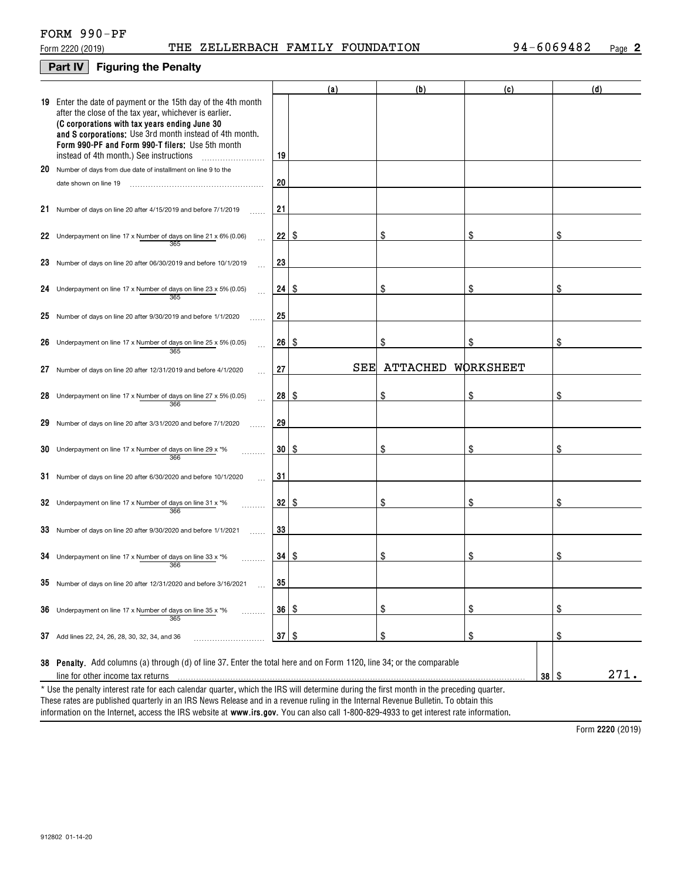### **Part IV Figuring the Penalty**

| 19 Enter the date of payment or the 15th day of the 4th month<br>after the close of the tax year, whichever is earlier.<br>(C corporations with tax years ending June 30<br>and S corporations: Use 3rd month instead of 4th month.<br>Form 990-PF and Form 990-T filers: Use 5th month<br>19<br>instead of 4th month.) See instructions<br>20 Number of days from due date of installment on line 9 to the<br>20<br>date shown on line 19<br>21<br>21 Number of days on line 20 after 4/15/2019 and before 7/1/2019<br>\$<br>\$<br>22<br>\$<br>\$<br>22 Underpayment on line 17 x Number of days on line 21 x 6% (0.06)<br>365<br>23<br>23 Number of days on line 20 after 06/30/2019 and before 10/1/2019<br>\$<br>\$<br>\$<br>24 Underpayment on line 17 x Number of days on line 23 x 5% (0.05)<br>24<br>-S<br>365<br>25<br>25 Number of days on line 20 after $9/30/2019$ and before $1/1/2020$<br>\$<br>\$<br>26<br>\$<br>-S<br>26 Underpayment on line 17 x Number of days on line 25 x 5% (0.05)<br>365<br>SEE<br>ATTACHED<br>WORKSHEET<br>27<br>27<br>Number of days on line 20 after 12/31/2019 and before 4/1/2020<br>\$<br>\$<br>28<br>\$<br>\$<br>28 Underpayment on line 17 x Number of days on line 27 x 5% (0.05)<br>366<br>29<br>29<br>Number of days on line 20 after 3/31/2020 and before 7/1/2020<br>\$<br>\$<br>30<br>\$<br>-S<br>30 Underpayment on line 17 x Number of days on line 29 x $*$ %<br>366<br>31<br>31 Number of days on line 20 after 6/30/2020 and before 10/1/2020<br>\$<br>\$<br>32<br>\$<br>\$<br>32 Underpayment on line 17 x Number of days on line 31 x *%<br>366<br>33<br>33 Number of days on line 20 after 9/30/2020 and before 1/1/2021<br>\$<br>\$<br>\$<br>34<br>  \$<br>34 Underpayment on line 17 x Number of days on line 33 x $*$ %<br>366<br>35 Number of days on line 20 after 12/31/2020 and before 3/16/2021<br>35<br>\$<br>$\frac{1}{2}$<br>\$<br>36<br>-\$<br><b>36</b> Underpayment on line 17 x Number of days on line 35 x $*$ %<br>.<br>365<br>\$<br>$\frac{1}{2}$<br>\$<br>37<br>\$<br>37 Add lines 22, 24, 26, 28, 30, 32, 34, and 36<br>38 Penalty. Add columns (a) through (d) of line 37. Enter the total here and on Form 1120, line 34; or the comparable<br>$38 \mid$ $\frac{6}{3}$ |                                   | (a) | (b) | (c) | (d)  |
|-----------------------------------------------------------------------------------------------------------------------------------------------------------------------------------------------------------------------------------------------------------------------------------------------------------------------------------------------------------------------------------------------------------------------------------------------------------------------------------------------------------------------------------------------------------------------------------------------------------------------------------------------------------------------------------------------------------------------------------------------------------------------------------------------------------------------------------------------------------------------------------------------------------------------------------------------------------------------------------------------------------------------------------------------------------------------------------------------------------------------------------------------------------------------------------------------------------------------------------------------------------------------------------------------------------------------------------------------------------------------------------------------------------------------------------------------------------------------------------------------------------------------------------------------------------------------------------------------------------------------------------------------------------------------------------------------------------------------------------------------------------------------------------------------------------------------------------------------------------------------------------------------------------------------------------------------------------------------------------------------------------------------------------------------------------------------------------------------------------------------------------------------------------------------------------------------------------------------------------------------------------|-----------------------------------|-----|-----|-----|------|
|                                                                                                                                                                                                                                                                                                                                                                                                                                                                                                                                                                                                                                                                                                                                                                                                                                                                                                                                                                                                                                                                                                                                                                                                                                                                                                                                                                                                                                                                                                                                                                                                                                                                                                                                                                                                                                                                                                                                                                                                                                                                                                                                                                                                                                                           |                                   |     |     |     |      |
|                                                                                                                                                                                                                                                                                                                                                                                                                                                                                                                                                                                                                                                                                                                                                                                                                                                                                                                                                                                                                                                                                                                                                                                                                                                                                                                                                                                                                                                                                                                                                                                                                                                                                                                                                                                                                                                                                                                                                                                                                                                                                                                                                                                                                                                           |                                   |     |     |     |      |
|                                                                                                                                                                                                                                                                                                                                                                                                                                                                                                                                                                                                                                                                                                                                                                                                                                                                                                                                                                                                                                                                                                                                                                                                                                                                                                                                                                                                                                                                                                                                                                                                                                                                                                                                                                                                                                                                                                                                                                                                                                                                                                                                                                                                                                                           |                                   |     |     |     |      |
|                                                                                                                                                                                                                                                                                                                                                                                                                                                                                                                                                                                                                                                                                                                                                                                                                                                                                                                                                                                                                                                                                                                                                                                                                                                                                                                                                                                                                                                                                                                                                                                                                                                                                                                                                                                                                                                                                                                                                                                                                                                                                                                                                                                                                                                           |                                   |     |     |     |      |
|                                                                                                                                                                                                                                                                                                                                                                                                                                                                                                                                                                                                                                                                                                                                                                                                                                                                                                                                                                                                                                                                                                                                                                                                                                                                                                                                                                                                                                                                                                                                                                                                                                                                                                                                                                                                                                                                                                                                                                                                                                                                                                                                                                                                                                                           |                                   |     |     |     |      |
|                                                                                                                                                                                                                                                                                                                                                                                                                                                                                                                                                                                                                                                                                                                                                                                                                                                                                                                                                                                                                                                                                                                                                                                                                                                                                                                                                                                                                                                                                                                                                                                                                                                                                                                                                                                                                                                                                                                                                                                                                                                                                                                                                                                                                                                           |                                   |     |     |     |      |
|                                                                                                                                                                                                                                                                                                                                                                                                                                                                                                                                                                                                                                                                                                                                                                                                                                                                                                                                                                                                                                                                                                                                                                                                                                                                                                                                                                                                                                                                                                                                                                                                                                                                                                                                                                                                                                                                                                                                                                                                                                                                                                                                                                                                                                                           |                                   |     |     |     |      |
|                                                                                                                                                                                                                                                                                                                                                                                                                                                                                                                                                                                                                                                                                                                                                                                                                                                                                                                                                                                                                                                                                                                                                                                                                                                                                                                                                                                                                                                                                                                                                                                                                                                                                                                                                                                                                                                                                                                                                                                                                                                                                                                                                                                                                                                           |                                   |     |     |     |      |
|                                                                                                                                                                                                                                                                                                                                                                                                                                                                                                                                                                                                                                                                                                                                                                                                                                                                                                                                                                                                                                                                                                                                                                                                                                                                                                                                                                                                                                                                                                                                                                                                                                                                                                                                                                                                                                                                                                                                                                                                                                                                                                                                                                                                                                                           |                                   |     |     |     |      |
|                                                                                                                                                                                                                                                                                                                                                                                                                                                                                                                                                                                                                                                                                                                                                                                                                                                                                                                                                                                                                                                                                                                                                                                                                                                                                                                                                                                                                                                                                                                                                                                                                                                                                                                                                                                                                                                                                                                                                                                                                                                                                                                                                                                                                                                           |                                   |     |     |     |      |
|                                                                                                                                                                                                                                                                                                                                                                                                                                                                                                                                                                                                                                                                                                                                                                                                                                                                                                                                                                                                                                                                                                                                                                                                                                                                                                                                                                                                                                                                                                                                                                                                                                                                                                                                                                                                                                                                                                                                                                                                                                                                                                                                                                                                                                                           |                                   |     |     |     |      |
|                                                                                                                                                                                                                                                                                                                                                                                                                                                                                                                                                                                                                                                                                                                                                                                                                                                                                                                                                                                                                                                                                                                                                                                                                                                                                                                                                                                                                                                                                                                                                                                                                                                                                                                                                                                                                                                                                                                                                                                                                                                                                                                                                                                                                                                           |                                   |     |     |     |      |
|                                                                                                                                                                                                                                                                                                                                                                                                                                                                                                                                                                                                                                                                                                                                                                                                                                                                                                                                                                                                                                                                                                                                                                                                                                                                                                                                                                                                                                                                                                                                                                                                                                                                                                                                                                                                                                                                                                                                                                                                                                                                                                                                                                                                                                                           |                                   |     |     |     |      |
|                                                                                                                                                                                                                                                                                                                                                                                                                                                                                                                                                                                                                                                                                                                                                                                                                                                                                                                                                                                                                                                                                                                                                                                                                                                                                                                                                                                                                                                                                                                                                                                                                                                                                                                                                                                                                                                                                                                                                                                                                                                                                                                                                                                                                                                           |                                   |     |     |     |      |
|                                                                                                                                                                                                                                                                                                                                                                                                                                                                                                                                                                                                                                                                                                                                                                                                                                                                                                                                                                                                                                                                                                                                                                                                                                                                                                                                                                                                                                                                                                                                                                                                                                                                                                                                                                                                                                                                                                                                                                                                                                                                                                                                                                                                                                                           |                                   |     |     |     |      |
|                                                                                                                                                                                                                                                                                                                                                                                                                                                                                                                                                                                                                                                                                                                                                                                                                                                                                                                                                                                                                                                                                                                                                                                                                                                                                                                                                                                                                                                                                                                                                                                                                                                                                                                                                                                                                                                                                                                                                                                                                                                                                                                                                                                                                                                           |                                   |     |     |     |      |
|                                                                                                                                                                                                                                                                                                                                                                                                                                                                                                                                                                                                                                                                                                                                                                                                                                                                                                                                                                                                                                                                                                                                                                                                                                                                                                                                                                                                                                                                                                                                                                                                                                                                                                                                                                                                                                                                                                                                                                                                                                                                                                                                                                                                                                                           |                                   |     |     |     |      |
|                                                                                                                                                                                                                                                                                                                                                                                                                                                                                                                                                                                                                                                                                                                                                                                                                                                                                                                                                                                                                                                                                                                                                                                                                                                                                                                                                                                                                                                                                                                                                                                                                                                                                                                                                                                                                                                                                                                                                                                                                                                                                                                                                                                                                                                           |                                   |     |     |     |      |
|                                                                                                                                                                                                                                                                                                                                                                                                                                                                                                                                                                                                                                                                                                                                                                                                                                                                                                                                                                                                                                                                                                                                                                                                                                                                                                                                                                                                                                                                                                                                                                                                                                                                                                                                                                                                                                                                                                                                                                                                                                                                                                                                                                                                                                                           |                                   |     |     |     |      |
|                                                                                                                                                                                                                                                                                                                                                                                                                                                                                                                                                                                                                                                                                                                                                                                                                                                                                                                                                                                                                                                                                                                                                                                                                                                                                                                                                                                                                                                                                                                                                                                                                                                                                                                                                                                                                                                                                                                                                                                                                                                                                                                                                                                                                                                           |                                   |     |     |     |      |
|                                                                                                                                                                                                                                                                                                                                                                                                                                                                                                                                                                                                                                                                                                                                                                                                                                                                                                                                                                                                                                                                                                                                                                                                                                                                                                                                                                                                                                                                                                                                                                                                                                                                                                                                                                                                                                                                                                                                                                                                                                                                                                                                                                                                                                                           |                                   |     |     |     |      |
|                                                                                                                                                                                                                                                                                                                                                                                                                                                                                                                                                                                                                                                                                                                                                                                                                                                                                                                                                                                                                                                                                                                                                                                                                                                                                                                                                                                                                                                                                                                                                                                                                                                                                                                                                                                                                                                                                                                                                                                                                                                                                                                                                                                                                                                           | line for other income tax returns |     |     |     | 271. |
| * Use the penalty interest rate for each calendar quarter, which the IRS will determine during the first month in the preceding quarter.                                                                                                                                                                                                                                                                                                                                                                                                                                                                                                                                                                                                                                                                                                                                                                                                                                                                                                                                                                                                                                                                                                                                                                                                                                                                                                                                                                                                                                                                                                                                                                                                                                                                                                                                                                                                                                                                                                                                                                                                                                                                                                                  |                                   |     |     |     |      |

information on the Internet, access the IRS website at **www.irs.gov**. You can also call 1-800-829-4933 to get interest rate information. \* Use the penalty interest rate for each calendar quarter, which the IRS will determine during the first month in the preceding quarter.<br>These rates are published quarterly in an IRS News Release and in a revenue ruling in

**2220**  Form (2019)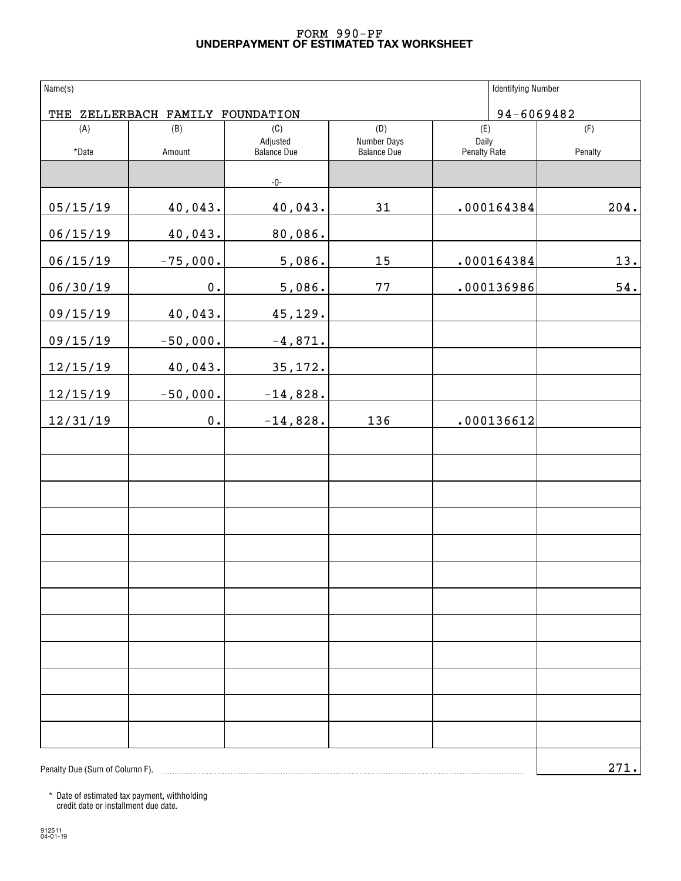#### **UNDERPAYMENT OF ESTIMATED TAX WORKSHEET** FORM 990-PF

| Name(s)                        |                                  |                                       |                                          | <b>Identifying Number</b>           |                |
|--------------------------------|----------------------------------|---------------------------------------|------------------------------------------|-------------------------------------|----------------|
|                                | THE ZELLERBACH FAMILY FOUNDATION |                                       |                                          |                                     | 94-6069482     |
| (A)<br>*Date                   | (B)<br>Amount                    | (C)<br>Adjusted<br><b>Balance Due</b> | (D)<br>Number Days<br><b>Balance Due</b> | (E)<br>Daily<br><b>Penalty Rate</b> | (F)<br>Penalty |
|                                |                                  |                                       |                                          |                                     |                |
|                                |                                  | -0-                                   |                                          |                                     |                |
| 05/15/19                       | 40,043.                          | 40,043.                               | 31                                       | .000164384                          | 204.           |
| 06/15/19                       | 40,043.                          | 80,086.                               |                                          |                                     |                |
| 06/15/19                       | $-75,000.$                       | 5,086.                                | 15                                       | .000164384                          | 13.            |
| 06/30/19                       | $0$ .                            | 5,086.                                | 77                                       | .000136986                          | 54.            |
| 09/15/19                       | 40,043.                          | 45,129.                               |                                          |                                     |                |
| 09/15/19                       | $-50,000.$                       | $-4,871.$                             |                                          |                                     |                |
| 12/15/19                       | 40,043.                          | 35,172.                               |                                          |                                     |                |
| 12/15/19                       | $-50,000.$                       | $-14,828.$                            |                                          |                                     |                |
| 12/31/19                       | $0$ .                            | $-14,828.$                            | 136                                      | .000136612                          |                |
|                                |                                  |                                       |                                          |                                     |                |
|                                |                                  |                                       |                                          |                                     |                |
|                                |                                  |                                       |                                          |                                     |                |
|                                |                                  |                                       |                                          |                                     |                |
|                                |                                  |                                       |                                          |                                     |                |
|                                |                                  |                                       |                                          |                                     |                |
|                                |                                  |                                       |                                          |                                     |                |
|                                |                                  |                                       |                                          |                                     |                |
|                                |                                  |                                       |                                          |                                     |                |
|                                |                                  |                                       |                                          |                                     |                |
|                                |                                  |                                       |                                          |                                     |                |
|                                |                                  |                                       |                                          |                                     |                |
| Penalty Due (Sum of Column F). |                                  |                                       |                                          |                                     | 271.           |

\* Date of estimated tax payment, withholding credit date or installment due date.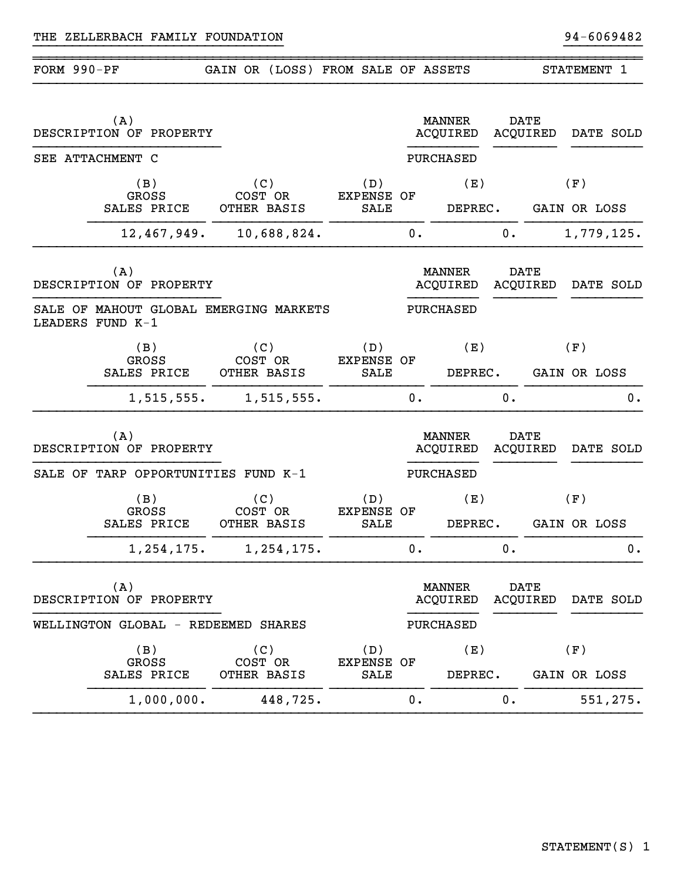| FORM 990-PF |                                                            | GAIN OR (LOSS) FROM SALE OF ASSETS |                                  |       |                           |             |                         | STATEMENT 1                 |
|-------------|------------------------------------------------------------|------------------------------------|----------------------------------|-------|---------------------------|-------------|-------------------------|-----------------------------|
|             | (A)<br>DESCRIPTION OF PROPERTY                             |                                    |                                  |       | MANNER<br>ACQUIRED        | <b>DATE</b> | ACQUIRED                | DATE SOLD                   |
|             | SEE ATTACHMENT C                                           |                                    |                                  |       | PURCHASED                 |             |                         |                             |
|             | (B)<br><b>GROSS</b><br>SALES PRICE                         | (C)<br>COST OR<br>OTHER BASIS      | (D)<br>EXPENSE OF<br>SALE        |       | (E)<br>DEPREC.            |             |                         | (F)<br>GAIN OR LOSS         |
|             | 12,467,949.                                                | 10,688,824.                        |                                  | 0.    |                           | 0.          |                         | 1,779,125.                  |
|             | (A)<br>DESCRIPTION OF PROPERTY                             |                                    |                                  |       | MANNER<br>ACQUIRED        | <b>DATE</b> | ACQUIRED                | DATE SOLD                   |
|             | SALE OF MAHOUT GLOBAL EMERGING MARKETS<br>LEADERS FUND K-1 |                                    |                                  |       | PURCHASED                 |             |                         |                             |
|             | (B)<br>GROSS<br>SALES PRICE                                | (C)<br>COST OR<br>OTHER BASIS      | (D)<br><b>EXPENSE OF</b><br>SALE |       | (E)<br>DEPREC.            |             |                         | (F)<br>GAIN OR LOSS         |
|             | 1,515,555.                                                 | 1,515,555.                         |                                  | 0.    |                           | 0.          |                         | 0.                          |
|             | (A)<br>DESCRIPTION OF PROPERTY                             |                                    |                                  |       | <b>MANNER</b><br>ACQUIRED |             | <b>DATE</b><br>ACQUIRED | DATE SOLD                   |
|             | SALE OF TARP OPPORTUNITIES FUND K-1                        |                                    |                                  |       | PURCHASED                 |             |                         |                             |
|             | (B)<br><b>GROSS</b><br>SALES PRICE                         | (C)<br>COST OR<br>OTHER BASIS      | (D)<br><b>EXPENSE OF</b><br>SALE |       | (E)                       |             |                         | (F)<br>DEPREC. GAIN OR LOSS |
|             | 1,254,175.                                                 | 1,254,175.                         |                                  | $0$ . |                           | 0.          |                         | 0.                          |
|             | (A)<br>DESCRIPTION OF PROPERTY                             |                                    |                                  |       | MANNER<br>ACQUIRED        | <b>DATE</b> | ACQUIRED                | DATE SOLD                   |
|             | WELLINGTON GLOBAL - REDEEMED SHARES                        |                                    |                                  |       | PURCHASED                 |             |                         |                             |
|             | (B)<br>GROSS<br>SALES PRICE                                | (C)<br>COST OR<br>OTHER BASIS      | (D)<br><b>EXPENSE OF</b><br>SALE |       | (E)<br>DEPREC.            |             |                         | (F)<br>GAIN OR LOSS         |
|             | 1,000,000.                                                 | 448,725.                           |                                  | 0.    |                           | 0.          |                         | 551,275.                    |

}}}}}}}}}}}}}}}}}}}}}}}}}}}}}}}} }}}}}}}}}}

~~~~~~~~~~~~~~~~~~~~~~~~~~~~~~~~~~~~~~~~~~~~~~~~~~~~~~~~~~~~~~~~~~~~~~~~~~~~~~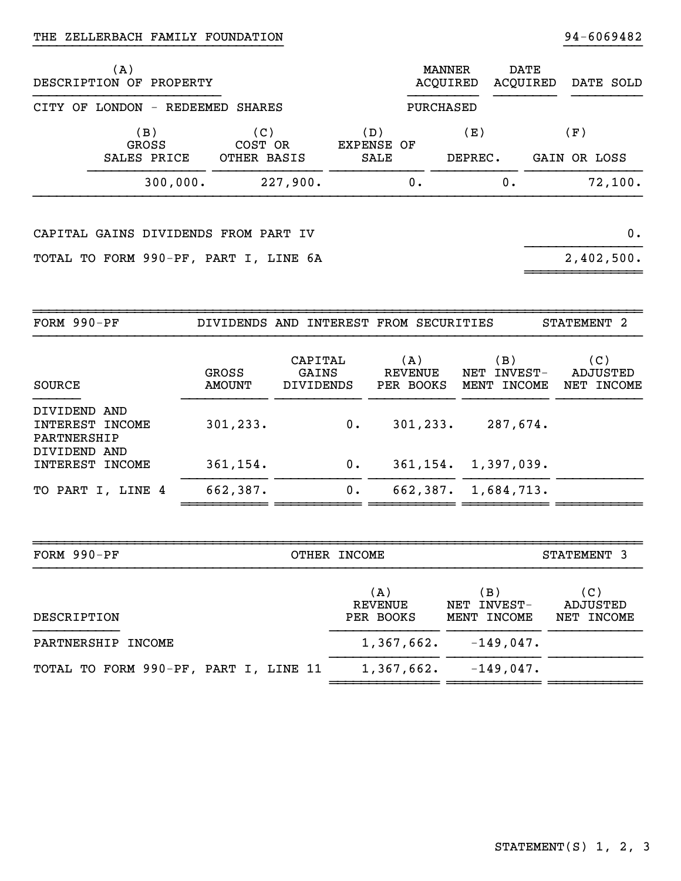#### }}}}}}}}}}}}}}}}}}}}}}}}}}}}}}}}THE ZELLERBACH FAMILY FOUNDATION 34-6069482

| (A)<br>DESCRIPTION OF PROPERTY     |                               |                           |    | MANNER<br>ACOUIRED |    | DATE<br>ACQUIRED | DATE SOLD           |         |
|------------------------------------|-------------------------------|---------------------------|----|--------------------|----|------------------|---------------------|---------|
| CITY OF LONDON - REDEEMED SHARES   |                               |                           |    | PURCHASED          |    |                  |                     |         |
| (B)<br><b>GROSS</b><br>SALES PRICE | (C)<br>COST OR<br>OTHER BASIS | (D)<br>EXPENSE OF<br>SALE |    | (E )<br>DEPREC.    |    |                  | (F)<br>GAIN OR LOSS |         |
| 300,000.                           | 227,900.                      |                           | 0. |                    | 0. |                  |                     | 72,100. |

}}}}}}}}}}

CAPITAL GAINS DIVIDENDS FROM PART IV 0.

TOTAL TO FORM 990-PF, PART I, LINE 6A

 $2,402,500.$ 

~~~~~~~~~~~~~~~~~~

| FORM $990-PF$                                                  |                        | DIVIDENDS AND INTEREST FROM SECURITIES |                                    |                                      | <b>STATEMENT</b><br>- 2       |
|----------------------------------------------------------------|------------------------|----------------------------------------|------------------------------------|--------------------------------------|-------------------------------|
| SOURCE                                                         | <b>GROSS</b><br>AMOUNT | CAPITAL<br>GAINS<br><b>DIVIDENDS</b>   | (A)<br><b>REVENUE</b><br>PER BOOKS | (B)<br>INVEST-<br>NET<br>MENT INCOME | (C)<br>ADJUSTED<br>NET INCOME |
| DIVIDEND AND<br>INTEREST INCOME<br>PARTNERSHIP<br>DIVIDEND AND | 301, 233.              | $0$ .                                  | 301, 233.                          | 287,674.                             |                               |
| INTEREST<br>INCOME                                             | 361, 154.              | 0.                                     | 361, 154.                          | 1,397,039.                           |                               |
| TO PART I, LINE 4                                              | 662,387.               | 0.                                     | 662,387.                           | 1,684,713.                           |                               |

~~~~~~~~~~~ ~~~~~~~~~~~ ~~~~~~~~~~~ ~~~~~~~~~~~ ~~~~~~~~~~~

| FORM 990-PF                           | OTHER INCOME                |                                   | STATEMENT 3                   |
|---------------------------------------|-----------------------------|-----------------------------------|-------------------------------|
| DESCRIPTION                           | (A)<br>REVENUE<br>PER BOOKS | (B)<br>NET INVEST-<br>MENT INCOME | (C)<br>ADJUSTED<br>NET INCOME |
| PARTNERSHIP INCOME                    | 1,367,662.                  | $-149,047$ .                      |                               |
| TOTAL TO FORM 990-PF, PART I, LINE 11 | 1,367,662.                  | $-149,047.$                       |                               |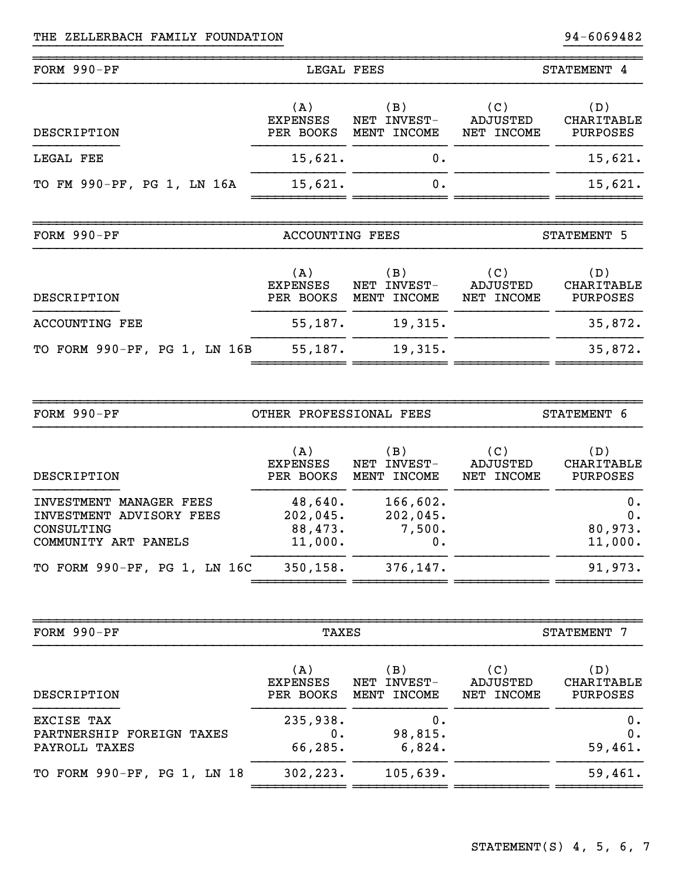~~~~~~~~~~~~~~~~~~~~~~~~~~~~~~~~~~~~~~~~~~~~~~~~~~~~~~~~~~~~~~~~~~~~~~~~~~~~~~

| FORM 990-PF                | LEGAL FEES                          |                                      | STATEMENT 4                   |                                             |  |
|----------------------------|-------------------------------------|--------------------------------------|-------------------------------|---------------------------------------------|--|
| DESCRIPTION                | (A)<br><b>EXPENSES</b><br>PER BOOKS | (B)<br>NET INVEST-<br>MENT INCOME    | (C)<br>ADJUSTED<br>NET INCOME | (D)<br><b>CHARITABLE</b><br><b>PURPOSES</b> |  |
| LEGAL FEE                  | 15,621.                             | 0.                                   |                               | 15,621.                                     |  |
| TO FM 990-PF, PG 1, LN 16A | 15,621.                             | 0.                                   |                               | 15,621.                                     |  |
|                            |                                     |                                      |                               |                                             |  |
|                            |                                     |                                      |                               |                                             |  |
| FORM 990-PF                | <b>ACCOUNTING FEES</b>              |                                      |                               | STATEMENT 5                                 |  |
| DESCRIPTION                | (A)<br><b>EXPENSES</b><br>PER BOOKS | (B)<br>NET<br>INVEST-<br>MENT INCOME | (C)<br>ADJUSTED<br>NET INCOME | (D)<br><b>CHARITABLE</b><br>PURPOSES        |  |
| <b>ACCOUNTING FEE</b>      | 55,187.                             | 19,315.                              |                               | 35,872.                                     |  |

}}}}}}}}}}}}}}}}}}}}}}}}}}}}}}}} }}}}}}}}}}

| FORM 990-PF                                                                               | OTHER PROFESSIONAL FEES                   | STATEMENT 6                          |                               |                                      |
|-------------------------------------------------------------------------------------------|-------------------------------------------|--------------------------------------|-------------------------------|--------------------------------------|
| DESCRIPTION                                                                               | (A)<br><b>EXPENSES</b><br>PER BOOKS       | (B)<br>INVEST-<br>NET<br>MENT INCOME | (C)<br>ADJUSTED<br>NET INCOME | (D)<br>CHARITABLE<br><b>PURPOSES</b> |
| INVESTMENT MANAGER FEES<br>INVESTMENT ADVISORY FEES<br>CONSULTING<br>COMMUNITY ART PANELS | 48,640.<br>202,045.<br>88,473.<br>11,000. | 166,602.<br>202,045.<br>7,500.<br>0. |                               | $0$ .<br>$0$ .<br>80,973.<br>11,000. |
| TO FORM 990-PF, PG 1, LN 16C                                                              | 350, 158.                                 | 376, 147.                            |                               | 91,973.                              |

~~~~~~~~~~~~ ~~~~~~~~~~~~ ~~~~~~~~~~~~ ~~~~~~~~~~~

| FORM 990-PF                                              | TAXES                               | STATEMENT 7                          |                               |                                      |
|----------------------------------------------------------|-------------------------------------|--------------------------------------|-------------------------------|--------------------------------------|
| DESCRIPTION                                              | (A)<br><b>EXPENSES</b><br>PER BOOKS | (B)<br>INVEST-<br>NET<br>MENT INCOME | (C)<br>ADJUSTED<br>NET INCOME | (D)<br>CHARITABLE<br><b>PURPOSES</b> |
| EXCISE TAX<br>PARTNERSHIP FOREIGN TAXES<br>PAYROLL TAXES | 235,938.<br>0.<br>66,285.           | 0.<br>98,815.<br>6,824.              |                               | 0.<br>0.<br>59,461.                  |
| TO FORM 990-PF, PG 1, LN 18                              | 302, 223.                           | 105,639.                             |                               | 59,461.                              |

~~~~~~~~~~~~~~~~~~~~~~~~~~~~~~~~~~~~~~~~~~~~~~~~~~~~~~~~~~~~~~~~~~~~~~~~~~~~~~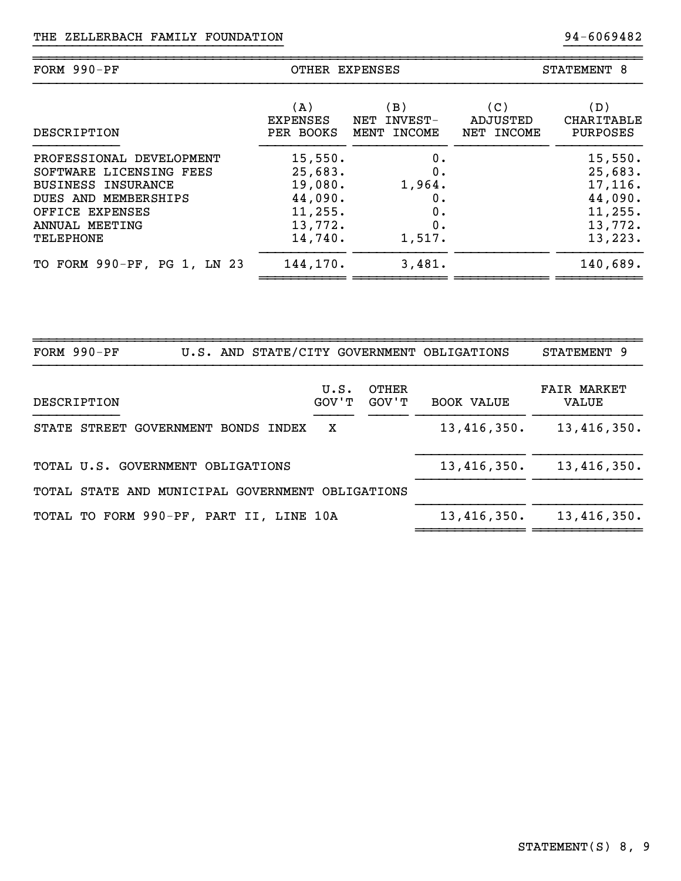| $FORM 990-PF$               | OTHER EXPENSES |             |            | STATEMENT 8 |  |  |
|-----------------------------|----------------|-------------|------------|-------------|--|--|
| DESCRIPTION                 | (A)            | (B)         | (C)        | (D)         |  |  |
|                             | EXPENSES       | NET INVEST- | ADJUSTED   | CHARITABLE  |  |  |
|                             | PER BOOKS      | MENT INCOME | NET INCOME | PURPOSES    |  |  |
| PROFESSIONAL DEVELOPMENT    | 15,550.        | 0.          |            | 15,550.     |  |  |
| SOFTWARE LICENSING FEES     | 25,683.        | 0.          |            | 25,683.     |  |  |
| <b>BUSINESS INSURANCE</b>   | 19,080.        | 1,964.      |            | 17,116.     |  |  |
| DUES AND MEMBERSHIPS        | 44,090.        | 0.          |            | 44,090.     |  |  |
| OFFICE EXPENSES             | 11, 255.       | 0.          |            | 11, 255.    |  |  |
| ANNUAL MEETING              | 13,772.        | 0.          |            | 13,772.     |  |  |
| <b>TELEPHONE</b>            | 14,740.        | 1,517.      |            | 13, 223.    |  |  |
| TO FORM 990-PF, PG 1, LN 23 | 144,170.       | 3,481.      |            | 140,689.    |  |  |

}}}}}}}}}}}}}}}}}}}}}}}}}}}}}}}} }}}}}}}}}}

| FORM $990-PF$ |                                                  |       |   |               |                | U.S. AND STATE/CITY GOVERNMENT OBLIGATIONS | STATEMENT 9                 |
|---------------|--------------------------------------------------|-------|---|---------------|----------------|--------------------------------------------|-----------------------------|
| DESCRIPTION   |                                                  |       |   | U.S.<br>GOV'T | OTHER<br>GOV'T | <b>BOOK VALUE</b>                          | <b>FAIR MARKET</b><br>VALUE |
|               | STATE STREET GOVERNMENT BONDS                    | INDEX | x |               |                | 13,416,350.                                | 13,416,350.                 |
|               | TOTAL U.S. GOVERNMENT OBLIGATIONS                |       |   |               |                | 13,416,350.                                | 13,416,350.                 |
|               | TOTAL STATE AND MUNICIPAL GOVERNMENT OBLIGATIONS |       |   |               |                |                                            |                             |
|               | TOTAL TO FORM 990-PF, PART II, LINE 10A          |       |   |               |                | 13,416,350.                                | 13,416,350.                 |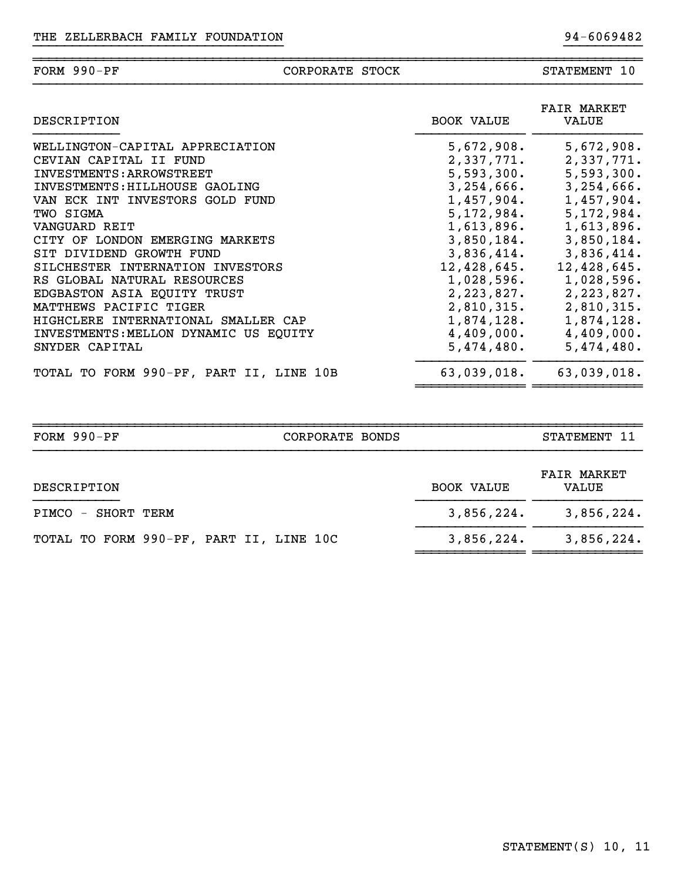#### ~~~~~~~~~~~~~~~~~~~~~~~~~~~~~~~~~~~~~~~~~~~~~~~~~~~~~~~~~~~~~~~~~~~~~~~~~~~~~~FORM 990-PF CORPORATE STOCK STATEMENT 10

}}}}}}}}}}}}}}}}}}}}}}}}}}}}}}}} }}}}}}}}}}

| DESCRIPTION                             | BOOK VALUE    | <b>FAIR MARKET</b><br>VALUE   |
|-----------------------------------------|---------------|-------------------------------|
| WELLINGTON-CAPITAL APPRECIATION         | 5,672,908.    | 5,672,908.                    |
| CEVIAN CAPITAL II FUND                  | 2,337,771.    | 2,337,771.                    |
| INVESTMENTS: ARROWSTREET                | 5,593,300.    | 5,593,300.                    |
| INVESTMENTS: HILLHOUSE GAOLING          |               | $3, 254, 666.$ $3, 254, 666.$ |
| VAN ECK INT INVESTORS GOLD FUND         | 1,457,904.    | 1,457,904.                    |
| TWO SIGMA                               | 5,172,984.    | 5,172,984.                    |
| VANGUARD REIT                           | 1,613,896.    | 1,613,896.                    |
| CITY OF LONDON EMERGING MARKETS         | 3,850,184.    | 3,850,184.                    |
| SIT DIVIDEND GROWTH FUND                |               | $3,836,414.$ $3,836,414.$     |
| SILCHESTER INTERNATION INVESTORS        | 12,428,645.   | 12,428,645.                   |
| RS GLOBAL NATURAL RESOURCES             | $1,028,596$ . | 1,028,596.                    |
| EDGBASTON ASIA EQUITY TRUST             | 2,223,827.    | 2,223,827.                    |
| MATTHEWS PACIFIC TIGER                  |               | 2,810,315. 2,810,315.         |
| HIGHCLERE INTERNATIONAL SMALLER CAP     |               | $1,874,128.$ $1,874,128.$     |
| INVESTMENTS: MELLON DYNAMIC US EQUITY   |               | $4,409,000.$ $4,409,000.$     |
| SNYDER CAPITAL                          | $5,474,480$ . | 5,474,480.                    |
| TOTAL TO FORM 990-PF, PART II, LINE 10B | 63,039,018.   | 63,039,018.                   |

| FORM 990-PF                             | CORPORATE BONDS | STATEMENT 11                                     |
|-----------------------------------------|-----------------|--------------------------------------------------|
| DESCRIPTION                             |                 | <b>FAIR MARKET</b><br><b>BOOK VALUE</b><br>VALUE |
| PIMCO - SHORT TERM                      |                 | 3,856,224.<br>3,856,224.                         |
| TOTAL TO FORM 990-PF, PART II, LINE 10C |                 | 3,856,224.<br>3,856,224.                         |
|                                         |                 |                                                  |

~~~~~~~~~~~~~~ ~~~~~~~~~~~~~~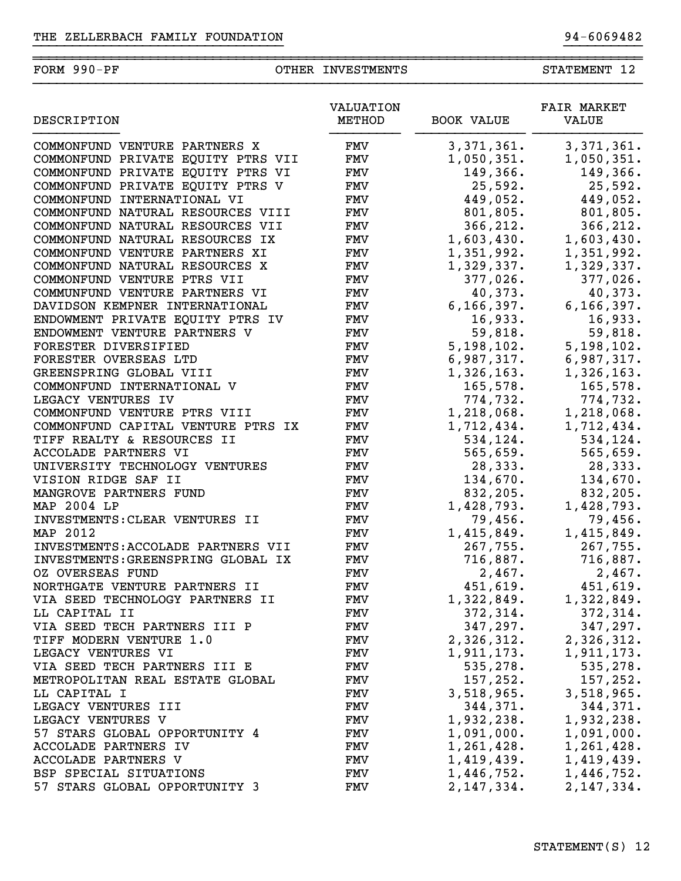## FORM 990-PF OTHER INVESTMENTS STATEMENT 12

}}}}}}}}}}}}}}}}}}}}}}}}}}}}}}}} }}}}}}}}}}

~~~~~~~~~~~~~~~~~~~~~~~~~~~~~~~~~~~~~~~~~~~~~~~~~~~~~~~~~~~~~~~~~~~~~~~~~~~~~~

| DESCRIPTION                        | VALUATION<br>METHOD | <b>BOOK VALUE</b> | <b>FAIR MARKET</b><br>VALUE |  |
|------------------------------------|---------------------|-------------------|-----------------------------|--|
| COMMONFUND VENTURE PARTNERS X      | FMV                 | 3,371,361.        | 3, 371, 361.                |  |
| COMMONFUND PRIVATE EQUITY PTRS VII | <b>FMV</b>          | 1,050,351.        | 1,050,351.                  |  |
| COMMONFUND PRIVATE EQUITY PTRS VI  | <b>FMV</b>          | 149,366.          | 149,366.                    |  |
| COMMONFUND PRIVATE EQUITY PTRS V   | <b>FMV</b>          | 25,592.           | 25,592.                     |  |
| COMMONFUND INTERNATIONAL VI        | <b>FMV</b>          | 449,052.          | 449,052.                    |  |
| COMMONFUND NATURAL RESOURCES VIII  | <b>FMV</b>          | 801,805.          | 801,805.                    |  |
| COMMONFUND NATURAL RESOURCES VII   | <b>FMV</b>          | 366,212.          | 366,212.                    |  |
| COMMONFUND NATURAL RESOURCES IX    | <b>FMV</b>          | 1,603,430.        | 1,603,430.                  |  |
| COMMONFUND VENTURE PARTNERS XI     | <b>FMV</b>          | 1,351,992.        | 1,351,992.                  |  |
| COMMONFUND NATURAL RESOURCES X     | <b>FMV</b>          | 1,329,337.        | 1,329,337.                  |  |
| COMMONFUND VENTURE PTRS VII        | <b>FMV</b>          | 377,026.          | 377,026.                    |  |
| COMMUNFUND VENTURE PARTNERS VI     | <b>FMV</b>          | 40,373.           | 40,373.                     |  |
| DAVIDSON KEMPNER INTERNATIONAL     | <b>FMV</b>          | 6, 166, 397.      | 6, 166, 397.                |  |
| ENDOWMENT PRIVATE EQUITY PTRS IV   | <b>FMV</b>          | 16,933.           | 16,933.                     |  |
| ENDOWMENT VENTURE PARTNERS V       | <b>FMV</b>          | 59,818.           | 59,818.                     |  |
| FORESTER DIVERSIFIED               | <b>FMV</b>          | 5, 198, 102.      | 5,198,102.                  |  |
| FORESTER OVERSEAS LTD              | <b>FMV</b>          | 6,987,317.        | 6,987,317.                  |  |
| GREENSPRING GLOBAL VIII            | <b>FMV</b>          | 1,326,163.        | 1,326,163.                  |  |
| COMMONFUND INTERNATIONAL V         | <b>FMV</b>          | 165,578.          | 165,578.                    |  |
| LEGACY VENTURES IV                 | <b>FMV</b>          | 774,732.          | 774,732.                    |  |
| COMMONFUND VENTURE PTRS VIII       | <b>FMV</b>          | 1,218,068.        | 1,218,068.                  |  |
| COMMONFUND CAPITAL VENTURE PTRS IX | <b>FMV</b>          | 1,712,434.        | 1,712,434.                  |  |
| TIFF REALTY & RESOURCES II         | <b>FMV</b>          | 534,124.          | 534,124.                    |  |
| ACCOLADE PARTNERS VI               | <b>FMV</b>          | 565,659.          | 565,659.                    |  |
| UNIVERSITY TECHNOLOGY VENTURES     | <b>FMV</b>          | 28, 333.          | 28,333.                     |  |
| VISION RIDGE SAF II                | <b>FMV</b>          | 134,670.          | 134,670.                    |  |
| MANGROVE PARTNERS FUND             | <b>FMV</b>          | 832,205.          | 832,205.                    |  |
| MAP 2004 LP                        | <b>FMV</b>          | 1,428,793.        | 1,428,793.                  |  |
| INVESTMENTS: CLEAR VENTURES II     | <b>FMV</b>          | 79,456.           | 79,456.                     |  |
| MAP 2012                           | <b>FMV</b>          | 1,415,849.        | 1,415,849.                  |  |
| INVESTMENTS: ACCOLADE PARTNERS VII | <b>FMV</b>          | 267,755.          | 267,755.                    |  |
| INVESTMENTS: GREENSPRING GLOBAL IX | <b>FMV</b>          | 716,887.          | 716,887.                    |  |
| OZ OVERSEAS FUND                   | FMV                 | 2,467.            | 2,467.                      |  |
| NORTHGATE VENTURE PARTNERS II      | <b>FMV</b>          | 451,619.          | 451,619.                    |  |
| VIA SEED TECHNOLOGY PARTNERS II    | <b>FMV</b>          | 1,322,849.        | 1,322,849.                  |  |
| LL CAPITAL II                      | FMV                 | 372, 314.         | 372, 314.                   |  |
| VIA SEED TECH PARTNERS III P       | FMV                 | 347, 297.         | 347,297.                    |  |
| TIFF MODERN VENTURE 1.0            | <b>FMV</b>          | 2,326,312.        | 2,326,312.                  |  |
| LEGACY VENTURES VI                 | <b>FMV</b>          | 1,911,173.        | 1,911,173.                  |  |
| VIA SEED TECH PARTNERS III E       | <b>FMV</b>          | 535,278.          | 535,278.                    |  |
| METROPOLITAN REAL ESTATE GLOBAL    | <b>FMV</b>          | 157,252.          | 157,252.                    |  |
| LL CAPITAL I                       | <b>FMV</b>          | 3,518,965.        | 3,518,965.                  |  |
| LEGACY VENTURES III                | <b>FMV</b>          | 344,371.          | 344,371.                    |  |
| LEGACY VENTURES V                  | FMV                 | 1,932,238.        | 1,932,238.                  |  |
| 57 STARS GLOBAL OPPORTUNITY 4      | FMV                 | 1,091,000.        | 1,091,000.                  |  |
| ACCOLADE PARTNERS IV               | FMV                 | 1,261,428.        | 1,261,428.                  |  |
| ACCOLADE PARTNERS V                | FMV                 | 1,419,439.        | 1,419,439.                  |  |
| BSP SPECIAL SITUATIONS             | FMV                 | 1,446,752.        | 1,446,752.                  |  |
| 57 STARS GLOBAL OPPORTUNITY 3      | FMV                 | 2, 147, 334.      | 2,147,334.                  |  |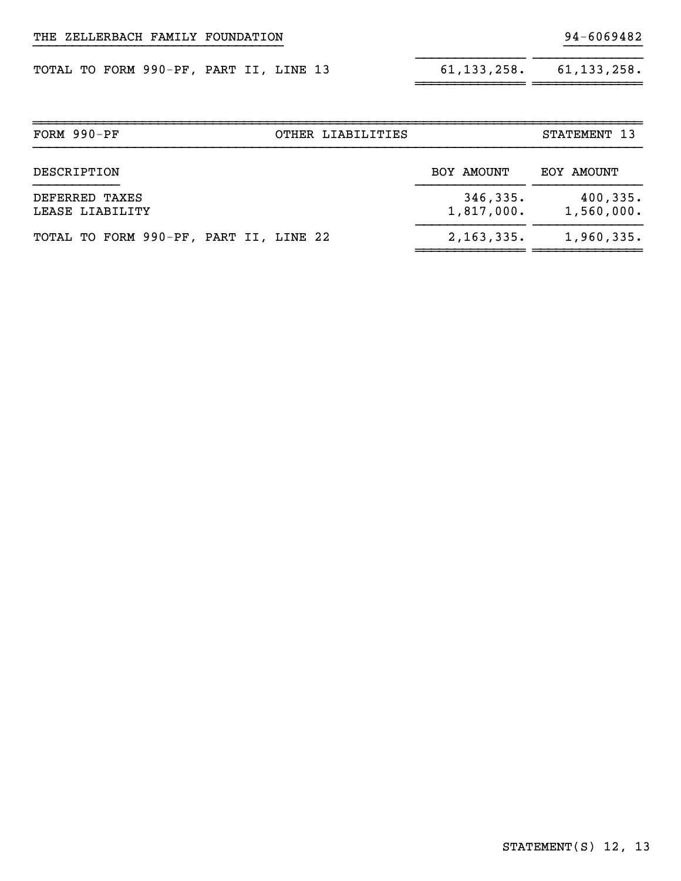|  | TOTAL TO FORM 990-PF, PART II, LINE 13 |  |  | 61,133,258. | 61,133,258. |
|--|----------------------------------------|--|--|-------------|-------------|
|  |                                        |  |  |             |             |

| 61, 133, 258. | 61, 133, 258. |
|---------------|---------------|
|               |               |

}}}}}}}}}}

| FORM 990-PF<br>OTHER LIABILITIES       |                        | STATEMENT 13            |
|----------------------------------------|------------------------|-------------------------|
| DESCRIPTION                            | BOY AMOUNT             | EOY AMOUNT              |
| DEFERRED TAXES<br>LEASE LIABILITY      | 346,335.<br>1,817,000. | 400, 335.<br>1,560,000. |
| TOTAL TO FORM 990-PF, PART II, LINE 22 | 2,163,335.             | 1,960,335.              |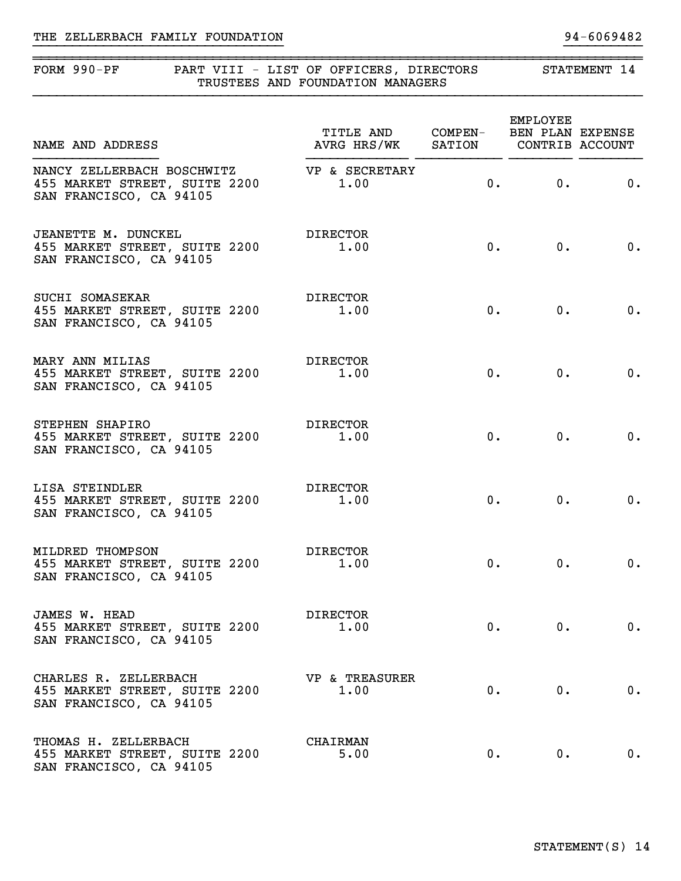## THE ZELLERBACH FAMILY FOUNDATION 34-6069482

#### ~~~~~~~~~~~~~~~~~~~~~~~~~~~~~~~~~~~~~~~~~~~~~~~~~~~~~~~~~~~~~~~~~~~~~~~~~~~~~~FORM 990-PF PART VIII - LIST OF OFFICERS, DIRECTORS STATEMENT 14 TRUSTEES AND FOUNDATION MANAGERS

}}}}}}}}}}}}}}}}}}}}}}}}}}}}}}}} }}}}}}}}}}

| NAME AND ADDRESS                                                                                      | TITLE AND COMPEN- BEN PLAN EXPENSE<br>AVRG HRS/WK SATION CONTRIB ACCOUNT |    | <b>EMPLOYEE</b> |                           |
|-------------------------------------------------------------------------------------------------------|--------------------------------------------------------------------------|----|-----------------|---------------------------|
| NANCY ZELLERBACH BOSCHWITZ VP & SECRETARY<br>455 MARKET STREET, SUITE 2200<br>SAN FRANCISCO, CA 94105 | 1.00                                                                     | 0. | 0.              | 0.                        |
| JEANETTE M. DUNCKEL<br>455 MARKET STREET, SUITE 2200<br>SAN FRANCISCO, CA 94105                       | DIRECTOR<br>1.00                                                         | 0. | 0.              | $\overline{\mathbf{0}}$ . |
| SUCHI SOMASEKAR<br>455 MARKET STREET, SUITE 2200<br>SAN FRANCISCO, CA 94105                           | DIRECTOR<br>1.00                                                         |    | 0.<br>0.        | $\overline{\mathbf{0}}$ . |
| MARY ANN MILIAS<br>455 MARKET STREET, SUITE 2200<br>SAN FRANCISCO, CA 94105                           | DIRECTOR<br>1.00                                                         | 0. | 0.              | 0.                        |
| STEPHEN SHAPIRO<br>455 MARKET STREET, SUITE 2200<br>SAN FRANCISCO, CA 94105                           | DIRECTOR<br>1.00                                                         |    | 0.<br>0.        | 0.                        |
| LISA STEINDLER<br>455 MARKET STREET, SUITE 2200<br>SAN FRANCISCO, CA 94105                            | DIRECTOR<br>1.00                                                         | 0. | 0.              | 0.                        |
| MILDRED THOMPSON<br>455 MARKET STREET, SUITE 2200<br>SAN FRANCISCO, CA 94105                          | DIRECTOR<br>1.00                                                         |    | 0.<br>0.        | $\overline{\mathbf{0}}$ . |
| JAMES W. HEAD<br>455 MARKET STREET, SUITE 2200<br>SAN FRANCISCO, CA 94105                             | <b>DIRECTOR</b><br>1.00                                                  | 0. | $0 \cdot$       | 0.                        |
| CHARLES R. ZELLERBACH<br>455 MARKET STREET, SUITE 2200<br>SAN FRANCISCO, CA 94105                     | <b>VP &amp; TREASURER</b><br>1.00                                        | 0. | 0.              | 0.                        |
| THOMAS H. ZELLERBACH<br>455 MARKET STREET, SUITE 2200<br>SAN FRANCISCO, CA 94105                      | <b>CHAIRMAN</b><br>5.00                                                  | 0. | $0$ .           | 0.                        |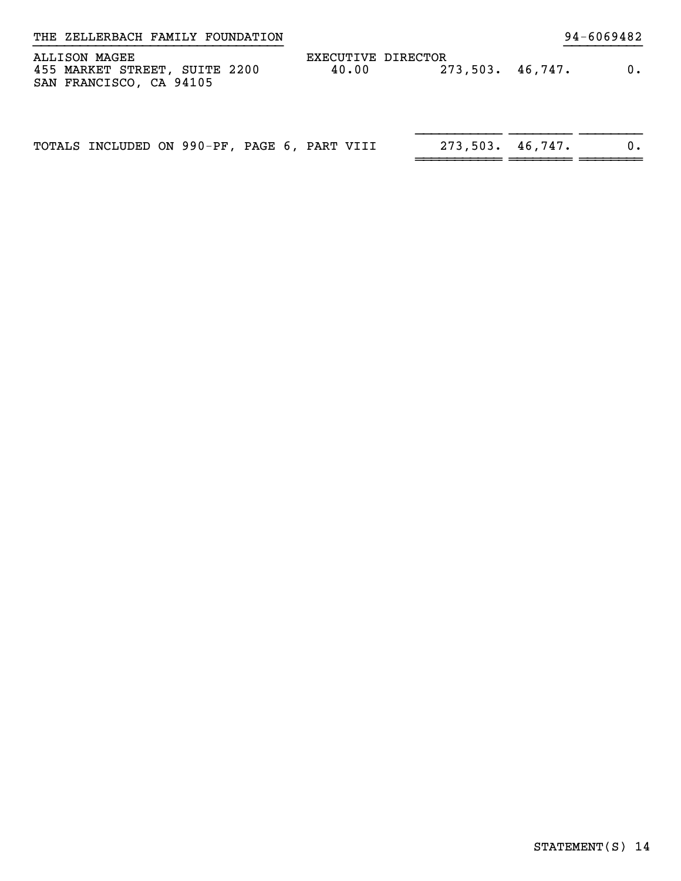| THE ZELLERBACH FAMILY FOUNDATION                                          |                             |                 | 94-6069482 |
|---------------------------------------------------------------------------|-----------------------------|-----------------|------------|
| ALLISON MAGEE<br>455 MARKET STREET, SUITE 2200<br>SAN FRANCISCO, CA 94105 | EXECUTIVE DIRECTOR<br>40.00 | 273,503.46,747. | $0$ .      |
| TOTALS INCLUDED ON 990-PF, PAGE 6, PART VIII                              |                             | 273,503.46,747. |            |

~~~~~~~~~~~ ~~~~~~~~ ~~~~~~~~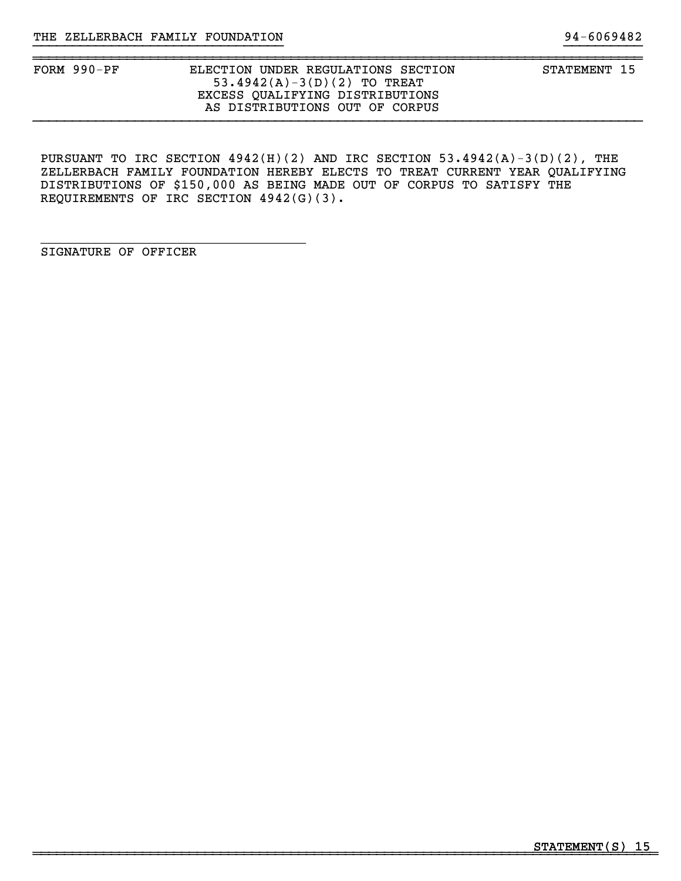}}}}}}}}}}}}}}}}}}}}}}}}}}}}}}}} }}}}}}}}}}

~~~~~~~~~~~~~~~~~~~~~~~~~~~~~~~~~~~~~~~~~~~~~~~~~~~~~~~~~~~~~~~~~~~~~~~~~~~~~~

PURSUANT TO IRC SECTION 4942(H)(2) AND IRC SECTION 53.4942(A)-3(D)(2), THE ZELLERBACH FAMILY FOUNDATION HEREBY ELECTS TO TREAT CURRENT YEAR QUALIFYING DISTRIBUTIONS OF \$150,000 AS BEING MADE OUT OF CORPUS TO SATISFY THE REQUIREMENTS OF IRC SECTION 4942(G)(3).

SIGNATURE OF OFFICER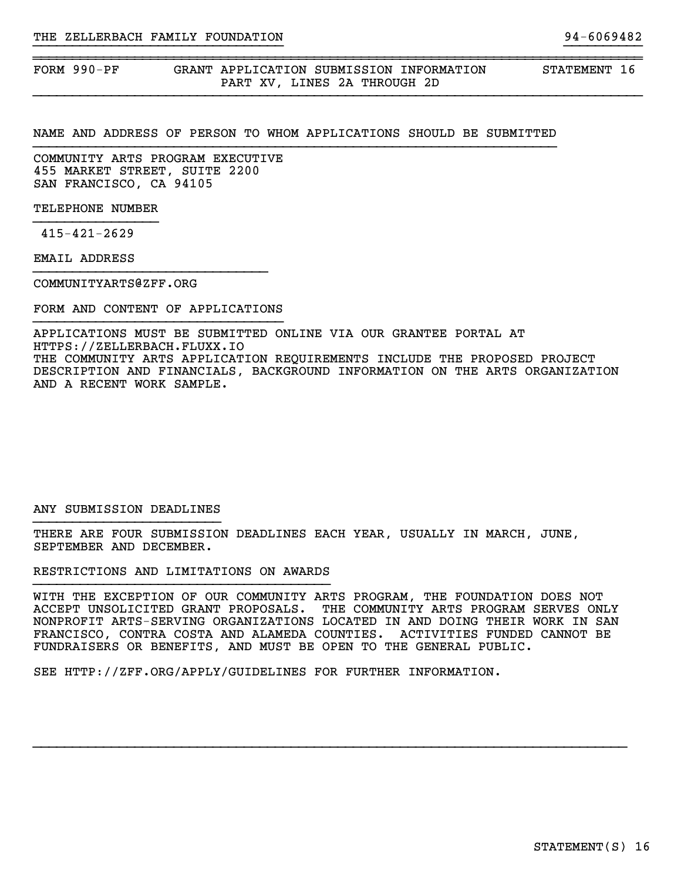FORM 990-PF GRANT APPLICATION SUBMISSION INFORMATION STATEMENT 16 PART XV, LINES 2A THROUGH 2D

#### NAME AND ADDRESS OF PERSON TO WHOM APPLICATIONS SHOULD BE SUBMITTED

}}}}}}}}}}}}}}}}}}}}}}}}}}}}}}}} }}}}}}}}}}

~~~~~~~~~~~~~~~~~~~~~~~~~~~~~~~~~~~~~~~~~~~~~~~~~~~~~~~~~~~~~~~~~~~~~~~~~~~~~~

COMMUNITY ARTS PROGRAM EXECUTIVE 455 MARKET STREET, SUITE 2200 SAN FRANCISCO, CA 94105

TELEPHONE NUMBER

415-421-2629

EMAIL ADDRESS

COMMUNITYARTS@ZFF.ORG

FORM AND CONTENT OF APPLICATIONS }}}}}}}}}}}}}}}}}}}}}}}}}}}}}}}}

APPLICATIONS MUST BE SUBMITTED ONLINE VIA OUR GRANTEE PORTAL AT HTTPS://ZELLERBACH.FLUXX.IO THE COMMUNITY ARTS APPLICATION REQUIREMENTS INCLUDE THE PROPOSED PROJECT DESCRIPTION AND FINANCIALS, BACKGROUND INFORMATION ON THE ARTS ORGANIZATION AND A RECENT WORK SAMPLE.

#### ANY SUBMISSION DEADLINES }}}}}}}}}}}}}}}}}}}}}}}}

THERE ARE FOUR SUBMISSION DEADLINES EACH YEAR, USUALLY IN MARCH, JUNE, SEPTEMBER AND DECEMBER.

RESTRICTIONS AND LIMITATIONS ON AWARDS

WITH THE EXCEPTION OF OUR COMMUNITY ARTS PROGRAM, THE FOUNDATION DOES NOT ACCEPT UNSOLICITED GRANT PROPOSALS. THE COMMUNITY ARTS PROGRAM SERVES ONLY NONPROFIT ARTS-SERVING ORGANIZATIONS LOCATED IN AND DOING THEIR WORK IN SAN FRANCISCO, CONTRA COSTA AND ALAMEDA COUNTIES. ACTIVITIES FUNDED CANNOT BE FUNDRAISERS OR BENEFITS, AND MUST BE OPEN TO THE GENERAL PUBLIC.

SEE HTTP://ZFF.ORG/APPLY/GUIDELINES FOR FURTHER INFORMATION.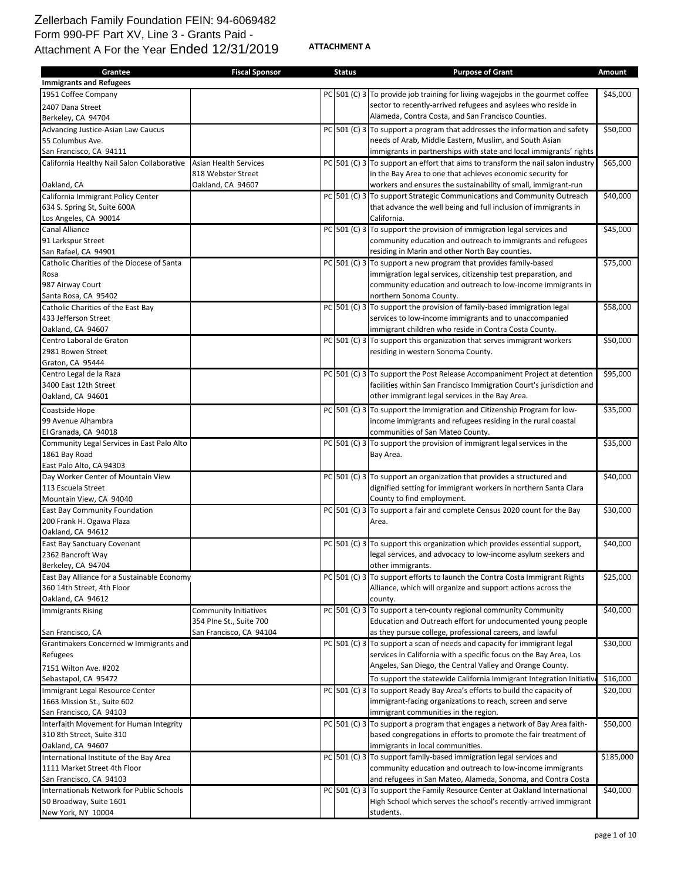## Zellerbach Family Foundation FEIN: 94-6069482 Form 990-PF Part XV, Line 3 - Grants Paid - Attachment A For the Year Ended 12/31/2019

**ATTACHMENT A**

| <b>Immigrants and Refugees</b><br>1951 Coffee Company<br>PC 501 (C) 3 To provide job training for living wagejobs in the gourmet coffee<br>\$45,000<br>sector to recently-arrived refugees and asylees who reside in<br>2407 Dana Street<br>Alameda, Contra Costa, and San Francisco Counties.<br>Berkeley, CA 94704<br>$PC$ 501 (C) 3 To support a program that addresses the information and safety<br>\$50,000<br>Advancing Justice-Asian Law Caucus<br>needs of Arab, Middle Eastern, Muslim, and South Asian<br>55 Columbus Ave.<br>San Francisco, CA 94111<br>immigrants in partnerships with state and local immigrants' rights<br>PC 501 (C) 3 To support an effort that aims to transform the nail salon industry<br>Asian Health Services<br>\$65,000<br>California Healthy Nail Salon Collaborative<br>818 Webster Street<br>in the Bay Area to one that achieves economic security for<br>Oakland, CA 94607<br>workers and ensures the sustainability of small, immigrant-run<br>Oakland, CA<br>PC 501 (C) 3 To support Strategic Communications and Community Outreach<br>\$40,000<br>California Immigrant Policy Center<br>that advance the well being and full inclusion of immigrants in<br>634 S. Spring St, Suite 600A<br>California.<br>Los Angeles, CA 90014<br>$PC$ 501 (C) 3 To support the provision of immigration legal services and<br>\$45,000<br>Canal Alliance<br>91 Larkspur Street<br>community education and outreach to immigrants and refugees<br>San Rafael, CA 94901<br>residing in Marin and other North Bay counties.<br>$PC$ 501 (C) 3 To support a new program that provides family-based<br>\$75,000<br>Catholic Charities of the Diocese of Santa<br>immigration legal services, citizenship test preparation, and<br>Rosa<br>987 Airway Court<br>community education and outreach to low-income immigrants in<br>northern Sonoma County.<br>Santa Rosa, CA 95402<br>Catholic Charities of the East Bay<br>$PC$ 501 (C) 3 To support the provision of family-based immigration legal<br>\$58,000<br>433 Jefferson Street<br>services to low-income immigrants and to unaccompanied<br>immigrant children who reside in Contra Costa County.<br>Oakland, CA 94607<br>PC 501 (C) 3 To support this organization that serves immigrant workers<br>\$50,000<br>Centro Laboral de Graton<br>2981 Bowen Street<br>residing in western Sonoma County.<br>Graton, CA 95444<br>\$95,000<br>Centro Legal de la Raza<br>PC 501 (C) 3 To support the Post Release Accompaniment Project at detention<br>3400 East 12th Street<br>facilities within San Francisco Immigration Court's jurisdiction and<br>other immigrant legal services in the Bay Area.<br>Oakland, CA 94601<br>PC 501 (C) 3 To support the Immigration and Citizenship Program for low-<br>\$35,000<br>Coastside Hope<br>income immigrants and refugees residing in the rural coastal<br>99 Avenue Alhambra<br>El Granada, CA 94018<br>communities of San Mateo County.<br>PC 501 (C) 3 To support the provision of immigrant legal services in the<br>\$35,000<br>Community Legal Services in East Palo Alto<br>1861 Bay Road<br>Bay Area.<br>East Palo Alto, CA 94303<br>$PC$ 501 (C) 3 To support an organization that provides a structured and<br>\$40,000<br>113 Escuela Street<br>dignified setting for immigrant workers in northern Santa Clara<br>County to find employment.<br>PC 501 (C) 3 To support a fair and complete Census 2020 count for the Bay<br>\$30,000<br>East Bay Community Foundation<br>200 Frank H. Ogawa Plaza<br>Area.<br>Oakland, CA 94612<br>$PC$ 501 (C) 3 To support this organization which provides essential support,<br>\$40,000<br>2362 Bancroft Way<br>legal services, and advocacy to low-income asylum seekers and<br>Berkeley, CA 94704<br>other immigrants.<br>PC 501 (C) 3 To support efforts to launch the Contra Costa Immigrant Rights<br>\$25,000<br>East Bay Alliance for a Sustainable Economy<br>360 14th Street, 4th Floor<br>Alliance, which will organize and support actions across the<br>Oakland, CA 94612<br>county.<br>$PC$ 501 (C) 3 To support a ten-county regional community Community<br>\$40,000<br><b>Immigrants Rising</b><br>Community Initiatives<br>Education and Outreach effort for undocumented young people<br>354 PIne St., Suite 700<br>San Francisco, CA 94104<br>as they pursue college, professional careers, and lawful<br>San Francisco, CA<br>PC 501 (C) 3 To support a scan of needs and capacity for immigrant legal<br>Grantmakers Concerned w Immigrants and<br>\$30,000<br>services in California with a specific focus on the Bay Area, Los<br>Refugees<br>Angeles, San Diego, the Central Valley and Orange County.<br>7151 Wilton Ave. #202<br>Sebastapol, CA 95472<br>\$16,000<br>To support the statewide California Immigrant Integration Initiativ<br>Immigrant Legal Resource Center<br>PC 501 (C) 3 To support Ready Bay Area's efforts to build the capacity of<br>\$20,000<br>1663 Mission St., Suite 602<br>immigrant-facing organizations to reach, screen and serve<br>immigrant communities in the region.<br>San Francisco, CA 94103<br>PC 501 (C) 3 To support a program that engages a network of Bay Area faith-<br>Interfaith Movement for Human Integrity<br>\$50,000<br>310 8th Street, Suite 310<br>based congregations in efforts to promote the fair treatment of<br>Oakland, CA 94607<br>immigrants in local communities.<br>PC 501 (C) 3 To support family-based immigration legal services and<br>\$185,000<br>1111 Market Street 4th Floor<br>community education and outreach to low-income immigrants<br>and refugees in San Mateo, Alameda, Sonoma, and Contra Costa<br>PC 501 (C) 3 To support the Family Resource Center at Oakland International<br>Internationals Network for Public Schools<br>\$40,000<br>50 Broadway, Suite 1601<br>High School which serves the school's recently-arrived immigrant<br>New York, NY 10004<br>students. | Grantee                                 | <b>Fiscal Sponsor</b> | <b>Status</b> | <b>Purpose of Grant</b> | Amount |
|-------------------------------------------------------------------------------------------------------------------------------------------------------------------------------------------------------------------------------------------------------------------------------------------------------------------------------------------------------------------------------------------------------------------------------------------------------------------------------------------------------------------------------------------------------------------------------------------------------------------------------------------------------------------------------------------------------------------------------------------------------------------------------------------------------------------------------------------------------------------------------------------------------------------------------------------------------------------------------------------------------------------------------------------------------------------------------------------------------------------------------------------------------------------------------------------------------------------------------------------------------------------------------------------------------------------------------------------------------------------------------------------------------------------------------------------------------------------------------------------------------------------------------------------------------------------------------------------------------------------------------------------------------------------------------------------------------------------------------------------------------------------------------------------------------------------------------------------------------------------------------------------------------------------------------------------------------------------------------------------------------------------------------------------------------------------------------------------------------------------------------------------------------------------------------------------------------------------------------------------------------------------------------------------------------------------------------------------------------------------------------------------------------------------------------------------------------------------------------------------------------------------------------------------------------------------------------------------------------------------------------------------------------------------------------------------------------------------------------------------------------------------------------------------------------------------------------------------------------------------------------------------------------------------------------------------------------------------------------------------------------------------------------------------------------------------------------------------------------------------------------------------------------------------------------------------------------------------------------------------------------------------------------------------------------------------------------------------------------------------------------------------------------------------------------------------------------------------------------------------------------------------------------------------------------------------------------------------------------------------------------------------------------------------------------------------------------------------------------------------------------------------------------------------------------------------------------------------------------------------------------------------------------------------------------------------------------------------------------------------------------------------------------------------------------------------------------------------------------------------------------------------------------------------------------------------------------------------------------------------------------------------------------------------------------------------------------------------------------------------------------------------------------------------------------------------------------------------------------------------------------------------------------------------------------------------------------------------------------------------------------------------------------------------------------------------------------------------------------------------------------------------------------------------------------------------------------------------------------------------------------------------------------------------------------------------------------------------------------------------------------------------------------------------------------------------------------------------------------------------------------------------------------------------------------------------------------------------------------------------------------------------------------------------------------------------------------------------------------------------------------------------------------------------------------------------------------------------------------------------------------------------------------------------------------------------------------------------------------------------------------------------------------------------------------------------------------------------------------------------------------------------------------------------------------------------------------------------------------------------------------------------------------------------------------------------------------------------------|-----------------------------------------|-----------------------|---------------|-------------------------|--------|
|                                                                                                                                                                                                                                                                                                                                                                                                                                                                                                                                                                                                                                                                                                                                                                                                                                                                                                                                                                                                                                                                                                                                                                                                                                                                                                                                                                                                                                                                                                                                                                                                                                                                                                                                                                                                                                                                                                                                                                                                                                                                                                                                                                                                                                                                                                                                                                                                                                                                                                                                                                                                                                                                                                                                                                                                                                                                                                                                                                                                                                                                                                                                                                                                                                                                                                                                                                                                                                                                                                                                                                                                                                                                                                                                                                                                                                                                                                                                                                                                                                                                                                                                                                                                                                                                                                                                                                                                                                                                                                                                                                                                                                                                                                                                                                                                                                                                                                                                                                                                                                                                                                                                                                                                                                                                                                                                                                                                                                                                                                                                                                                                                                                                                                                                                                                                                                                                                                                                                                         |                                         |                       |               |                         |        |
|                                                                                                                                                                                                                                                                                                                                                                                                                                                                                                                                                                                                                                                                                                                                                                                                                                                                                                                                                                                                                                                                                                                                                                                                                                                                                                                                                                                                                                                                                                                                                                                                                                                                                                                                                                                                                                                                                                                                                                                                                                                                                                                                                                                                                                                                                                                                                                                                                                                                                                                                                                                                                                                                                                                                                                                                                                                                                                                                                                                                                                                                                                                                                                                                                                                                                                                                                                                                                                                                                                                                                                                                                                                                                                                                                                                                                                                                                                                                                                                                                                                                                                                                                                                                                                                                                                                                                                                                                                                                                                                                                                                                                                                                                                                                                                                                                                                                                                                                                                                                                                                                                                                                                                                                                                                                                                                                                                                                                                                                                                                                                                                                                                                                                                                                                                                                                                                                                                                                                                         |                                         |                       |               |                         |        |
|                                                                                                                                                                                                                                                                                                                                                                                                                                                                                                                                                                                                                                                                                                                                                                                                                                                                                                                                                                                                                                                                                                                                                                                                                                                                                                                                                                                                                                                                                                                                                                                                                                                                                                                                                                                                                                                                                                                                                                                                                                                                                                                                                                                                                                                                                                                                                                                                                                                                                                                                                                                                                                                                                                                                                                                                                                                                                                                                                                                                                                                                                                                                                                                                                                                                                                                                                                                                                                                                                                                                                                                                                                                                                                                                                                                                                                                                                                                                                                                                                                                                                                                                                                                                                                                                                                                                                                                                                                                                                                                                                                                                                                                                                                                                                                                                                                                                                                                                                                                                                                                                                                                                                                                                                                                                                                                                                                                                                                                                                                                                                                                                                                                                                                                                                                                                                                                                                                                                                                         |                                         |                       |               |                         |        |
|                                                                                                                                                                                                                                                                                                                                                                                                                                                                                                                                                                                                                                                                                                                                                                                                                                                                                                                                                                                                                                                                                                                                                                                                                                                                                                                                                                                                                                                                                                                                                                                                                                                                                                                                                                                                                                                                                                                                                                                                                                                                                                                                                                                                                                                                                                                                                                                                                                                                                                                                                                                                                                                                                                                                                                                                                                                                                                                                                                                                                                                                                                                                                                                                                                                                                                                                                                                                                                                                                                                                                                                                                                                                                                                                                                                                                                                                                                                                                                                                                                                                                                                                                                                                                                                                                                                                                                                                                                                                                                                                                                                                                                                                                                                                                                                                                                                                                                                                                                                                                                                                                                                                                                                                                                                                                                                                                                                                                                                                                                                                                                                                                                                                                                                                                                                                                                                                                                                                                                         |                                         |                       |               |                         |        |
|                                                                                                                                                                                                                                                                                                                                                                                                                                                                                                                                                                                                                                                                                                                                                                                                                                                                                                                                                                                                                                                                                                                                                                                                                                                                                                                                                                                                                                                                                                                                                                                                                                                                                                                                                                                                                                                                                                                                                                                                                                                                                                                                                                                                                                                                                                                                                                                                                                                                                                                                                                                                                                                                                                                                                                                                                                                                                                                                                                                                                                                                                                                                                                                                                                                                                                                                                                                                                                                                                                                                                                                                                                                                                                                                                                                                                                                                                                                                                                                                                                                                                                                                                                                                                                                                                                                                                                                                                                                                                                                                                                                                                                                                                                                                                                                                                                                                                                                                                                                                                                                                                                                                                                                                                                                                                                                                                                                                                                                                                                                                                                                                                                                                                                                                                                                                                                                                                                                                                                         |                                         |                       |               |                         |        |
|                                                                                                                                                                                                                                                                                                                                                                                                                                                                                                                                                                                                                                                                                                                                                                                                                                                                                                                                                                                                                                                                                                                                                                                                                                                                                                                                                                                                                                                                                                                                                                                                                                                                                                                                                                                                                                                                                                                                                                                                                                                                                                                                                                                                                                                                                                                                                                                                                                                                                                                                                                                                                                                                                                                                                                                                                                                                                                                                                                                                                                                                                                                                                                                                                                                                                                                                                                                                                                                                                                                                                                                                                                                                                                                                                                                                                                                                                                                                                                                                                                                                                                                                                                                                                                                                                                                                                                                                                                                                                                                                                                                                                                                                                                                                                                                                                                                                                                                                                                                                                                                                                                                                                                                                                                                                                                                                                                                                                                                                                                                                                                                                                                                                                                                                                                                                                                                                                                                                                                         |                                         |                       |               |                         |        |
|                                                                                                                                                                                                                                                                                                                                                                                                                                                                                                                                                                                                                                                                                                                                                                                                                                                                                                                                                                                                                                                                                                                                                                                                                                                                                                                                                                                                                                                                                                                                                                                                                                                                                                                                                                                                                                                                                                                                                                                                                                                                                                                                                                                                                                                                                                                                                                                                                                                                                                                                                                                                                                                                                                                                                                                                                                                                                                                                                                                                                                                                                                                                                                                                                                                                                                                                                                                                                                                                                                                                                                                                                                                                                                                                                                                                                                                                                                                                                                                                                                                                                                                                                                                                                                                                                                                                                                                                                                                                                                                                                                                                                                                                                                                                                                                                                                                                                                                                                                                                                                                                                                                                                                                                                                                                                                                                                                                                                                                                                                                                                                                                                                                                                                                                                                                                                                                                                                                                                                         |                                         |                       |               |                         |        |
|                                                                                                                                                                                                                                                                                                                                                                                                                                                                                                                                                                                                                                                                                                                                                                                                                                                                                                                                                                                                                                                                                                                                                                                                                                                                                                                                                                                                                                                                                                                                                                                                                                                                                                                                                                                                                                                                                                                                                                                                                                                                                                                                                                                                                                                                                                                                                                                                                                                                                                                                                                                                                                                                                                                                                                                                                                                                                                                                                                                                                                                                                                                                                                                                                                                                                                                                                                                                                                                                                                                                                                                                                                                                                                                                                                                                                                                                                                                                                                                                                                                                                                                                                                                                                                                                                                                                                                                                                                                                                                                                                                                                                                                                                                                                                                                                                                                                                                                                                                                                                                                                                                                                                                                                                                                                                                                                                                                                                                                                                                                                                                                                                                                                                                                                                                                                                                                                                                                                                                         |                                         |                       |               |                         |        |
|                                                                                                                                                                                                                                                                                                                                                                                                                                                                                                                                                                                                                                                                                                                                                                                                                                                                                                                                                                                                                                                                                                                                                                                                                                                                                                                                                                                                                                                                                                                                                                                                                                                                                                                                                                                                                                                                                                                                                                                                                                                                                                                                                                                                                                                                                                                                                                                                                                                                                                                                                                                                                                                                                                                                                                                                                                                                                                                                                                                                                                                                                                                                                                                                                                                                                                                                                                                                                                                                                                                                                                                                                                                                                                                                                                                                                                                                                                                                                                                                                                                                                                                                                                                                                                                                                                                                                                                                                                                                                                                                                                                                                                                                                                                                                                                                                                                                                                                                                                                                                                                                                                                                                                                                                                                                                                                                                                                                                                                                                                                                                                                                                                                                                                                                                                                                                                                                                                                                                                         |                                         |                       |               |                         |        |
|                                                                                                                                                                                                                                                                                                                                                                                                                                                                                                                                                                                                                                                                                                                                                                                                                                                                                                                                                                                                                                                                                                                                                                                                                                                                                                                                                                                                                                                                                                                                                                                                                                                                                                                                                                                                                                                                                                                                                                                                                                                                                                                                                                                                                                                                                                                                                                                                                                                                                                                                                                                                                                                                                                                                                                                                                                                                                                                                                                                                                                                                                                                                                                                                                                                                                                                                                                                                                                                                                                                                                                                                                                                                                                                                                                                                                                                                                                                                                                                                                                                                                                                                                                                                                                                                                                                                                                                                                                                                                                                                                                                                                                                                                                                                                                                                                                                                                                                                                                                                                                                                                                                                                                                                                                                                                                                                                                                                                                                                                                                                                                                                                                                                                                                                                                                                                                                                                                                                                                         |                                         |                       |               |                         |        |
|                                                                                                                                                                                                                                                                                                                                                                                                                                                                                                                                                                                                                                                                                                                                                                                                                                                                                                                                                                                                                                                                                                                                                                                                                                                                                                                                                                                                                                                                                                                                                                                                                                                                                                                                                                                                                                                                                                                                                                                                                                                                                                                                                                                                                                                                                                                                                                                                                                                                                                                                                                                                                                                                                                                                                                                                                                                                                                                                                                                                                                                                                                                                                                                                                                                                                                                                                                                                                                                                                                                                                                                                                                                                                                                                                                                                                                                                                                                                                                                                                                                                                                                                                                                                                                                                                                                                                                                                                                                                                                                                                                                                                                                                                                                                                                                                                                                                                                                                                                                                                                                                                                                                                                                                                                                                                                                                                                                                                                                                                                                                                                                                                                                                                                                                                                                                                                                                                                                                                                         |                                         |                       |               |                         |        |
|                                                                                                                                                                                                                                                                                                                                                                                                                                                                                                                                                                                                                                                                                                                                                                                                                                                                                                                                                                                                                                                                                                                                                                                                                                                                                                                                                                                                                                                                                                                                                                                                                                                                                                                                                                                                                                                                                                                                                                                                                                                                                                                                                                                                                                                                                                                                                                                                                                                                                                                                                                                                                                                                                                                                                                                                                                                                                                                                                                                                                                                                                                                                                                                                                                                                                                                                                                                                                                                                                                                                                                                                                                                                                                                                                                                                                                                                                                                                                                                                                                                                                                                                                                                                                                                                                                                                                                                                                                                                                                                                                                                                                                                                                                                                                                                                                                                                                                                                                                                                                                                                                                                                                                                                                                                                                                                                                                                                                                                                                                                                                                                                                                                                                                                                                                                                                                                                                                                                                                         |                                         |                       |               |                         |        |
|                                                                                                                                                                                                                                                                                                                                                                                                                                                                                                                                                                                                                                                                                                                                                                                                                                                                                                                                                                                                                                                                                                                                                                                                                                                                                                                                                                                                                                                                                                                                                                                                                                                                                                                                                                                                                                                                                                                                                                                                                                                                                                                                                                                                                                                                                                                                                                                                                                                                                                                                                                                                                                                                                                                                                                                                                                                                                                                                                                                                                                                                                                                                                                                                                                                                                                                                                                                                                                                                                                                                                                                                                                                                                                                                                                                                                                                                                                                                                                                                                                                                                                                                                                                                                                                                                                                                                                                                                                                                                                                                                                                                                                                                                                                                                                                                                                                                                                                                                                                                                                                                                                                                                                                                                                                                                                                                                                                                                                                                                                                                                                                                                                                                                                                                                                                                                                                                                                                                                                         |                                         |                       |               |                         |        |
|                                                                                                                                                                                                                                                                                                                                                                                                                                                                                                                                                                                                                                                                                                                                                                                                                                                                                                                                                                                                                                                                                                                                                                                                                                                                                                                                                                                                                                                                                                                                                                                                                                                                                                                                                                                                                                                                                                                                                                                                                                                                                                                                                                                                                                                                                                                                                                                                                                                                                                                                                                                                                                                                                                                                                                                                                                                                                                                                                                                                                                                                                                                                                                                                                                                                                                                                                                                                                                                                                                                                                                                                                                                                                                                                                                                                                                                                                                                                                                                                                                                                                                                                                                                                                                                                                                                                                                                                                                                                                                                                                                                                                                                                                                                                                                                                                                                                                                                                                                                                                                                                                                                                                                                                                                                                                                                                                                                                                                                                                                                                                                                                                                                                                                                                                                                                                                                                                                                                                                         |                                         |                       |               |                         |        |
|                                                                                                                                                                                                                                                                                                                                                                                                                                                                                                                                                                                                                                                                                                                                                                                                                                                                                                                                                                                                                                                                                                                                                                                                                                                                                                                                                                                                                                                                                                                                                                                                                                                                                                                                                                                                                                                                                                                                                                                                                                                                                                                                                                                                                                                                                                                                                                                                                                                                                                                                                                                                                                                                                                                                                                                                                                                                                                                                                                                                                                                                                                                                                                                                                                                                                                                                                                                                                                                                                                                                                                                                                                                                                                                                                                                                                                                                                                                                                                                                                                                                                                                                                                                                                                                                                                                                                                                                                                                                                                                                                                                                                                                                                                                                                                                                                                                                                                                                                                                                                                                                                                                                                                                                                                                                                                                                                                                                                                                                                                                                                                                                                                                                                                                                                                                                                                                                                                                                                                         |                                         |                       |               |                         |        |
|                                                                                                                                                                                                                                                                                                                                                                                                                                                                                                                                                                                                                                                                                                                                                                                                                                                                                                                                                                                                                                                                                                                                                                                                                                                                                                                                                                                                                                                                                                                                                                                                                                                                                                                                                                                                                                                                                                                                                                                                                                                                                                                                                                                                                                                                                                                                                                                                                                                                                                                                                                                                                                                                                                                                                                                                                                                                                                                                                                                                                                                                                                                                                                                                                                                                                                                                                                                                                                                                                                                                                                                                                                                                                                                                                                                                                                                                                                                                                                                                                                                                                                                                                                                                                                                                                                                                                                                                                                                                                                                                                                                                                                                                                                                                                                                                                                                                                                                                                                                                                                                                                                                                                                                                                                                                                                                                                                                                                                                                                                                                                                                                                                                                                                                                                                                                                                                                                                                                                                         |                                         |                       |               |                         |        |
|                                                                                                                                                                                                                                                                                                                                                                                                                                                                                                                                                                                                                                                                                                                                                                                                                                                                                                                                                                                                                                                                                                                                                                                                                                                                                                                                                                                                                                                                                                                                                                                                                                                                                                                                                                                                                                                                                                                                                                                                                                                                                                                                                                                                                                                                                                                                                                                                                                                                                                                                                                                                                                                                                                                                                                                                                                                                                                                                                                                                                                                                                                                                                                                                                                                                                                                                                                                                                                                                                                                                                                                                                                                                                                                                                                                                                                                                                                                                                                                                                                                                                                                                                                                                                                                                                                                                                                                                                                                                                                                                                                                                                                                                                                                                                                                                                                                                                                                                                                                                                                                                                                                                                                                                                                                                                                                                                                                                                                                                                                                                                                                                                                                                                                                                                                                                                                                                                                                                                                         |                                         |                       |               |                         |        |
|                                                                                                                                                                                                                                                                                                                                                                                                                                                                                                                                                                                                                                                                                                                                                                                                                                                                                                                                                                                                                                                                                                                                                                                                                                                                                                                                                                                                                                                                                                                                                                                                                                                                                                                                                                                                                                                                                                                                                                                                                                                                                                                                                                                                                                                                                                                                                                                                                                                                                                                                                                                                                                                                                                                                                                                                                                                                                                                                                                                                                                                                                                                                                                                                                                                                                                                                                                                                                                                                                                                                                                                                                                                                                                                                                                                                                                                                                                                                                                                                                                                                                                                                                                                                                                                                                                                                                                                                                                                                                                                                                                                                                                                                                                                                                                                                                                                                                                                                                                                                                                                                                                                                                                                                                                                                                                                                                                                                                                                                                                                                                                                                                                                                                                                                                                                                                                                                                                                                                                         |                                         |                       |               |                         |        |
|                                                                                                                                                                                                                                                                                                                                                                                                                                                                                                                                                                                                                                                                                                                                                                                                                                                                                                                                                                                                                                                                                                                                                                                                                                                                                                                                                                                                                                                                                                                                                                                                                                                                                                                                                                                                                                                                                                                                                                                                                                                                                                                                                                                                                                                                                                                                                                                                                                                                                                                                                                                                                                                                                                                                                                                                                                                                                                                                                                                                                                                                                                                                                                                                                                                                                                                                                                                                                                                                                                                                                                                                                                                                                                                                                                                                                                                                                                                                                                                                                                                                                                                                                                                                                                                                                                                                                                                                                                                                                                                                                                                                                                                                                                                                                                                                                                                                                                                                                                                                                                                                                                                                                                                                                                                                                                                                                                                                                                                                                                                                                                                                                                                                                                                                                                                                                                                                                                                                                                         |                                         |                       |               |                         |        |
|                                                                                                                                                                                                                                                                                                                                                                                                                                                                                                                                                                                                                                                                                                                                                                                                                                                                                                                                                                                                                                                                                                                                                                                                                                                                                                                                                                                                                                                                                                                                                                                                                                                                                                                                                                                                                                                                                                                                                                                                                                                                                                                                                                                                                                                                                                                                                                                                                                                                                                                                                                                                                                                                                                                                                                                                                                                                                                                                                                                                                                                                                                                                                                                                                                                                                                                                                                                                                                                                                                                                                                                                                                                                                                                                                                                                                                                                                                                                                                                                                                                                                                                                                                                                                                                                                                                                                                                                                                                                                                                                                                                                                                                                                                                                                                                                                                                                                                                                                                                                                                                                                                                                                                                                                                                                                                                                                                                                                                                                                                                                                                                                                                                                                                                                                                                                                                                                                                                                                                         |                                         |                       |               |                         |        |
|                                                                                                                                                                                                                                                                                                                                                                                                                                                                                                                                                                                                                                                                                                                                                                                                                                                                                                                                                                                                                                                                                                                                                                                                                                                                                                                                                                                                                                                                                                                                                                                                                                                                                                                                                                                                                                                                                                                                                                                                                                                                                                                                                                                                                                                                                                                                                                                                                                                                                                                                                                                                                                                                                                                                                                                                                                                                                                                                                                                                                                                                                                                                                                                                                                                                                                                                                                                                                                                                                                                                                                                                                                                                                                                                                                                                                                                                                                                                                                                                                                                                                                                                                                                                                                                                                                                                                                                                                                                                                                                                                                                                                                                                                                                                                                                                                                                                                                                                                                                                                                                                                                                                                                                                                                                                                                                                                                                                                                                                                                                                                                                                                                                                                                                                                                                                                                                                                                                                                                         |                                         |                       |               |                         |        |
|                                                                                                                                                                                                                                                                                                                                                                                                                                                                                                                                                                                                                                                                                                                                                                                                                                                                                                                                                                                                                                                                                                                                                                                                                                                                                                                                                                                                                                                                                                                                                                                                                                                                                                                                                                                                                                                                                                                                                                                                                                                                                                                                                                                                                                                                                                                                                                                                                                                                                                                                                                                                                                                                                                                                                                                                                                                                                                                                                                                                                                                                                                                                                                                                                                                                                                                                                                                                                                                                                                                                                                                                                                                                                                                                                                                                                                                                                                                                                                                                                                                                                                                                                                                                                                                                                                                                                                                                                                                                                                                                                                                                                                                                                                                                                                                                                                                                                                                                                                                                                                                                                                                                                                                                                                                                                                                                                                                                                                                                                                                                                                                                                                                                                                                                                                                                                                                                                                                                                                         |                                         |                       |               |                         |        |
|                                                                                                                                                                                                                                                                                                                                                                                                                                                                                                                                                                                                                                                                                                                                                                                                                                                                                                                                                                                                                                                                                                                                                                                                                                                                                                                                                                                                                                                                                                                                                                                                                                                                                                                                                                                                                                                                                                                                                                                                                                                                                                                                                                                                                                                                                                                                                                                                                                                                                                                                                                                                                                                                                                                                                                                                                                                                                                                                                                                                                                                                                                                                                                                                                                                                                                                                                                                                                                                                                                                                                                                                                                                                                                                                                                                                                                                                                                                                                                                                                                                                                                                                                                                                                                                                                                                                                                                                                                                                                                                                                                                                                                                                                                                                                                                                                                                                                                                                                                                                                                                                                                                                                                                                                                                                                                                                                                                                                                                                                                                                                                                                                                                                                                                                                                                                                                                                                                                                                                         |                                         |                       |               |                         |        |
|                                                                                                                                                                                                                                                                                                                                                                                                                                                                                                                                                                                                                                                                                                                                                                                                                                                                                                                                                                                                                                                                                                                                                                                                                                                                                                                                                                                                                                                                                                                                                                                                                                                                                                                                                                                                                                                                                                                                                                                                                                                                                                                                                                                                                                                                                                                                                                                                                                                                                                                                                                                                                                                                                                                                                                                                                                                                                                                                                                                                                                                                                                                                                                                                                                                                                                                                                                                                                                                                                                                                                                                                                                                                                                                                                                                                                                                                                                                                                                                                                                                                                                                                                                                                                                                                                                                                                                                                                                                                                                                                                                                                                                                                                                                                                                                                                                                                                                                                                                                                                                                                                                                                                                                                                                                                                                                                                                                                                                                                                                                                                                                                                                                                                                                                                                                                                                                                                                                                                                         |                                         |                       |               |                         |        |
|                                                                                                                                                                                                                                                                                                                                                                                                                                                                                                                                                                                                                                                                                                                                                                                                                                                                                                                                                                                                                                                                                                                                                                                                                                                                                                                                                                                                                                                                                                                                                                                                                                                                                                                                                                                                                                                                                                                                                                                                                                                                                                                                                                                                                                                                                                                                                                                                                                                                                                                                                                                                                                                                                                                                                                                                                                                                                                                                                                                                                                                                                                                                                                                                                                                                                                                                                                                                                                                                                                                                                                                                                                                                                                                                                                                                                                                                                                                                                                                                                                                                                                                                                                                                                                                                                                                                                                                                                                                                                                                                                                                                                                                                                                                                                                                                                                                                                                                                                                                                                                                                                                                                                                                                                                                                                                                                                                                                                                                                                                                                                                                                                                                                                                                                                                                                                                                                                                                                                                         |                                         |                       |               |                         |        |
|                                                                                                                                                                                                                                                                                                                                                                                                                                                                                                                                                                                                                                                                                                                                                                                                                                                                                                                                                                                                                                                                                                                                                                                                                                                                                                                                                                                                                                                                                                                                                                                                                                                                                                                                                                                                                                                                                                                                                                                                                                                                                                                                                                                                                                                                                                                                                                                                                                                                                                                                                                                                                                                                                                                                                                                                                                                                                                                                                                                                                                                                                                                                                                                                                                                                                                                                                                                                                                                                                                                                                                                                                                                                                                                                                                                                                                                                                                                                                                                                                                                                                                                                                                                                                                                                                                                                                                                                                                                                                                                                                                                                                                                                                                                                                                                                                                                                                                                                                                                                                                                                                                                                                                                                                                                                                                                                                                                                                                                                                                                                                                                                                                                                                                                                                                                                                                                                                                                                                                         |                                         |                       |               |                         |        |
|                                                                                                                                                                                                                                                                                                                                                                                                                                                                                                                                                                                                                                                                                                                                                                                                                                                                                                                                                                                                                                                                                                                                                                                                                                                                                                                                                                                                                                                                                                                                                                                                                                                                                                                                                                                                                                                                                                                                                                                                                                                                                                                                                                                                                                                                                                                                                                                                                                                                                                                                                                                                                                                                                                                                                                                                                                                                                                                                                                                                                                                                                                                                                                                                                                                                                                                                                                                                                                                                                                                                                                                                                                                                                                                                                                                                                                                                                                                                                                                                                                                                                                                                                                                                                                                                                                                                                                                                                                                                                                                                                                                                                                                                                                                                                                                                                                                                                                                                                                                                                                                                                                                                                                                                                                                                                                                                                                                                                                                                                                                                                                                                                                                                                                                                                                                                                                                                                                                                                                         |                                         |                       |               |                         |        |
|                                                                                                                                                                                                                                                                                                                                                                                                                                                                                                                                                                                                                                                                                                                                                                                                                                                                                                                                                                                                                                                                                                                                                                                                                                                                                                                                                                                                                                                                                                                                                                                                                                                                                                                                                                                                                                                                                                                                                                                                                                                                                                                                                                                                                                                                                                                                                                                                                                                                                                                                                                                                                                                                                                                                                                                                                                                                                                                                                                                                                                                                                                                                                                                                                                                                                                                                                                                                                                                                                                                                                                                                                                                                                                                                                                                                                                                                                                                                                                                                                                                                                                                                                                                                                                                                                                                                                                                                                                                                                                                                                                                                                                                                                                                                                                                                                                                                                                                                                                                                                                                                                                                                                                                                                                                                                                                                                                                                                                                                                                                                                                                                                                                                                                                                                                                                                                                                                                                                                                         |                                         |                       |               |                         |        |
|                                                                                                                                                                                                                                                                                                                                                                                                                                                                                                                                                                                                                                                                                                                                                                                                                                                                                                                                                                                                                                                                                                                                                                                                                                                                                                                                                                                                                                                                                                                                                                                                                                                                                                                                                                                                                                                                                                                                                                                                                                                                                                                                                                                                                                                                                                                                                                                                                                                                                                                                                                                                                                                                                                                                                                                                                                                                                                                                                                                                                                                                                                                                                                                                                                                                                                                                                                                                                                                                                                                                                                                                                                                                                                                                                                                                                                                                                                                                                                                                                                                                                                                                                                                                                                                                                                                                                                                                                                                                                                                                                                                                                                                                                                                                                                                                                                                                                                                                                                                                                                                                                                                                                                                                                                                                                                                                                                                                                                                                                                                                                                                                                                                                                                                                                                                                                                                                                                                                                                         |                                         |                       |               |                         |        |
|                                                                                                                                                                                                                                                                                                                                                                                                                                                                                                                                                                                                                                                                                                                                                                                                                                                                                                                                                                                                                                                                                                                                                                                                                                                                                                                                                                                                                                                                                                                                                                                                                                                                                                                                                                                                                                                                                                                                                                                                                                                                                                                                                                                                                                                                                                                                                                                                                                                                                                                                                                                                                                                                                                                                                                                                                                                                                                                                                                                                                                                                                                                                                                                                                                                                                                                                                                                                                                                                                                                                                                                                                                                                                                                                                                                                                                                                                                                                                                                                                                                                                                                                                                                                                                                                                                                                                                                                                                                                                                                                                                                                                                                                                                                                                                                                                                                                                                                                                                                                                                                                                                                                                                                                                                                                                                                                                                                                                                                                                                                                                                                                                                                                                                                                                                                                                                                                                                                                                                         |                                         |                       |               |                         |        |
|                                                                                                                                                                                                                                                                                                                                                                                                                                                                                                                                                                                                                                                                                                                                                                                                                                                                                                                                                                                                                                                                                                                                                                                                                                                                                                                                                                                                                                                                                                                                                                                                                                                                                                                                                                                                                                                                                                                                                                                                                                                                                                                                                                                                                                                                                                                                                                                                                                                                                                                                                                                                                                                                                                                                                                                                                                                                                                                                                                                                                                                                                                                                                                                                                                                                                                                                                                                                                                                                                                                                                                                                                                                                                                                                                                                                                                                                                                                                                                                                                                                                                                                                                                                                                                                                                                                                                                                                                                                                                                                                                                                                                                                                                                                                                                                                                                                                                                                                                                                                                                                                                                                                                                                                                                                                                                                                                                                                                                                                                                                                                                                                                                                                                                                                                                                                                                                                                                                                                                         |                                         |                       |               |                         |        |
|                                                                                                                                                                                                                                                                                                                                                                                                                                                                                                                                                                                                                                                                                                                                                                                                                                                                                                                                                                                                                                                                                                                                                                                                                                                                                                                                                                                                                                                                                                                                                                                                                                                                                                                                                                                                                                                                                                                                                                                                                                                                                                                                                                                                                                                                                                                                                                                                                                                                                                                                                                                                                                                                                                                                                                                                                                                                                                                                                                                                                                                                                                                                                                                                                                                                                                                                                                                                                                                                                                                                                                                                                                                                                                                                                                                                                                                                                                                                                                                                                                                                                                                                                                                                                                                                                                                                                                                                                                                                                                                                                                                                                                                                                                                                                                                                                                                                                                                                                                                                                                                                                                                                                                                                                                                                                                                                                                                                                                                                                                                                                                                                                                                                                                                                                                                                                                                                                                                                                                         |                                         |                       |               |                         |        |
|                                                                                                                                                                                                                                                                                                                                                                                                                                                                                                                                                                                                                                                                                                                                                                                                                                                                                                                                                                                                                                                                                                                                                                                                                                                                                                                                                                                                                                                                                                                                                                                                                                                                                                                                                                                                                                                                                                                                                                                                                                                                                                                                                                                                                                                                                                                                                                                                                                                                                                                                                                                                                                                                                                                                                                                                                                                                                                                                                                                                                                                                                                                                                                                                                                                                                                                                                                                                                                                                                                                                                                                                                                                                                                                                                                                                                                                                                                                                                                                                                                                                                                                                                                                                                                                                                                                                                                                                                                                                                                                                                                                                                                                                                                                                                                                                                                                                                                                                                                                                                                                                                                                                                                                                                                                                                                                                                                                                                                                                                                                                                                                                                                                                                                                                                                                                                                                                                                                                                                         |                                         |                       |               |                         |        |
|                                                                                                                                                                                                                                                                                                                                                                                                                                                                                                                                                                                                                                                                                                                                                                                                                                                                                                                                                                                                                                                                                                                                                                                                                                                                                                                                                                                                                                                                                                                                                                                                                                                                                                                                                                                                                                                                                                                                                                                                                                                                                                                                                                                                                                                                                                                                                                                                                                                                                                                                                                                                                                                                                                                                                                                                                                                                                                                                                                                                                                                                                                                                                                                                                                                                                                                                                                                                                                                                                                                                                                                                                                                                                                                                                                                                                                                                                                                                                                                                                                                                                                                                                                                                                                                                                                                                                                                                                                                                                                                                                                                                                                                                                                                                                                                                                                                                                                                                                                                                                                                                                                                                                                                                                                                                                                                                                                                                                                                                                                                                                                                                                                                                                                                                                                                                                                                                                                                                                                         |                                         |                       |               |                         |        |
|                                                                                                                                                                                                                                                                                                                                                                                                                                                                                                                                                                                                                                                                                                                                                                                                                                                                                                                                                                                                                                                                                                                                                                                                                                                                                                                                                                                                                                                                                                                                                                                                                                                                                                                                                                                                                                                                                                                                                                                                                                                                                                                                                                                                                                                                                                                                                                                                                                                                                                                                                                                                                                                                                                                                                                                                                                                                                                                                                                                                                                                                                                                                                                                                                                                                                                                                                                                                                                                                                                                                                                                                                                                                                                                                                                                                                                                                                                                                                                                                                                                                                                                                                                                                                                                                                                                                                                                                                                                                                                                                                                                                                                                                                                                                                                                                                                                                                                                                                                                                                                                                                                                                                                                                                                                                                                                                                                                                                                                                                                                                                                                                                                                                                                                                                                                                                                                                                                                                                                         |                                         |                       |               |                         |        |
|                                                                                                                                                                                                                                                                                                                                                                                                                                                                                                                                                                                                                                                                                                                                                                                                                                                                                                                                                                                                                                                                                                                                                                                                                                                                                                                                                                                                                                                                                                                                                                                                                                                                                                                                                                                                                                                                                                                                                                                                                                                                                                                                                                                                                                                                                                                                                                                                                                                                                                                                                                                                                                                                                                                                                                                                                                                                                                                                                                                                                                                                                                                                                                                                                                                                                                                                                                                                                                                                                                                                                                                                                                                                                                                                                                                                                                                                                                                                                                                                                                                                                                                                                                                                                                                                                                                                                                                                                                                                                                                                                                                                                                                                                                                                                                                                                                                                                                                                                                                                                                                                                                                                                                                                                                                                                                                                                                                                                                                                                                                                                                                                                                                                                                                                                                                                                                                                                                                                                                         |                                         |                       |               |                         |        |
|                                                                                                                                                                                                                                                                                                                                                                                                                                                                                                                                                                                                                                                                                                                                                                                                                                                                                                                                                                                                                                                                                                                                                                                                                                                                                                                                                                                                                                                                                                                                                                                                                                                                                                                                                                                                                                                                                                                                                                                                                                                                                                                                                                                                                                                                                                                                                                                                                                                                                                                                                                                                                                                                                                                                                                                                                                                                                                                                                                                                                                                                                                                                                                                                                                                                                                                                                                                                                                                                                                                                                                                                                                                                                                                                                                                                                                                                                                                                                                                                                                                                                                                                                                                                                                                                                                                                                                                                                                                                                                                                                                                                                                                                                                                                                                                                                                                                                                                                                                                                                                                                                                                                                                                                                                                                                                                                                                                                                                                                                                                                                                                                                                                                                                                                                                                                                                                                                                                                                                         | Day Worker Center of Mountain View      |                       |               |                         |        |
|                                                                                                                                                                                                                                                                                                                                                                                                                                                                                                                                                                                                                                                                                                                                                                                                                                                                                                                                                                                                                                                                                                                                                                                                                                                                                                                                                                                                                                                                                                                                                                                                                                                                                                                                                                                                                                                                                                                                                                                                                                                                                                                                                                                                                                                                                                                                                                                                                                                                                                                                                                                                                                                                                                                                                                                                                                                                                                                                                                                                                                                                                                                                                                                                                                                                                                                                                                                                                                                                                                                                                                                                                                                                                                                                                                                                                                                                                                                                                                                                                                                                                                                                                                                                                                                                                                                                                                                                                                                                                                                                                                                                                                                                                                                                                                                                                                                                                                                                                                                                                                                                                                                                                                                                                                                                                                                                                                                                                                                                                                                                                                                                                                                                                                                                                                                                                                                                                                                                                                         |                                         |                       |               |                         |        |
|                                                                                                                                                                                                                                                                                                                                                                                                                                                                                                                                                                                                                                                                                                                                                                                                                                                                                                                                                                                                                                                                                                                                                                                                                                                                                                                                                                                                                                                                                                                                                                                                                                                                                                                                                                                                                                                                                                                                                                                                                                                                                                                                                                                                                                                                                                                                                                                                                                                                                                                                                                                                                                                                                                                                                                                                                                                                                                                                                                                                                                                                                                                                                                                                                                                                                                                                                                                                                                                                                                                                                                                                                                                                                                                                                                                                                                                                                                                                                                                                                                                                                                                                                                                                                                                                                                                                                                                                                                                                                                                                                                                                                                                                                                                                                                                                                                                                                                                                                                                                                                                                                                                                                                                                                                                                                                                                                                                                                                                                                                                                                                                                                                                                                                                                                                                                                                                                                                                                                                         | Mountain View, CA 94040                 |                       |               |                         |        |
|                                                                                                                                                                                                                                                                                                                                                                                                                                                                                                                                                                                                                                                                                                                                                                                                                                                                                                                                                                                                                                                                                                                                                                                                                                                                                                                                                                                                                                                                                                                                                                                                                                                                                                                                                                                                                                                                                                                                                                                                                                                                                                                                                                                                                                                                                                                                                                                                                                                                                                                                                                                                                                                                                                                                                                                                                                                                                                                                                                                                                                                                                                                                                                                                                                                                                                                                                                                                                                                                                                                                                                                                                                                                                                                                                                                                                                                                                                                                                                                                                                                                                                                                                                                                                                                                                                                                                                                                                                                                                                                                                                                                                                                                                                                                                                                                                                                                                                                                                                                                                                                                                                                                                                                                                                                                                                                                                                                                                                                                                                                                                                                                                                                                                                                                                                                                                                                                                                                                                                         |                                         |                       |               |                         |        |
|                                                                                                                                                                                                                                                                                                                                                                                                                                                                                                                                                                                                                                                                                                                                                                                                                                                                                                                                                                                                                                                                                                                                                                                                                                                                                                                                                                                                                                                                                                                                                                                                                                                                                                                                                                                                                                                                                                                                                                                                                                                                                                                                                                                                                                                                                                                                                                                                                                                                                                                                                                                                                                                                                                                                                                                                                                                                                                                                                                                                                                                                                                                                                                                                                                                                                                                                                                                                                                                                                                                                                                                                                                                                                                                                                                                                                                                                                                                                                                                                                                                                                                                                                                                                                                                                                                                                                                                                                                                                                                                                                                                                                                                                                                                                                                                                                                                                                                                                                                                                                                                                                                                                                                                                                                                                                                                                                                                                                                                                                                                                                                                                                                                                                                                                                                                                                                                                                                                                                                         |                                         |                       |               |                         |        |
|                                                                                                                                                                                                                                                                                                                                                                                                                                                                                                                                                                                                                                                                                                                                                                                                                                                                                                                                                                                                                                                                                                                                                                                                                                                                                                                                                                                                                                                                                                                                                                                                                                                                                                                                                                                                                                                                                                                                                                                                                                                                                                                                                                                                                                                                                                                                                                                                                                                                                                                                                                                                                                                                                                                                                                                                                                                                                                                                                                                                                                                                                                                                                                                                                                                                                                                                                                                                                                                                                                                                                                                                                                                                                                                                                                                                                                                                                                                                                                                                                                                                                                                                                                                                                                                                                                                                                                                                                                                                                                                                                                                                                                                                                                                                                                                                                                                                                                                                                                                                                                                                                                                                                                                                                                                                                                                                                                                                                                                                                                                                                                                                                                                                                                                                                                                                                                                                                                                                                                         |                                         |                       |               |                         |        |
|                                                                                                                                                                                                                                                                                                                                                                                                                                                                                                                                                                                                                                                                                                                                                                                                                                                                                                                                                                                                                                                                                                                                                                                                                                                                                                                                                                                                                                                                                                                                                                                                                                                                                                                                                                                                                                                                                                                                                                                                                                                                                                                                                                                                                                                                                                                                                                                                                                                                                                                                                                                                                                                                                                                                                                                                                                                                                                                                                                                                                                                                                                                                                                                                                                                                                                                                                                                                                                                                                                                                                                                                                                                                                                                                                                                                                                                                                                                                                                                                                                                                                                                                                                                                                                                                                                                                                                                                                                                                                                                                                                                                                                                                                                                                                                                                                                                                                                                                                                                                                                                                                                                                                                                                                                                                                                                                                                                                                                                                                                                                                                                                                                                                                                                                                                                                                                                                                                                                                                         | East Bay Sanctuary Covenant             |                       |               |                         |        |
|                                                                                                                                                                                                                                                                                                                                                                                                                                                                                                                                                                                                                                                                                                                                                                                                                                                                                                                                                                                                                                                                                                                                                                                                                                                                                                                                                                                                                                                                                                                                                                                                                                                                                                                                                                                                                                                                                                                                                                                                                                                                                                                                                                                                                                                                                                                                                                                                                                                                                                                                                                                                                                                                                                                                                                                                                                                                                                                                                                                                                                                                                                                                                                                                                                                                                                                                                                                                                                                                                                                                                                                                                                                                                                                                                                                                                                                                                                                                                                                                                                                                                                                                                                                                                                                                                                                                                                                                                                                                                                                                                                                                                                                                                                                                                                                                                                                                                                                                                                                                                                                                                                                                                                                                                                                                                                                                                                                                                                                                                                                                                                                                                                                                                                                                                                                                                                                                                                                                                                         |                                         |                       |               |                         |        |
|                                                                                                                                                                                                                                                                                                                                                                                                                                                                                                                                                                                                                                                                                                                                                                                                                                                                                                                                                                                                                                                                                                                                                                                                                                                                                                                                                                                                                                                                                                                                                                                                                                                                                                                                                                                                                                                                                                                                                                                                                                                                                                                                                                                                                                                                                                                                                                                                                                                                                                                                                                                                                                                                                                                                                                                                                                                                                                                                                                                                                                                                                                                                                                                                                                                                                                                                                                                                                                                                                                                                                                                                                                                                                                                                                                                                                                                                                                                                                                                                                                                                                                                                                                                                                                                                                                                                                                                                                                                                                                                                                                                                                                                                                                                                                                                                                                                                                                                                                                                                                                                                                                                                                                                                                                                                                                                                                                                                                                                                                                                                                                                                                                                                                                                                                                                                                                                                                                                                                                         |                                         |                       |               |                         |        |
|                                                                                                                                                                                                                                                                                                                                                                                                                                                                                                                                                                                                                                                                                                                                                                                                                                                                                                                                                                                                                                                                                                                                                                                                                                                                                                                                                                                                                                                                                                                                                                                                                                                                                                                                                                                                                                                                                                                                                                                                                                                                                                                                                                                                                                                                                                                                                                                                                                                                                                                                                                                                                                                                                                                                                                                                                                                                                                                                                                                                                                                                                                                                                                                                                                                                                                                                                                                                                                                                                                                                                                                                                                                                                                                                                                                                                                                                                                                                                                                                                                                                                                                                                                                                                                                                                                                                                                                                                                                                                                                                                                                                                                                                                                                                                                                                                                                                                                                                                                                                                                                                                                                                                                                                                                                                                                                                                                                                                                                                                                                                                                                                                                                                                                                                                                                                                                                                                                                                                                         |                                         |                       |               |                         |        |
|                                                                                                                                                                                                                                                                                                                                                                                                                                                                                                                                                                                                                                                                                                                                                                                                                                                                                                                                                                                                                                                                                                                                                                                                                                                                                                                                                                                                                                                                                                                                                                                                                                                                                                                                                                                                                                                                                                                                                                                                                                                                                                                                                                                                                                                                                                                                                                                                                                                                                                                                                                                                                                                                                                                                                                                                                                                                                                                                                                                                                                                                                                                                                                                                                                                                                                                                                                                                                                                                                                                                                                                                                                                                                                                                                                                                                                                                                                                                                                                                                                                                                                                                                                                                                                                                                                                                                                                                                                                                                                                                                                                                                                                                                                                                                                                                                                                                                                                                                                                                                                                                                                                                                                                                                                                                                                                                                                                                                                                                                                                                                                                                                                                                                                                                                                                                                                                                                                                                                                         |                                         |                       |               |                         |        |
|                                                                                                                                                                                                                                                                                                                                                                                                                                                                                                                                                                                                                                                                                                                                                                                                                                                                                                                                                                                                                                                                                                                                                                                                                                                                                                                                                                                                                                                                                                                                                                                                                                                                                                                                                                                                                                                                                                                                                                                                                                                                                                                                                                                                                                                                                                                                                                                                                                                                                                                                                                                                                                                                                                                                                                                                                                                                                                                                                                                                                                                                                                                                                                                                                                                                                                                                                                                                                                                                                                                                                                                                                                                                                                                                                                                                                                                                                                                                                                                                                                                                                                                                                                                                                                                                                                                                                                                                                                                                                                                                                                                                                                                                                                                                                                                                                                                                                                                                                                                                                                                                                                                                                                                                                                                                                                                                                                                                                                                                                                                                                                                                                                                                                                                                                                                                                                                                                                                                                                         |                                         |                       |               |                         |        |
|                                                                                                                                                                                                                                                                                                                                                                                                                                                                                                                                                                                                                                                                                                                                                                                                                                                                                                                                                                                                                                                                                                                                                                                                                                                                                                                                                                                                                                                                                                                                                                                                                                                                                                                                                                                                                                                                                                                                                                                                                                                                                                                                                                                                                                                                                                                                                                                                                                                                                                                                                                                                                                                                                                                                                                                                                                                                                                                                                                                                                                                                                                                                                                                                                                                                                                                                                                                                                                                                                                                                                                                                                                                                                                                                                                                                                                                                                                                                                                                                                                                                                                                                                                                                                                                                                                                                                                                                                                                                                                                                                                                                                                                                                                                                                                                                                                                                                                                                                                                                                                                                                                                                                                                                                                                                                                                                                                                                                                                                                                                                                                                                                                                                                                                                                                                                                                                                                                                                                                         |                                         |                       |               |                         |        |
|                                                                                                                                                                                                                                                                                                                                                                                                                                                                                                                                                                                                                                                                                                                                                                                                                                                                                                                                                                                                                                                                                                                                                                                                                                                                                                                                                                                                                                                                                                                                                                                                                                                                                                                                                                                                                                                                                                                                                                                                                                                                                                                                                                                                                                                                                                                                                                                                                                                                                                                                                                                                                                                                                                                                                                                                                                                                                                                                                                                                                                                                                                                                                                                                                                                                                                                                                                                                                                                                                                                                                                                                                                                                                                                                                                                                                                                                                                                                                                                                                                                                                                                                                                                                                                                                                                                                                                                                                                                                                                                                                                                                                                                                                                                                                                                                                                                                                                                                                                                                                                                                                                                                                                                                                                                                                                                                                                                                                                                                                                                                                                                                                                                                                                                                                                                                                                                                                                                                                                         |                                         |                       |               |                         |        |
|                                                                                                                                                                                                                                                                                                                                                                                                                                                                                                                                                                                                                                                                                                                                                                                                                                                                                                                                                                                                                                                                                                                                                                                                                                                                                                                                                                                                                                                                                                                                                                                                                                                                                                                                                                                                                                                                                                                                                                                                                                                                                                                                                                                                                                                                                                                                                                                                                                                                                                                                                                                                                                                                                                                                                                                                                                                                                                                                                                                                                                                                                                                                                                                                                                                                                                                                                                                                                                                                                                                                                                                                                                                                                                                                                                                                                                                                                                                                                                                                                                                                                                                                                                                                                                                                                                                                                                                                                                                                                                                                                                                                                                                                                                                                                                                                                                                                                                                                                                                                                                                                                                                                                                                                                                                                                                                                                                                                                                                                                                                                                                                                                                                                                                                                                                                                                                                                                                                                                                         |                                         |                       |               |                         |        |
|                                                                                                                                                                                                                                                                                                                                                                                                                                                                                                                                                                                                                                                                                                                                                                                                                                                                                                                                                                                                                                                                                                                                                                                                                                                                                                                                                                                                                                                                                                                                                                                                                                                                                                                                                                                                                                                                                                                                                                                                                                                                                                                                                                                                                                                                                                                                                                                                                                                                                                                                                                                                                                                                                                                                                                                                                                                                                                                                                                                                                                                                                                                                                                                                                                                                                                                                                                                                                                                                                                                                                                                                                                                                                                                                                                                                                                                                                                                                                                                                                                                                                                                                                                                                                                                                                                                                                                                                                                                                                                                                                                                                                                                                                                                                                                                                                                                                                                                                                                                                                                                                                                                                                                                                                                                                                                                                                                                                                                                                                                                                                                                                                                                                                                                                                                                                                                                                                                                                                                         |                                         |                       |               |                         |        |
|                                                                                                                                                                                                                                                                                                                                                                                                                                                                                                                                                                                                                                                                                                                                                                                                                                                                                                                                                                                                                                                                                                                                                                                                                                                                                                                                                                                                                                                                                                                                                                                                                                                                                                                                                                                                                                                                                                                                                                                                                                                                                                                                                                                                                                                                                                                                                                                                                                                                                                                                                                                                                                                                                                                                                                                                                                                                                                                                                                                                                                                                                                                                                                                                                                                                                                                                                                                                                                                                                                                                                                                                                                                                                                                                                                                                                                                                                                                                                                                                                                                                                                                                                                                                                                                                                                                                                                                                                                                                                                                                                                                                                                                                                                                                                                                                                                                                                                                                                                                                                                                                                                                                                                                                                                                                                                                                                                                                                                                                                                                                                                                                                                                                                                                                                                                                                                                                                                                                                                         |                                         |                       |               |                         |        |
|                                                                                                                                                                                                                                                                                                                                                                                                                                                                                                                                                                                                                                                                                                                                                                                                                                                                                                                                                                                                                                                                                                                                                                                                                                                                                                                                                                                                                                                                                                                                                                                                                                                                                                                                                                                                                                                                                                                                                                                                                                                                                                                                                                                                                                                                                                                                                                                                                                                                                                                                                                                                                                                                                                                                                                                                                                                                                                                                                                                                                                                                                                                                                                                                                                                                                                                                                                                                                                                                                                                                                                                                                                                                                                                                                                                                                                                                                                                                                                                                                                                                                                                                                                                                                                                                                                                                                                                                                                                                                                                                                                                                                                                                                                                                                                                                                                                                                                                                                                                                                                                                                                                                                                                                                                                                                                                                                                                                                                                                                                                                                                                                                                                                                                                                                                                                                                                                                                                                                                         |                                         |                       |               |                         |        |
|                                                                                                                                                                                                                                                                                                                                                                                                                                                                                                                                                                                                                                                                                                                                                                                                                                                                                                                                                                                                                                                                                                                                                                                                                                                                                                                                                                                                                                                                                                                                                                                                                                                                                                                                                                                                                                                                                                                                                                                                                                                                                                                                                                                                                                                                                                                                                                                                                                                                                                                                                                                                                                                                                                                                                                                                                                                                                                                                                                                                                                                                                                                                                                                                                                                                                                                                                                                                                                                                                                                                                                                                                                                                                                                                                                                                                                                                                                                                                                                                                                                                                                                                                                                                                                                                                                                                                                                                                                                                                                                                                                                                                                                                                                                                                                                                                                                                                                                                                                                                                                                                                                                                                                                                                                                                                                                                                                                                                                                                                                                                                                                                                                                                                                                                                                                                                                                                                                                                                                         |                                         |                       |               |                         |        |
|                                                                                                                                                                                                                                                                                                                                                                                                                                                                                                                                                                                                                                                                                                                                                                                                                                                                                                                                                                                                                                                                                                                                                                                                                                                                                                                                                                                                                                                                                                                                                                                                                                                                                                                                                                                                                                                                                                                                                                                                                                                                                                                                                                                                                                                                                                                                                                                                                                                                                                                                                                                                                                                                                                                                                                                                                                                                                                                                                                                                                                                                                                                                                                                                                                                                                                                                                                                                                                                                                                                                                                                                                                                                                                                                                                                                                                                                                                                                                                                                                                                                                                                                                                                                                                                                                                                                                                                                                                                                                                                                                                                                                                                                                                                                                                                                                                                                                                                                                                                                                                                                                                                                                                                                                                                                                                                                                                                                                                                                                                                                                                                                                                                                                                                                                                                                                                                                                                                                                                         |                                         |                       |               |                         |        |
|                                                                                                                                                                                                                                                                                                                                                                                                                                                                                                                                                                                                                                                                                                                                                                                                                                                                                                                                                                                                                                                                                                                                                                                                                                                                                                                                                                                                                                                                                                                                                                                                                                                                                                                                                                                                                                                                                                                                                                                                                                                                                                                                                                                                                                                                                                                                                                                                                                                                                                                                                                                                                                                                                                                                                                                                                                                                                                                                                                                                                                                                                                                                                                                                                                                                                                                                                                                                                                                                                                                                                                                                                                                                                                                                                                                                                                                                                                                                                                                                                                                                                                                                                                                                                                                                                                                                                                                                                                                                                                                                                                                                                                                                                                                                                                                                                                                                                                                                                                                                                                                                                                                                                                                                                                                                                                                                                                                                                                                                                                                                                                                                                                                                                                                                                                                                                                                                                                                                                                         |                                         |                       |               |                         |        |
|                                                                                                                                                                                                                                                                                                                                                                                                                                                                                                                                                                                                                                                                                                                                                                                                                                                                                                                                                                                                                                                                                                                                                                                                                                                                                                                                                                                                                                                                                                                                                                                                                                                                                                                                                                                                                                                                                                                                                                                                                                                                                                                                                                                                                                                                                                                                                                                                                                                                                                                                                                                                                                                                                                                                                                                                                                                                                                                                                                                                                                                                                                                                                                                                                                                                                                                                                                                                                                                                                                                                                                                                                                                                                                                                                                                                                                                                                                                                                                                                                                                                                                                                                                                                                                                                                                                                                                                                                                                                                                                                                                                                                                                                                                                                                                                                                                                                                                                                                                                                                                                                                                                                                                                                                                                                                                                                                                                                                                                                                                                                                                                                                                                                                                                                                                                                                                                                                                                                                                         |                                         |                       |               |                         |        |
|                                                                                                                                                                                                                                                                                                                                                                                                                                                                                                                                                                                                                                                                                                                                                                                                                                                                                                                                                                                                                                                                                                                                                                                                                                                                                                                                                                                                                                                                                                                                                                                                                                                                                                                                                                                                                                                                                                                                                                                                                                                                                                                                                                                                                                                                                                                                                                                                                                                                                                                                                                                                                                                                                                                                                                                                                                                                                                                                                                                                                                                                                                                                                                                                                                                                                                                                                                                                                                                                                                                                                                                                                                                                                                                                                                                                                                                                                                                                                                                                                                                                                                                                                                                                                                                                                                                                                                                                                                                                                                                                                                                                                                                                                                                                                                                                                                                                                                                                                                                                                                                                                                                                                                                                                                                                                                                                                                                                                                                                                                                                                                                                                                                                                                                                                                                                                                                                                                                                                                         |                                         |                       |               |                         |        |
|                                                                                                                                                                                                                                                                                                                                                                                                                                                                                                                                                                                                                                                                                                                                                                                                                                                                                                                                                                                                                                                                                                                                                                                                                                                                                                                                                                                                                                                                                                                                                                                                                                                                                                                                                                                                                                                                                                                                                                                                                                                                                                                                                                                                                                                                                                                                                                                                                                                                                                                                                                                                                                                                                                                                                                                                                                                                                                                                                                                                                                                                                                                                                                                                                                                                                                                                                                                                                                                                                                                                                                                                                                                                                                                                                                                                                                                                                                                                                                                                                                                                                                                                                                                                                                                                                                                                                                                                                                                                                                                                                                                                                                                                                                                                                                                                                                                                                                                                                                                                                                                                                                                                                                                                                                                                                                                                                                                                                                                                                                                                                                                                                                                                                                                                                                                                                                                                                                                                                                         |                                         |                       |               |                         |        |
|                                                                                                                                                                                                                                                                                                                                                                                                                                                                                                                                                                                                                                                                                                                                                                                                                                                                                                                                                                                                                                                                                                                                                                                                                                                                                                                                                                                                                                                                                                                                                                                                                                                                                                                                                                                                                                                                                                                                                                                                                                                                                                                                                                                                                                                                                                                                                                                                                                                                                                                                                                                                                                                                                                                                                                                                                                                                                                                                                                                                                                                                                                                                                                                                                                                                                                                                                                                                                                                                                                                                                                                                                                                                                                                                                                                                                                                                                                                                                                                                                                                                                                                                                                                                                                                                                                                                                                                                                                                                                                                                                                                                                                                                                                                                                                                                                                                                                                                                                                                                                                                                                                                                                                                                                                                                                                                                                                                                                                                                                                                                                                                                                                                                                                                                                                                                                                                                                                                                                                         |                                         |                       |               |                         |        |
|                                                                                                                                                                                                                                                                                                                                                                                                                                                                                                                                                                                                                                                                                                                                                                                                                                                                                                                                                                                                                                                                                                                                                                                                                                                                                                                                                                                                                                                                                                                                                                                                                                                                                                                                                                                                                                                                                                                                                                                                                                                                                                                                                                                                                                                                                                                                                                                                                                                                                                                                                                                                                                                                                                                                                                                                                                                                                                                                                                                                                                                                                                                                                                                                                                                                                                                                                                                                                                                                                                                                                                                                                                                                                                                                                                                                                                                                                                                                                                                                                                                                                                                                                                                                                                                                                                                                                                                                                                                                                                                                                                                                                                                                                                                                                                                                                                                                                                                                                                                                                                                                                                                                                                                                                                                                                                                                                                                                                                                                                                                                                                                                                                                                                                                                                                                                                                                                                                                                                                         |                                         |                       |               |                         |        |
|                                                                                                                                                                                                                                                                                                                                                                                                                                                                                                                                                                                                                                                                                                                                                                                                                                                                                                                                                                                                                                                                                                                                                                                                                                                                                                                                                                                                                                                                                                                                                                                                                                                                                                                                                                                                                                                                                                                                                                                                                                                                                                                                                                                                                                                                                                                                                                                                                                                                                                                                                                                                                                                                                                                                                                                                                                                                                                                                                                                                                                                                                                                                                                                                                                                                                                                                                                                                                                                                                                                                                                                                                                                                                                                                                                                                                                                                                                                                                                                                                                                                                                                                                                                                                                                                                                                                                                                                                                                                                                                                                                                                                                                                                                                                                                                                                                                                                                                                                                                                                                                                                                                                                                                                                                                                                                                                                                                                                                                                                                                                                                                                                                                                                                                                                                                                                                                                                                                                                                         | International Institute of the Bay Area |                       |               |                         |        |
|                                                                                                                                                                                                                                                                                                                                                                                                                                                                                                                                                                                                                                                                                                                                                                                                                                                                                                                                                                                                                                                                                                                                                                                                                                                                                                                                                                                                                                                                                                                                                                                                                                                                                                                                                                                                                                                                                                                                                                                                                                                                                                                                                                                                                                                                                                                                                                                                                                                                                                                                                                                                                                                                                                                                                                                                                                                                                                                                                                                                                                                                                                                                                                                                                                                                                                                                                                                                                                                                                                                                                                                                                                                                                                                                                                                                                                                                                                                                                                                                                                                                                                                                                                                                                                                                                                                                                                                                                                                                                                                                                                                                                                                                                                                                                                                                                                                                                                                                                                                                                                                                                                                                                                                                                                                                                                                                                                                                                                                                                                                                                                                                                                                                                                                                                                                                                                                                                                                                                                         |                                         |                       |               |                         |        |
|                                                                                                                                                                                                                                                                                                                                                                                                                                                                                                                                                                                                                                                                                                                                                                                                                                                                                                                                                                                                                                                                                                                                                                                                                                                                                                                                                                                                                                                                                                                                                                                                                                                                                                                                                                                                                                                                                                                                                                                                                                                                                                                                                                                                                                                                                                                                                                                                                                                                                                                                                                                                                                                                                                                                                                                                                                                                                                                                                                                                                                                                                                                                                                                                                                                                                                                                                                                                                                                                                                                                                                                                                                                                                                                                                                                                                                                                                                                                                                                                                                                                                                                                                                                                                                                                                                                                                                                                                                                                                                                                                                                                                                                                                                                                                                                                                                                                                                                                                                                                                                                                                                                                                                                                                                                                                                                                                                                                                                                                                                                                                                                                                                                                                                                                                                                                                                                                                                                                                                         | San Francisco, CA 94103                 |                       |               |                         |        |
|                                                                                                                                                                                                                                                                                                                                                                                                                                                                                                                                                                                                                                                                                                                                                                                                                                                                                                                                                                                                                                                                                                                                                                                                                                                                                                                                                                                                                                                                                                                                                                                                                                                                                                                                                                                                                                                                                                                                                                                                                                                                                                                                                                                                                                                                                                                                                                                                                                                                                                                                                                                                                                                                                                                                                                                                                                                                                                                                                                                                                                                                                                                                                                                                                                                                                                                                                                                                                                                                                                                                                                                                                                                                                                                                                                                                                                                                                                                                                                                                                                                                                                                                                                                                                                                                                                                                                                                                                                                                                                                                                                                                                                                                                                                                                                                                                                                                                                                                                                                                                                                                                                                                                                                                                                                                                                                                                                                                                                                                                                                                                                                                                                                                                                                                                                                                                                                                                                                                                                         |                                         |                       |               |                         |        |
|                                                                                                                                                                                                                                                                                                                                                                                                                                                                                                                                                                                                                                                                                                                                                                                                                                                                                                                                                                                                                                                                                                                                                                                                                                                                                                                                                                                                                                                                                                                                                                                                                                                                                                                                                                                                                                                                                                                                                                                                                                                                                                                                                                                                                                                                                                                                                                                                                                                                                                                                                                                                                                                                                                                                                                                                                                                                                                                                                                                                                                                                                                                                                                                                                                                                                                                                                                                                                                                                                                                                                                                                                                                                                                                                                                                                                                                                                                                                                                                                                                                                                                                                                                                                                                                                                                                                                                                                                                                                                                                                                                                                                                                                                                                                                                                                                                                                                                                                                                                                                                                                                                                                                                                                                                                                                                                                                                                                                                                                                                                                                                                                                                                                                                                                                                                                                                                                                                                                                                         |                                         |                       |               |                         |        |
|                                                                                                                                                                                                                                                                                                                                                                                                                                                                                                                                                                                                                                                                                                                                                                                                                                                                                                                                                                                                                                                                                                                                                                                                                                                                                                                                                                                                                                                                                                                                                                                                                                                                                                                                                                                                                                                                                                                                                                                                                                                                                                                                                                                                                                                                                                                                                                                                                                                                                                                                                                                                                                                                                                                                                                                                                                                                                                                                                                                                                                                                                                                                                                                                                                                                                                                                                                                                                                                                                                                                                                                                                                                                                                                                                                                                                                                                                                                                                                                                                                                                                                                                                                                                                                                                                                                                                                                                                                                                                                                                                                                                                                                                                                                                                                                                                                                                                                                                                                                                                                                                                                                                                                                                                                                                                                                                                                                                                                                                                                                                                                                                                                                                                                                                                                                                                                                                                                                                                                         |                                         |                       |               |                         |        |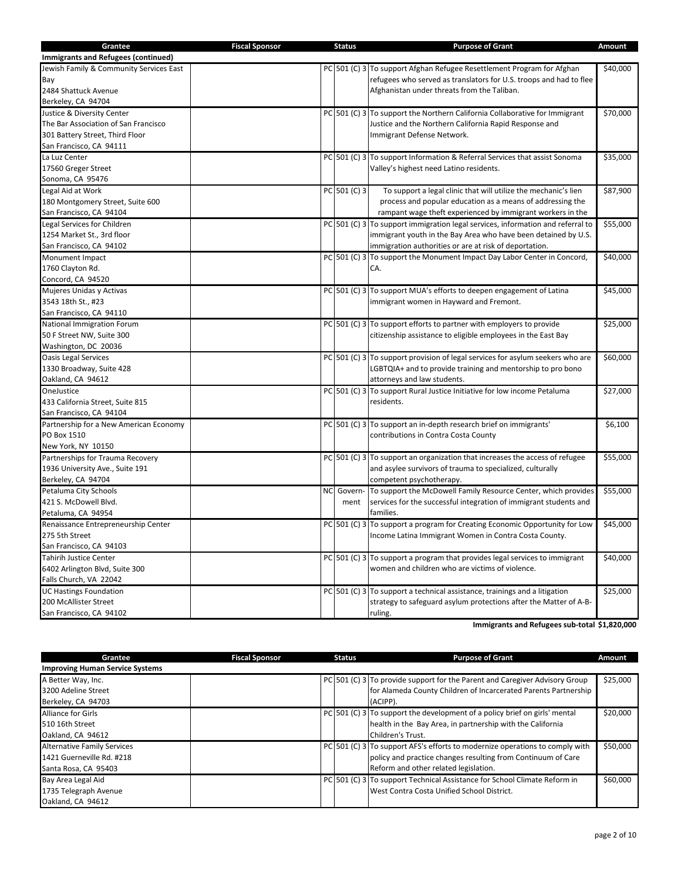| Grantee                                 | <b>Fiscal Sponsor</b> | <b>Status</b> | <b>Purpose of Grant</b>                                                         | Amount   |
|-----------------------------------------|-----------------------|---------------|---------------------------------------------------------------------------------|----------|
| Immigrants and Refugees (continued)     |                       |               |                                                                                 |          |
| Jewish Family & Community Services East |                       |               | PC 501 (C) 3 To support Afghan Refugee Resettlement Program for Afghan          | \$40,000 |
| Bay                                     |                       |               | refugees who served as translators for U.S. troops and had to flee              |          |
| 2484 Shattuck Avenue                    |                       |               | Afghanistan under threats from the Taliban.                                     |          |
| Berkeley, CA 94704                      |                       |               |                                                                                 |          |
| Justice & Diversity Center              |                       |               | PC 501 (C) 3 To support the Northern California Collaborative for Immigrant     | \$70,000 |
| The Bar Association of San Francisco    |                       |               | Justice and the Northern California Rapid Response and                          |          |
| 301 Battery Street, Third Floor         |                       |               | Immigrant Defense Network.                                                      |          |
| San Francisco, CA 94111                 |                       |               |                                                                                 |          |
| La Luz Center                           |                       |               | PC 501 (C) 3 To support Information & Referral Services that assist Sonoma      | \$35,000 |
| 17560 Greger Street                     |                       |               | Valley's highest need Latino residents.                                         |          |
| Sonoma, CA 95476                        |                       |               |                                                                                 |          |
| Legal Aid at Work                       |                       | PC 501 (C) 3  | To support a legal clinic that will utilize the mechanic's lien                 | \$87,900 |
| 180 Montgomery Street, Suite 600        |                       |               | process and popular education as a means of addressing the                      |          |
| San Francisco, CA 94104                 |                       |               | rampant wage theft experienced by immigrant workers in the                      |          |
| Legal Services for Children             |                       |               | PC 501 (C) 3 To support immigration legal services, information and referral to | \$55,000 |
| 1254 Market St., 3rd floor              |                       |               | immigrant youth in the Bay Area who have been detained by U.S.                  |          |
| San Francisco, CA 94102                 |                       |               | immigration authorities or are at risk of deportation.                          |          |
| Monument Impact                         |                       |               | PC 501 (C) 3 To support the Monument Impact Day Labor Center in Concord,        | \$40,000 |
| 1760 Clayton Rd.                        |                       |               | CA.                                                                             |          |
| Concord, CA 94520                       |                       |               |                                                                                 |          |
| Mujeres Unidas y Activas                |                       |               | PC 501 (C) 3 To support MUA's efforts to deepen engagement of Latina            | \$45,000 |
| 3543 18th St., #23                      |                       |               | immigrant women in Hayward and Fremont.                                         |          |
| San Francisco, CA 94110                 |                       |               |                                                                                 |          |
| National Immigration Forum              |                       |               | $PC$ 501 (C) 3 To support efforts to partner with employers to provide          | \$25,000 |
| 50 F Street NW, Suite 300               |                       |               | citizenship assistance to eligible employees in the East Bay                    |          |
| Washington, DC 20036                    |                       |               |                                                                                 |          |
| <b>Oasis Legal Services</b>             |                       |               | PC 501 (C) 3 To support provision of legal services for asylum seekers who are  | \$60,000 |
| 1330 Broadway, Suite 428                |                       |               | LGBTQIA+ and to provide training and mentorship to pro bono                     |          |
| Oakland, CA 94612                       |                       |               | attorneys and law students.                                                     |          |
| OneJustice                              |                       |               | PC 501 (C) 3 To support Rural Justice Initiative for low income Petaluma        | \$27,000 |
| 433 California Street, Suite 815        |                       |               | residents.                                                                      |          |
| San Francisco, CA 94104                 |                       |               |                                                                                 |          |
| Partnership for a New American Economy  |                       |               | PC 501 (C) 3 To support an in-depth research brief on immigrants'               | \$6,100  |
| PO Box 1510                             |                       |               | contributions in Contra Costa County                                            |          |
| New York, NY 10150                      |                       |               |                                                                                 |          |
| Partnerships for Trauma Recovery        |                       |               | PC 501 (C) 3 To support an organization that increases the access of refugee    | \$55,000 |
| 1936 University Ave., Suite 191         |                       |               | and asylee survivors of trauma to specialized, culturally                       |          |
| Berkeley, CA 94704                      |                       |               | competent psychotherapy.                                                        |          |
| Petaluma City Schools                   |                       | NC Govern-    | To support the McDowell Family Resource Center, which provides                  | \$55,000 |
| 421 S. McDowell Blvd.                   |                       | ment          | services for the successful integration of immigrant students and               |          |
| Petaluma, CA 94954                      |                       |               | families.                                                                       |          |
| Renaissance Entrepreneurship Center     |                       |               | PC 501 (C) 3 To support a program for Creating Economic Opportunity for Low     | \$45,000 |
| 275 5th Street                          |                       |               | Income Latina Immigrant Women in Contra Costa County.                           |          |
| San Francisco, CA 94103                 |                       |               |                                                                                 |          |
| <b>Tahirih Justice Center</b>           |                       |               | $PC$ 501 (C) 3 To support a program that provides legal services to immigrant   | \$40,000 |
| 6402 Arlington Blvd, Suite 300          |                       |               | women and children who are victims of violence.                                 |          |
| Falls Church, VA 22042                  |                       |               |                                                                                 |          |
| <b>UC Hastings Foundation</b>           |                       |               | PC 501 (C) 3 To support a technical assistance, trainings and a litigation      | \$25,000 |
| 200 McAllister Street                   |                       |               | strategy to safeguard asylum protections after the Matter of A-B-               |          |
| San Francisco, CA 94102                 |                       |               | ruling.                                                                         |          |

**Immigrants and Refugees sub-total \$1,820,000**

| Grantee                                | <b>Fiscal Sponsor</b> | <b>Status</b> | <b>Purpose of Grant</b>                                                      | Amount   |
|----------------------------------------|-----------------------|---------------|------------------------------------------------------------------------------|----------|
| <b>Improving Human Service Systems</b> |                       |               |                                                                              |          |
| A Better Way, Inc.                     |                       |               | PC 501 (C) 3 To provide support for the Parent and Caregiver Advisory Group  | \$25,000 |
| 3200 Adeline Street                    |                       |               | for Alameda County Children of Incarcerated Parents Partnership              |          |
| Berkeley, CA 94703                     |                       |               | (ACIPP).                                                                     |          |
| <b>Alliance for Girls</b>              |                       |               | PC 501 (C) 3 To support the development of a policy brief on girls' mental   | \$20,000 |
| 510 16th Street                        |                       |               | health in the Bay Area, in partnership with the California                   |          |
| Oakland, CA 94612                      |                       |               | Children's Trust.                                                            |          |
| <b>Alternative Family Services</b>     |                       |               | PC 501 (C) 3 To support AFS's efforts to modernize operations to comply with | \$50,000 |
| 1421 Guerneville Rd. #218              |                       |               | policy and practice changes resulting from Continuum of Care                 |          |
| Santa Rosa, CA 95403                   |                       |               | Reform and other related legislation.                                        |          |
| Bay Area Legal Aid                     |                       |               | PC 501 (C) 3 To support Technical Assistance for School Climate Reform in    | \$60,000 |
| 1735 Telegraph Avenue                  |                       |               | West Contra Costa Unified School District.                                   |          |
| Oakland, CA 94612                      |                       |               |                                                                              |          |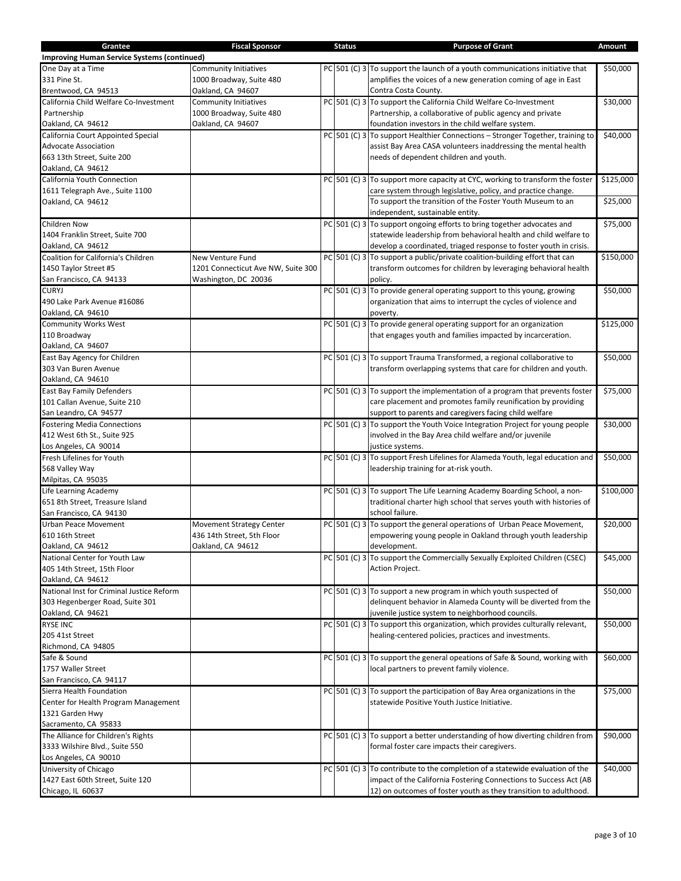| Grantee                                            | <b>Fiscal Sponsor</b>              | <b>Status</b> | <b>Purpose of Grant</b>                                                         | Amount    |
|----------------------------------------------------|------------------------------------|---------------|---------------------------------------------------------------------------------|-----------|
| <b>Improving Human Service Systems (continued)</b> |                                    |               |                                                                                 |           |
| One Day at a Time                                  | <b>Community Initiatives</b>       |               | $PC$ 501 (C) 3 To support the launch of a youth communications initiative that  | \$50,000  |
| 331 Pine St.                                       | 1000 Broadway, Suite 480           |               | amplifies the voices of a new generation coming of age in East                  |           |
| Brentwood, CA 94513                                | Oakland, CA 94607                  |               | Contra Costa County.                                                            |           |
| California Child Welfare Co-Investment             | <b>Community Initiatives</b>       |               | PC 501 (C) 3 To support the California Child Welfare Co-Investment              | \$30,000  |
| Partnership                                        | 1000 Broadway, Suite 480           |               | Partnership, a collaborative of public agency and private                       |           |
| Oakland, CA 94612                                  | Oakland, CA 94607                  |               | foundation investors in the child welfare system.                               |           |
| California Court Appointed Special                 |                                    |               | PC 501 (C) 3 To support Healthier Connections - Stronger Together, training to  | \$40,000  |
| <b>Advocate Association</b>                        |                                    |               | assist Bay Area CASA volunteers inaddressing the mental health                  |           |
| 663 13th Street, Suite 200                         |                                    |               | needs of dependent children and youth.                                          |           |
| Oakland, CA 94612                                  |                                    |               |                                                                                 |           |
| California Youth Connection                        |                                    |               | PC 501 (C) 3 To support more capacity at CYC, working to transform the foster   | \$125,000 |
| 1611 Telegraph Ave., Suite 1100                    |                                    |               | care system through legislative, policy, and practice change.                   |           |
| Oakland, CA 94612                                  |                                    |               | To support the transition of the Foster Youth Museum to an                      | \$25,000  |
|                                                    |                                    |               | independent, sustainable entity.                                                |           |
|                                                    |                                    |               |                                                                                 |           |
| <b>Children Now</b>                                |                                    |               | PC 501 (C) 3 To support ongoing efforts to bring together advocates and         | \$75,000  |
| 1404 Franklin Street, Suite 700                    |                                    |               | statewide leadership from behavioral health and child welfare to                |           |
| Oakland, CA 94612                                  |                                    |               | develop a coordinated, triaged response to foster youth in crisis.              |           |
| Coalition for California's Children                | New Venture Fund                   |               | $PC$ 501 (C) 3 To support a public/private coalition-building effort that can   | \$150,000 |
| 1450 Taylor Street #5                              | 1201 Connecticut Ave NW, Suite 300 |               | transform outcomes for children by leveraging behavioral health                 |           |
| San Francisco, CA 94133                            | Washington, DC 20036               |               | policy.                                                                         |           |
| <b>CURYJ</b>                                       |                                    |               | $PC$ 501 (C) 3 To provide general operating support to this young, growing      | \$50,000  |
| 490 Lake Park Avenue #16086                        |                                    |               | organization that aims to interrupt the cycles of violence and                  |           |
| Oakland, CA 94610                                  |                                    |               | poverty.                                                                        |           |
| <b>Community Works West</b>                        |                                    |               | $PC$ 501 (C) 3 To provide general operating support for an organization         | \$125,000 |
| 110 Broadway                                       |                                    |               | that engages youth and families impacted by incarceration.                      |           |
| Oakland, CA 94607                                  |                                    |               |                                                                                 |           |
| East Bay Agency for Children                       |                                    |               | PC 501 (C) 3 To support Trauma Transformed, a regional collaborative to         | \$50,000  |
| 303 Van Buren Avenue                               |                                    |               | transform overlapping systems that care for children and youth.                 |           |
| Oakland, CA 94610                                  |                                    |               |                                                                                 |           |
| East Bay Family Defenders                          |                                    |               | $PC$ 501 (C) 3 To support the implementation of a program that prevents foster  | \$75,000  |
| 101 Callan Avenue, Suite 210                       |                                    |               | care placement and promotes family reunification by providing                   |           |
| San Leandro, CA 94577                              |                                    |               | support to parents and caregivers facing child welfare                          |           |
| <b>Fostering Media Connections</b>                 |                                    |               | PC 501 (C) 3 To support the Youth Voice Integration Project for young people    | \$30,000  |
| 412 West 6th St., Suite 925                        |                                    |               | involved in the Bay Area child welfare and/or juvenile                          |           |
| Los Angeles, CA 90014                              |                                    |               | justice systems.                                                                |           |
| Fresh Lifelines for Youth                          |                                    |               | PC 501 (C) 3 To support Fresh Lifelines for Alameda Youth, legal education and  | \$50,000  |
| 568 Valley Way                                     |                                    |               | leadership training for at-risk youth.                                          |           |
| Milpitas, CA 95035                                 |                                    |               |                                                                                 |           |
|                                                    |                                    |               | PC 501 (C) 3 To support The Life Learning Academy Boarding School, a non-       |           |
| Life Learning Academy                              |                                    |               |                                                                                 | \$100,000 |
| 651 8th Street, Treasure Island                    |                                    |               | traditional charter high school that serves youth with histories of             |           |
| San Francisco, CA 94130                            |                                    |               | school failure.                                                                 |           |
| Urban Peace Movement                               | <b>Movement Strategy Center</b>    |               | PC 501 (C) 3 To support the general operations of Urban Peace Movement,         | \$20,000  |
| 610 16th Street                                    | 436 14th Street, 5th Floor         |               | empowering young people in Oakland through youth leadership                     |           |
| Oakland, CA 94612                                  | Oakland, CA 94612                  |               | development.                                                                    |           |
| National Center for Youth Law                      |                                    |               | PC 501 (C) 3 To support the Commercially Sexually Exploited Children (CSEC)     | \$45,000  |
| 405 14th Street, 15th Floor                        |                                    |               | <b>Action Project.</b>                                                          |           |
| Oakland, CA 94612                                  |                                    |               |                                                                                 |           |
| National Inst for Criminal Justice Reform          |                                    |               | $PC$ 501 (C) 3 To support a new program in which youth suspected of             | \$50,000  |
| 303 Hegenberger Road, Suite 301                    |                                    |               | delinquent behavior in Alameda County will be diverted from the                 |           |
| Oakland, CA 94621                                  |                                    |               | juvenile justice system to neighborhood councils.                               |           |
| <b>RYSE INC</b>                                    |                                    |               | PC 501 (C) 3 To support this organization, which provides culturally relevant,  | \$50,000  |
| 205 41st Street                                    |                                    |               | healing-centered policies, practices and investments.                           |           |
| Richmond, CA 94805                                 |                                    |               |                                                                                 |           |
| Safe & Sound                                       |                                    |               | PC 501 (C) 3 To support the general opeations of Safe & Sound, working with     | \$60,000  |
| 1757 Waller Street                                 |                                    |               | local partners to prevent family violence.                                      |           |
| San Francisco, CA 94117                            |                                    |               |                                                                                 |           |
| Sierra Health Foundation                           |                                    |               | PC 501 (C) 3 To support the participation of Bay Area organizations in the      | \$75,000  |
| Center for Health Program Management               |                                    |               | statewide Positive Youth Justice Initiative.                                    |           |
| 1321 Garden Hwy                                    |                                    |               |                                                                                 |           |
| Sacramento, CA 95833                               |                                    |               |                                                                                 |           |
| The Alliance for Children's Rights                 |                                    |               | $PC$ 501 (C) 3 To support a better understanding of how diverting children from | \$90,000  |
| 3333 Wilshire Blvd., Suite 550                     |                                    |               | formal foster care impacts their caregivers.                                    |           |
| Los Angeles, CA 90010                              |                                    |               |                                                                                 |           |
| University of Chicago                              |                                    |               | PC 501 (C) 3 To contribute to the completion of a statewide evaluation of the   | \$40,000  |
|                                                    |                                    |               | impact of the California Fostering Connections to Success Act (AB               |           |
| 1427 East 60th Street, Suite 120                   |                                    |               |                                                                                 |           |
| Chicago, IL 60637                                  |                                    |               | 12) on outcomes of foster youth as they transition to adulthood.                |           |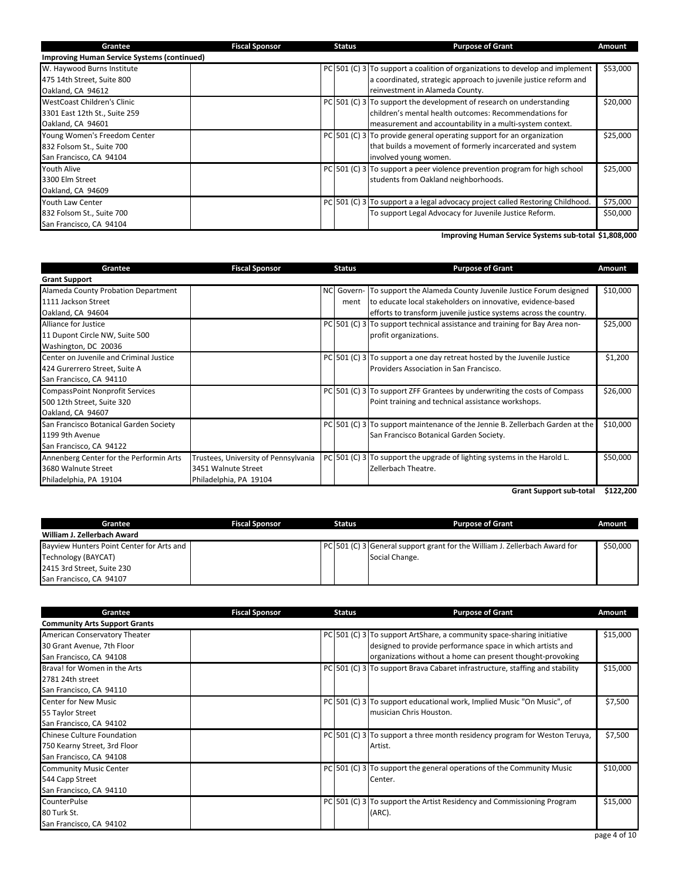| Grantee                                            | <b>Fiscal Sponsor</b> | <b>Status</b> | <b>Purpose of Grant</b>                                                        | Amount   |
|----------------------------------------------------|-----------------------|---------------|--------------------------------------------------------------------------------|----------|
| <b>Improving Human Service Systems (continued)</b> |                       |               |                                                                                |          |
| W. Haywood Burns Institute                         |                       |               | PC 501 (C) 3 To support a coalition of organizations to develop and implement  | \$53,000 |
| 475 14th Street, Suite 800                         |                       |               | a coordinated, strategic approach to juvenile justice reform and               |          |
| Oakland, CA 94612                                  |                       |               | reinvestment in Alameda County.                                                |          |
| WestCoast Children's Clinic                        |                       |               | $PC$ 501 (C) 3 To support the development of research on understanding         | \$20,000 |
| 3301 East 12th St., Suite 259                      |                       |               | children's mental health outcomes: Recommendations for                         |          |
| Oakland, CA 94601                                  |                       |               | measurement and accountability in a multi-system context.                      |          |
| Young Women's Freedom Center                       |                       |               | $PC$ 501 (C) 3 To provide general operating support for an organization        | \$25,000 |
| 832 Folsom St., Suite 700                          |                       |               | that builds a movement of formerly incarcerated and system                     |          |
| San Francisco, CA 94104                            |                       |               | involved young women.                                                          |          |
| <b>Youth Alive</b>                                 |                       |               | PC 501 (C) 3 To support a peer violence prevention program for high school     | \$25,000 |
| 3300 Elm Street                                    |                       |               | students from Oakland neighborhoods.                                           |          |
| Oakland, CA 94609                                  |                       |               |                                                                                |          |
| Youth Law Center                                   |                       |               | PC 501 (C) 3 To support a a legal advocacy project called Restoring Childhood. | \$75,000 |
| 832 Folsom St., Suite 700                          |                       |               | To support Legal Advocacy for Juvenile Justice Reform.                         | \$50,000 |
| San Francisco, CA 94104                            |                       |               |                                                                                |          |

**Improving Human Service Systems sub-total \$1,808,000**

| Grantee                                 | <b>Fiscal Sponsor</b>                | <b>Status</b> | <b>Purpose of Grant</b>                                                       | <b>Amount</b> |
|-----------------------------------------|--------------------------------------|---------------|-------------------------------------------------------------------------------|---------------|
| <b>Grant Support</b>                    |                                      |               |                                                                               |               |
| Alameda County Probation Department     |                                      |               | NC Govern- To support the Alameda County Juvenile Justice Forum designed      | \$10,000      |
| 1111 Jackson Street                     |                                      | ment          | to educate local stakeholders on innovative, evidence-based                   |               |
| Oakland, CA 94604                       |                                      |               | efforts to transform juvenile justice systems across the country.             |               |
| Alliance for Justice                    |                                      |               | PC 501 (C) 3 To support technical assistance and training for Bay Area non-   | \$25,000      |
| 11 Dupont Circle NW, Suite 500          |                                      |               | profit organizations.                                                         |               |
| Washington, DC 20036                    |                                      |               |                                                                               |               |
| Center on Juvenile and Criminal Justice |                                      |               | PC 501 (C) 3 To support a one day retreat hosted by the Juvenile Justice      | \$1,200       |
| 424 Gurerrero Street, Suite A           |                                      |               | Providers Association in San Francisco.                                       |               |
| San Francisco, CA 94110                 |                                      |               |                                                                               |               |
| <b>CompassPoint Nonprofit Services</b>  |                                      |               | PC 501 (C) 3 To support ZFF Grantees by underwriting the costs of Compass     | \$26,000      |
| 500 12th Street, Suite 320              |                                      |               | Point training and technical assistance workshops.                            |               |
| Oakland, CA 94607                       |                                      |               |                                                                               |               |
| San Francisco Botanical Garden Society  |                                      |               | PC 501 (C) 3 To support maintenance of the Jennie B. Zellerbach Garden at the | \$10,000      |
| 1199 9th Avenue                         |                                      |               | San Francisco Botanical Garden Society.                                       |               |
| San Francisco, CA 94122                 |                                      |               |                                                                               |               |
| Annenberg Center for the Performin Arts | Trustees, University of Pennsylvania |               | PC 501 (C) 3 To support the upgrade of lighting systems in the Harold L.      | \$50,000      |
| 3680 Walnute Street                     | 3451 Walnute Street                  |               | Zellerbach Theatre.                                                           |               |
| Philadelphia, PA 19104                  | Philadelphia, PA 19104               |               |                                                                               |               |

**Grant Support sub-total \$122,200**

| Grantee                                   | <b>Fiscal Sponsor</b> | <b>Status</b> |  | <b>Purpose of Grant</b>                                                    | Amount   |
|-------------------------------------------|-----------------------|---------------|--|----------------------------------------------------------------------------|----------|
| William J. Zellerbach Award               |                       |               |  |                                                                            |          |
| Bayview Hunters Point Center for Arts and |                       |               |  | PC 501 (C) 3 General support grant for the William J. Zellerbach Award for | \$50,000 |
| Technology (BAYCAT)                       |                       |               |  | Social Change.                                                             |          |
| 2415 3rd Street, Suite 230                |                       |               |  |                                                                            |          |
| San Francisco, CA 94107                   |                       |               |  |                                                                            |          |

| Grantee                                                                                | <b>Fiscal Sponsor</b> | <b>Status</b> | <b>Purpose of Grant</b>                                                                                                                                                                            | Amount   |
|----------------------------------------------------------------------------------------|-----------------------|---------------|----------------------------------------------------------------------------------------------------------------------------------------------------------------------------------------------------|----------|
| <b>Community Arts Support Grants</b>                                                   |                       |               |                                                                                                                                                                                                    |          |
| American Conservatory Theater<br>30 Grant Avenue, 7th Floor<br>San Francisco, CA 94108 |                       |               | PC 501 (C) 3 To support ArtShare, a community space-sharing initiative<br>designed to provide performance space in which artists and<br>organizations without a home can present thought-provoking | \$15,000 |
| Brava! for Women in the Arts<br>2781 24th street<br>San Francisco, CA 94110            |                       |               | PC 501 (C) 3 To support Brava Cabaret infrastructure, staffing and stability                                                                                                                       | \$15,000 |
| <b>Center for New Music</b><br>55 Taylor Street<br>San Francisco, CA 94102             |                       |               | PC 501 (C) 3 To support educational work, Implied Music "On Music", of<br>I musician Chris Houston.                                                                                                | \$7,500  |
| Chinese Culture Foundation<br>750 Kearny Street, 3rd Floor<br>San Francisco, CA 94108  |                       |               | PC 501 (C) 3 To support a three month residency program for Weston Teruya,<br>Artist.                                                                                                              | \$7,500  |
| <b>Community Music Center</b><br>544 Capp Street<br>San Francisco, CA 94110            |                       |               | PC 501 (C) 3 To support the general operations of the Community Music<br>Center.                                                                                                                   | \$10,000 |
| <b>CounterPulse</b><br>80 Turk St.<br>San Francisco, CA 94102                          |                       |               | PC 501 (C) 3 To support the Artist Residency and Commissioning Program<br>(ARC).                                                                                                                   | \$15,000 |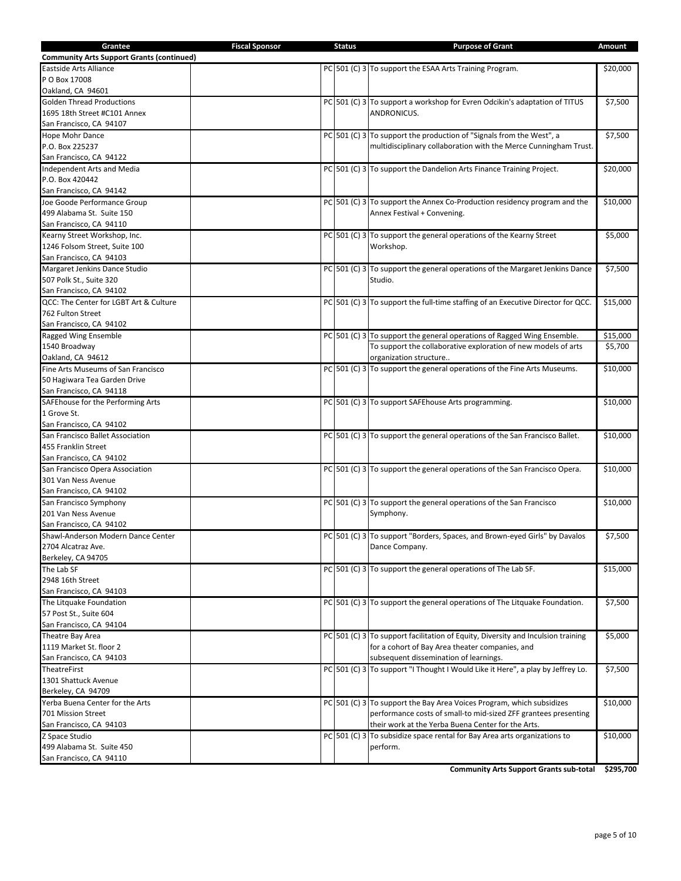| Grantee                                          | <b>Fiscal Sponsor</b> | <b>Status</b> | <b>Purpose of Grant</b>                                                          | Amount   |
|--------------------------------------------------|-----------------------|---------------|----------------------------------------------------------------------------------|----------|
| <b>Community Arts Support Grants (continued)</b> |                       |               |                                                                                  |          |
| Eastside Arts Alliance                           |                       |               | PC 501 (C) 3 To support the ESAA Arts Training Program.                          | \$20,000 |
| P O Box 17008                                    |                       |               |                                                                                  |          |
| Oakland, CA 94601                                |                       |               |                                                                                  |          |
| <b>Golden Thread Productions</b>                 |                       |               | PC 501 (C) 3 To support a workshop for Evren Odcikin's adaptation of TITUS       | \$7,500  |
| 1695 18th Street #C101 Annex                     |                       |               | ANDRONICUS.                                                                      |          |
| San Francisco, CA 94107                          |                       |               |                                                                                  |          |
| Hope Mohr Dance                                  |                       |               | PC 501 (C) 3 To support the production of "Signals from the West", a             | \$7,500  |
| P.O. Box 225237                                  |                       |               | multidisciplinary collaboration with the Merce Cunningham Trust.                 |          |
| San Francisco, CA 94122                          |                       |               |                                                                                  |          |
| Independent Arts and Media                       |                       |               | PC 501 (C) 3 To support the Dandelion Arts Finance Training Project.             | \$20,000 |
| P.O. Box 420442                                  |                       |               |                                                                                  |          |
| San Francisco, CA 94142                          |                       |               |                                                                                  |          |
| Joe Goode Performance Group                      |                       |               | PC 501 (C) 3 To support the Annex Co-Production residency program and the        | \$10,000 |
| 499 Alabama St. Suite 150                        |                       |               | Annex Festival + Convening.                                                      |          |
| San Francisco, CA 94110                          |                       |               |                                                                                  |          |
| Kearny Street Workshop, Inc.                     |                       |               | PC 501 (C) 3 To support the general operations of the Kearny Street              | \$5,000  |
| 1246 Folsom Street, Suite 100                    |                       |               | Workshop.                                                                        |          |
| San Francisco, CA 94103                          |                       |               |                                                                                  |          |
| Margaret Jenkins Dance Studio                    |                       |               | PC 501 (C) 3 To support the general operations of the Margaret Jenkins Dance     | \$7,500  |
| 507 Polk St., Suite 320                          |                       |               | Studio.                                                                          |          |
| San Francisco, CA 94102                          |                       |               |                                                                                  |          |
| QCC: The Center for LGBT Art & Culture           |                       |               | PC 501 (C) 3 To support the full-time staffing of an Executive Director for QCC. | \$15,000 |
| 762 Fulton Street                                |                       |               |                                                                                  |          |
| San Francisco, CA 94102                          |                       |               |                                                                                  |          |
| Ragged Wing Ensemble                             |                       |               | PC 501 (C) 3 To support the general operations of Ragged Wing Ensemble.          | \$15,000 |
| 1540 Broadway                                    |                       |               | To support the collaborative exploration of new models of arts                   | \$5,700  |
| Oakland, CA 94612                                |                       |               | organization structure                                                           |          |
| Fine Arts Museums of San Francisco               |                       |               | $PC$ 501 (C) 3 To support the general operations of the Fine Arts Museums.       | \$10,000 |
| 50 Hagiwara Tea Garden Drive                     |                       |               |                                                                                  |          |
| San Francisco, CA 94118                          |                       |               |                                                                                  |          |
| SAFE house for the Performing Arts               |                       |               | PC 501 (C) 3 To support SAFE house Arts programming.                             | \$10,000 |
| 1 Grove St.                                      |                       |               |                                                                                  |          |
| San Francisco, CA 94102                          |                       |               |                                                                                  |          |
| San Francisco Ballet Association                 |                       |               | PC 501 (C) 3 To support the general operations of the San Francisco Ballet.      | \$10,000 |
| 455 Franklin Street                              |                       |               |                                                                                  |          |
| San Francisco, CA 94102                          |                       |               |                                                                                  |          |
| San Francisco Opera Association                  |                       |               | PC 501 (C) 3 To support the general operations of the San Francisco Opera.       | \$10,000 |
| 301 Van Ness Avenue                              |                       |               |                                                                                  |          |
| San Francisco, CA 94102                          |                       |               |                                                                                  |          |
| San Francisco Symphony                           |                       |               | PC 501 (C) 3 To support the general operations of the San Francisco              | \$10,000 |
| 201 Van Ness Avenue                              |                       |               | Symphony.                                                                        |          |
| San Francisco, CA 94102                          |                       |               |                                                                                  |          |
| Shawl-Anderson Modern Dance Center               |                       |               | PC 501 (C) 3 To support "Borders, Spaces, and Brown-eyed Girls" by Davalos       | \$7,500  |
| 2704 Alcatraz Ave.                               |                       |               | Dance Company.                                                                   |          |
| Berkeley, CA 94705                               |                       |               |                                                                                  |          |
| The Lab SF                                       |                       |               | $PC$ 501 (C) 3 To support the general operations of The Lab SF.                  | \$15,000 |
| 2948 16th Street                                 |                       |               |                                                                                  |          |
| San Francisco, CA 94103                          |                       |               |                                                                                  |          |
| The Litquake Foundation                          |                       |               | $PC$ 501 (C) 3 To support the general operations of The Litquake Foundation.     | \$7,500  |
| 57 Post St., Suite 604                           |                       |               |                                                                                  |          |
| San Francisco, CA 94104                          |                       |               |                                                                                  |          |
| Theatre Bay Area                                 |                       |               | PC 501 (C) 3 To support facilitation of Equity, Diversity and Inculsion training | \$5,000  |
| 1119 Market St. floor 2                          |                       |               | for a cohort of Bay Area theater companies, and                                  |          |
| San Francisco, CA 94103                          |                       |               | subsequent dissemination of learnings.                                           |          |
| TheatreFirst                                     |                       |               | PC 501 (C) 3 To support "I Thought I Would Like it Here", a play by Jeffrey Lo.  | \$7,500  |
| 1301 Shattuck Avenue                             |                       |               |                                                                                  |          |
| Berkeley, CA 94709                               |                       |               |                                                                                  |          |
| Yerba Buena Center for the Arts                  |                       |               | PC 501 (C) 3 To support the Bay Area Voices Program, which subsidizes            | \$10,000 |
| 701 Mission Street                               |                       |               | performance costs of small-to mid-sized ZFF grantees presenting                  |          |
| San Francisco, CA 94103                          |                       |               | their work at the Yerba Buena Center for the Arts.                               |          |
| Z Space Studio                                   |                       |               | $PC$ 501 (C) 3 To subsidize space rental for Bay Area arts organizations to      | \$10,000 |
| 499 Alabama St. Suite 450                        |                       |               | perform.                                                                         |          |
| San Francisco, CA 94110                          |                       |               |                                                                                  |          |

**Community Arts Support Grants sub-total \$295,700**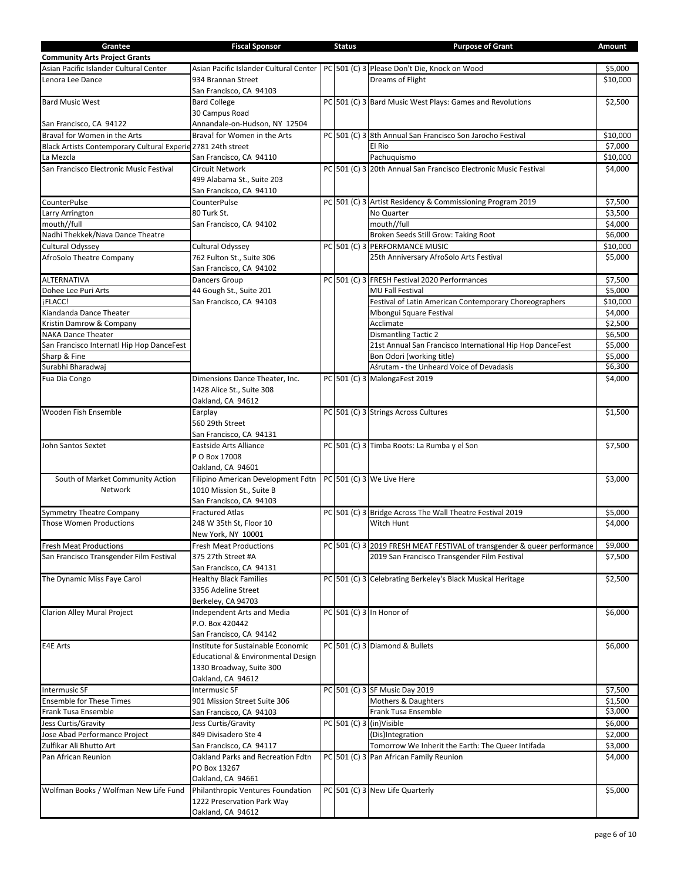| Grantee                                                      | <b>Fiscal Sponsor</b>                         | <b>Status</b> | <b>Purpose of Grant</b>                                                  | Amount   |
|--------------------------------------------------------------|-----------------------------------------------|---------------|--------------------------------------------------------------------------|----------|
| <b>Community Arts Project Grants</b>                         |                                               |               |                                                                          |          |
| Asian Pacific Islander Cultural Center                       | Asian Pacific Islander Cultural Center        |               | PC 501 (C) 3 Please Don't Die, Knock on Wood                             | \$5,000  |
| Lenora Lee Dance                                             | 934 Brannan Street                            |               | Dreams of Flight                                                         | \$10,000 |
|                                                              |                                               |               |                                                                          |          |
|                                                              | San Francisco, CA 94103                       |               |                                                                          |          |
| <b>Bard Music West</b>                                       | <b>Bard College</b>                           |               | PC 501 (C) 3 Bard Music West Plays: Games and Revolutions                | \$2,500  |
|                                                              | 30 Campus Road                                |               |                                                                          |          |
| San Francisco, CA 94122                                      | Annandale-on-Hudson, NY 12504                 |               |                                                                          |          |
| Brava! for Women in the Arts                                 | Brava! for Women in the Arts                  |               | PC 501 (C) 3 8th Annual San Francisco Son Jarocho Festival               | \$10,000 |
| Black Artists Contemporary Cultural Experie 2781 24th street |                                               |               | El Rio                                                                   | \$7,000  |
| La Mezcla                                                    | San Francisco, CA 94110                       |               | Pachuquismo                                                              | \$10,000 |
| San Francisco Electronic Music Festival                      | <b>Circuit Network</b>                        |               | PC 501 (C) 3 20th Annual San Francisco Electronic Music Festival         | \$4,000  |
|                                                              |                                               |               |                                                                          |          |
|                                                              | 499 Alabama St., Suite 203                    |               |                                                                          |          |
|                                                              | San Francisco, CA 94110                       |               |                                                                          |          |
| <b>CounterPulse</b>                                          | CounterPulse                                  |               | PC 501 (C) 3 Artist Residency & Commissioning Program 2019               | \$7,500  |
| Larry Arrington                                              | 80 Turk St.                                   |               | No Quarter                                                               | \$3,500  |
| mouth//full                                                  | San Francisco, CA 94102                       |               | mouth//full                                                              | \$4,000  |
| Nadhi Thekkek/Nava Dance Theatre                             |                                               |               | Broken Seeds Still Grow: Taking Root                                     | \$6,000  |
| Cultural Odyssey                                             | Cultural Odyssey                              |               | PC 501 (C) 3 PERFORMANCE MUSIC                                           | \$10,000 |
| AfroSolo Theatre Company                                     | 762 Fulton St., Suite 306                     |               | 25th Anniversary AfroSolo Arts Festival                                  | \$5,000  |
|                                                              |                                               |               |                                                                          |          |
|                                                              | San Francisco, CA 94102                       |               |                                                                          |          |
| <b>ALTERNATIVA</b>                                           | Dancers Group                                 |               | PC 501 (C) 3 FRESH Festival 2020 Performances                            | \$7,500  |
| Dohee Lee Puri Arts                                          | 44 Gough St., Suite 201                       |               | MU Fall Festival                                                         | \$5,000  |
| jFLACC!                                                      | San Francisco, CA 94103                       |               | Festival of Latin American Contemporary Choreographers                   | \$10,000 |
| Kiandanda Dance Theater                                      |                                               |               | Mbongui Square Festival                                                  | \$4,000  |
| Kristin Damrow & Company                                     |                                               |               | Acclimate                                                                | \$2,500  |
| <b>NAKA Dance Theater</b>                                    |                                               |               | <b>Dismantling Tactic 2</b>                                              | \$6,500  |
| San Francisco Internatl Hip Hop DanceFest                    |                                               |               | 21st Annual San Francisco International Hip Hop DanceFest                | \$5,000  |
| Sharp & Fine                                                 |                                               |               | Bon Odori (working title)                                                | \$5,000  |
| Surabhi Bharadwaj                                            |                                               |               | Aśrutam - the Unheard Voice of Devadasis                                 | \$6,300  |
|                                                              |                                               |               |                                                                          |          |
| Fua Dia Congo                                                | Dimensions Dance Theater, Inc.                |               | PC 501 (C) 3 MalongaFest 2019                                            | \$4,000  |
|                                                              | 1428 Alice St., Suite 308                     |               |                                                                          |          |
|                                                              | Oakland, CA 94612                             |               |                                                                          |          |
| Wooden Fish Ensemble                                         | Earplay                                       |               | PC 501 (C) 3 Strings Across Cultures                                     | \$1,500  |
|                                                              | 560 29th Street                               |               |                                                                          |          |
|                                                              | San Francisco, CA 94131                       |               |                                                                          |          |
| John Santos Sextet                                           | Eastside Arts Alliance                        |               | PC 501 (C) 3 Timba Roots: La Rumba y el Son                              | \$7,500  |
|                                                              | P O Box 17008                                 |               |                                                                          |          |
|                                                              |                                               |               |                                                                          |          |
|                                                              | Oakland, CA 94601                             |               |                                                                          |          |
| South of Market Community Action                             | Filipino American Development Fdtn            |               | PC 501 (C) 3 We Live Here                                                | \$3,000  |
| Network                                                      | 1010 Mission St., Suite B                     |               |                                                                          |          |
|                                                              | San Francisco, CA 94103                       |               |                                                                          |          |
| <b>Symmetry Theatre Company</b>                              | <b>Fractured Atlas</b>                        |               | PC 501 (C) 3 Bridge Across The Wall Theatre Festival 2019                | \$5,000  |
| <b>Those Women Productions</b>                               | 248 W 35th St, Floor 10                       |               | Witch Hunt                                                               | \$4,000  |
|                                                              | New York, NY 10001                            |               |                                                                          |          |
|                                                              |                                               |               | PC 501 (C) 3 2019 FRESH MEAT FESTIVAL of transgender & queer performance | \$9,000  |
| <b>Fresh Meat Productions</b>                                | <b>Fresh Meat Productions</b>                 |               |                                                                          |          |
| San Francisco Transgender Film Festival                      | 375 27th Street #A                            |               | 2019 San Francisco Transgender Film Festival                             | \$7,500  |
|                                                              | San Francisco, CA 94131                       |               |                                                                          |          |
| The Dynamic Miss Faye Carol                                  | <b>Healthy Black Families</b>                 |               | PC 501 (C) 3 Celebrating Berkeley's Black Musical Heritage               | \$2,500  |
|                                                              | 3356 Adeline Street                           |               |                                                                          |          |
|                                                              | Berkeley, CA 94703                            |               |                                                                          |          |
| Clarion Alley Mural Project                                  | Independent Arts and Media                    |               | PC 501 (C) 3 In Honor of                                                 | \$6,000  |
|                                                              | P.O. Box 420442                               |               |                                                                          |          |
|                                                              | San Francisco, CA 94142                       |               |                                                                          |          |
|                                                              |                                               |               |                                                                          |          |
| E4E Arts                                                     | Institute for Sustainable Economic            |               | PC 501 (C) 3 Diamond & Bullets                                           | \$6,000  |
|                                                              | <b>Educational &amp; Environmental Design</b> |               |                                                                          |          |
|                                                              | 1330 Broadway, Suite 300                      |               |                                                                          |          |
|                                                              | Oakland, CA 94612                             |               |                                                                          |          |
| <b>Intermusic SF</b>                                         | <b>Intermusic SF</b>                          |               | PC 501 (C) 3 SF Music Day 2019                                           | \$7,500  |
| <b>Ensemble for These Times</b>                              | 901 Mission Street Suite 306                  |               | Mothers & Daughters                                                      | \$1,500  |
| Frank Tusa Ensemble                                          | San Francisco, CA 94103                       |               | Frank Tusa Ensemble                                                      | \$3,000  |
| Jess Curtis/Gravity                                          | Jess Curtis/Gravity                           |               | $PC$ 501 (C) 3 (in)Visible                                               | \$6,000  |
| Jose Abad Performance Project                                | 849 Divisadero Ste 4                          |               | (Dis)Integration                                                         | \$2,000  |
|                                                              |                                               |               |                                                                          |          |
| Zulfikar Ali Bhutto Art                                      | San Francisco, CA 94117                       |               | Tomorrow We Inherit the Earth: The Queer Intifada                        | \$3,000  |
| Pan African Reunion                                          | Oakland Parks and Recreation Fdtn             |               | PC 501 (C) 3 Pan African Family Reunion                                  | \$4,000  |
|                                                              | PO Box 13267                                  |               |                                                                          |          |
|                                                              | Oakland, CA 94661                             |               |                                                                          |          |
| Wolfman Books / Wolfman New Life Fund                        | Philanthropic Ventures Foundation             |               | PC 501 (C) 3 New Life Quarterly                                          | \$5,000  |
|                                                              | 1222 Preservation Park Way                    |               |                                                                          |          |
|                                                              | Oakland, CA 94612                             |               |                                                                          |          |
|                                                              |                                               |               |                                                                          |          |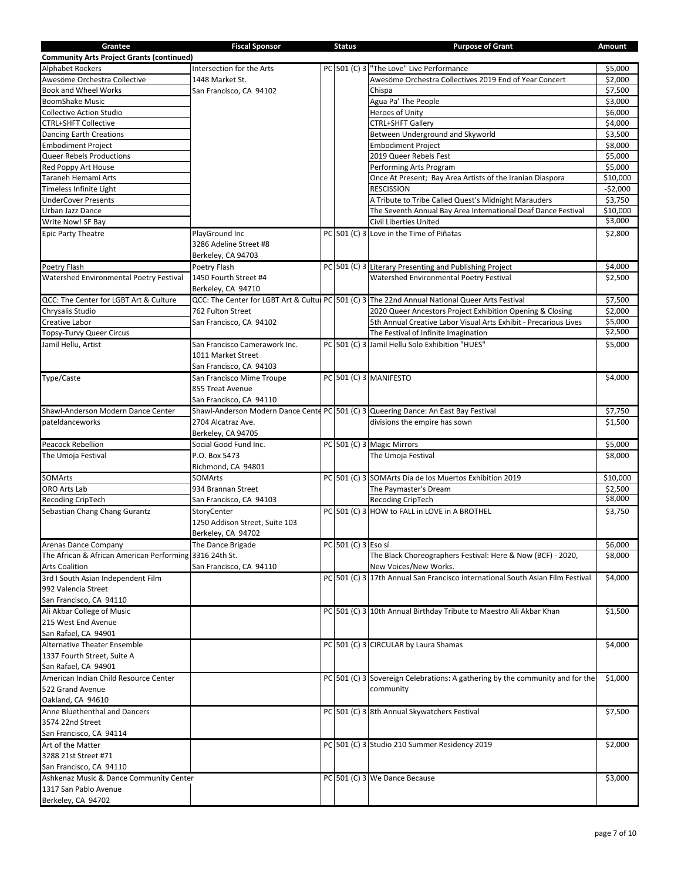| Grantee                                                 | <b>Fiscal Sponsor</b>          | <b>Status</b>       | <b>Purpose of Grant</b>                                                                          | Amount    |
|---------------------------------------------------------|--------------------------------|---------------------|--------------------------------------------------------------------------------------------------|-----------|
| <b>Community Arts Project Grants (continued)</b>        |                                |                     |                                                                                                  |           |
| <b>Alphabet Rockers</b>                                 | Intersection for the Arts      |                     | PC 501 (C) 3 "The Love" Live Performance                                                         | \$5,000   |
| Awesöme Orchestra Collective                            | 1448 Market St.                |                     | Awesöme Orchestra Collectives 2019 End of Year Concert                                           | \$2,000   |
| Book and Wheel Works                                    | San Francisco, CA 94102        |                     | Chispa                                                                                           | \$7,500   |
| <b>BoomShake Music</b>                                  |                                |                     | Agua Pa' The People                                                                              | \$3,000   |
| <b>Collective Action Studio</b>                         |                                |                     | Heroes of Unity                                                                                  | \$6,000   |
| <b>CTRL+SHFT Collective</b>                             |                                |                     | CTRL+SHFT Gallery                                                                                | \$4,000   |
| <b>Dancing Earth Creations</b>                          |                                |                     | Between Underground and Skyworld                                                                 | \$3,500   |
| Embodiment Project                                      |                                |                     | <b>Embodiment Project</b>                                                                        | \$8,000   |
| Queer Rebels Productions                                |                                |                     | 2019 Queer Rebels Fest                                                                           | \$5,000   |
| Red Poppy Art House                                     |                                |                     | Performing Arts Program                                                                          | \$5,000   |
| Taraneh Hemami Arts                                     |                                |                     | Once At Present; Bay Area Artists of the Iranian Diaspora                                        | \$10,000  |
| Timeless Infinite Light                                 |                                |                     | <b>RESCISSION</b>                                                                                | $-$2,000$ |
| <b>UnderCover Presents</b>                              |                                |                     | A Tribute to Tribe Called Quest's Midnight Marauders                                             | \$3,750   |
| Urban Jazz Dance                                        |                                |                     | The Seventh Annual Bay Area International Deaf Dance Festival                                    | \$10,000  |
| Write Now! SF Bay                                       |                                |                     | <b>Civil Liberties United</b>                                                                    | \$3,000   |
| <b>Epic Party Theatre</b>                               | PlayGround Inc                 |                     | PC 501 (C) 3 Love in the Time of Piñatas                                                         | \$2,800   |
|                                                         | 3286 Adeline Street #8         |                     |                                                                                                  |           |
|                                                         | Berkeley, CA 94703             |                     |                                                                                                  |           |
| Poetry Flash                                            | Poetry Flash                   |                     | PC 501 (C) 3 Literary Presenting and Publishing Project                                          | \$4,000   |
| Watershed Environmental Poetry Festival                 | 1450 Fourth Street #4          |                     | Watershed Environmental Poetry Festival                                                          | \$2,500   |
|                                                         |                                |                     |                                                                                                  |           |
| QCC: The Center for LGBT Art & Culture                  | Berkeley, CA 94710             |                     |                                                                                                  | \$7,500   |
|                                                         |                                |                     | QCC: The Center for LGBT Art & Culture PC 501 (C) 3 The 22nd Annual National Queer Arts Festival |           |
| Chrysalis Studio                                        | 762 Fulton Street              |                     | 2020 Queer Ancestors Project Exhibition Opening & Closing                                        | \$2,000   |
| Creative Labor                                          | San Francisco, CA 94102        |                     | 5th Annual Creative Labor Visual Arts Exhibit - Precarious Lives                                 | \$5,000   |
| Topsy-Turvy Queer Circus                                |                                |                     | The Festival of Infinite Imagination                                                             | \$2,500   |
| Jamil Hellu, Artist                                     | San Francisco Camerawork Inc.  |                     | PC 501 (C) 3 Jamil Hellu Solo Exhibition "HUES"                                                  | \$5,000   |
|                                                         | 1011 Market Street             |                     |                                                                                                  |           |
|                                                         | San Francisco, CA 94103        |                     |                                                                                                  |           |
| Type/Caste                                              | San Francisco Mime Troupe      |                     | PC 501 (C) 3 MANIFESTO                                                                           | \$4,000   |
|                                                         | 855 Treat Avenue               |                     |                                                                                                  |           |
|                                                         | San Francisco, CA 94110        |                     |                                                                                                  |           |
| Shawl-Anderson Modern Dance Center                      |                                |                     | Shawl-Anderson Modern Dance Cente PC 501 (C) 3 Queering Dance: An East Bay Festival              | \$7,750   |
| pateldanceworks                                         | 2704 Alcatraz Ave.             |                     | divisions the empire has sown                                                                    | \$1,500   |
|                                                         | Berkeley, CA 94705             |                     |                                                                                                  |           |
| <b>Peacock Rebellion</b>                                | Social Good Fund Inc.          |                     | PC 501 (C) 3 Magic Mirrors                                                                       | \$5,000   |
| The Umoja Festival                                      | P.O. Box 5473                  |                     | The Umoja Festival                                                                               | \$8,000   |
|                                                         | Richmond, CA 94801             |                     |                                                                                                  |           |
| SOMArts                                                 | <b>SOMArts</b>                 |                     | PC 501 (C) 3 SOMArts Día de los Muertos Exhibition 2019                                          | \$10,000  |
| ORO Arts Lab                                            | 934 Brannan Street             |                     | The Paymaster's Dream                                                                            | \$2,500   |
| Recoding CripTech                                       | San Francisco, CA 94103        |                     | Recoding CripTech                                                                                | \$8,000   |
| Sebastian Chang Chang Gurantz                           | StoryCenter                    |                     | PC 501 (C) 3 HOW to FALL in LOVE in A BROTHEL                                                    | \$3,750   |
|                                                         | 1250 Addison Street, Suite 103 |                     |                                                                                                  |           |
|                                                         | Berkeley, CA 94702             |                     |                                                                                                  |           |
| Arenas Dance Company                                    | The Dance Brigade              | PC 501 (C) 3 Eso sí |                                                                                                  | \$6,000   |
| The African & African American Performing 3316 24th St. |                                |                     | The Black Choreographers Festival: Here & Now (BCF) - 2020,                                      | \$8,000   |
| <b>Arts Coalition</b>                                   | San Francisco, CA 94110        |                     | New Voices/New Works.                                                                            |           |
| 3rd I South Asian Independent Film                      |                                |                     | PC 501 (C) 3 17th Annual San Francisco international South Asian Film Festival                   | \$4,000   |
| 992 Valencia Street                                     |                                |                     |                                                                                                  |           |
|                                                         |                                |                     |                                                                                                  |           |
| San Francisco, CA 94110<br>Ali Akbar College of Music   |                                |                     |                                                                                                  |           |
|                                                         |                                |                     | PC 501 (C) 3 10th Annual Birthday Tribute to Maestro Ali Akbar Khan                              | \$1,500   |
| 215 West End Avenue                                     |                                |                     |                                                                                                  |           |
| San Rafael, CA 94901                                    |                                |                     |                                                                                                  |           |
| <b>Alternative Theater Ensemble</b>                     |                                |                     | PC 501 (C) 3 CIRCULAR by Laura Shamas                                                            | \$4,000   |
| 1337 Fourth Street, Suite A                             |                                |                     |                                                                                                  |           |
| San Rafael, CA 94901                                    |                                |                     |                                                                                                  |           |
| American Indian Child Resource Center                   |                                |                     | PC 501 (C) 3 Sovereign Celebrations: A gathering by the community and for the                    | \$1,000   |
| 522 Grand Avenue                                        |                                |                     | community                                                                                        |           |
| Oakland, CA 94610                                       |                                |                     |                                                                                                  |           |
| Anne Bluethenthal and Dancers                           |                                |                     | PC 501 (C) 3 8th Annual Skywatchers Festival                                                     | \$7,500   |
| 3574 22nd Street                                        |                                |                     |                                                                                                  |           |
| San Francisco, CA 94114                                 |                                |                     |                                                                                                  |           |
| Art of the Matter                                       |                                |                     | PC 501 (C) 3 Studio 210 Summer Residency 2019                                                    | \$2,000   |
| 3288 21st Street #71                                    |                                |                     |                                                                                                  |           |
| San Francisco, CA 94110                                 |                                |                     |                                                                                                  |           |
| Ashkenaz Music & Dance Community Center                 |                                |                     | PC 501 (C) 3 We Dance Because                                                                    | \$3,000   |
| 1317 San Pablo Avenue                                   |                                |                     |                                                                                                  |           |
| Berkeley, CA 94702                                      |                                |                     |                                                                                                  |           |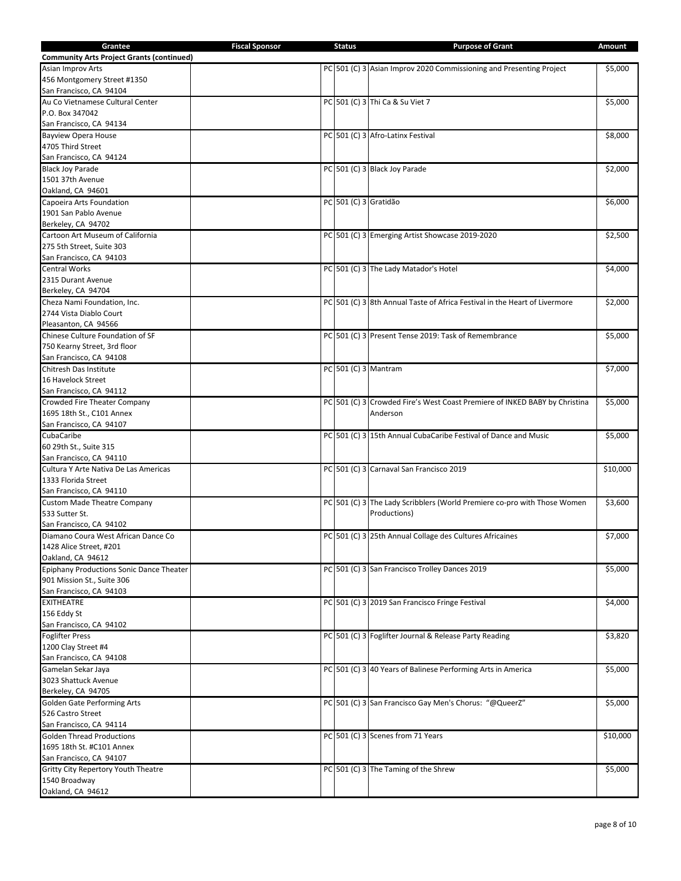| Grantee                                          | <b>Fiscal Sponsor</b> | <b>Status</b>         | <b>Purpose of Grant</b>                                                    | Amount   |
|--------------------------------------------------|-----------------------|-----------------------|----------------------------------------------------------------------------|----------|
| <b>Community Arts Project Grants (continued)</b> |                       |                       |                                                                            |          |
| Asian Improv Arts                                |                       |                       | PC 501 (C) 3 Asian Improv 2020 Commissioning and Presenting Project        | \$5,000  |
| 456 Montgomery Street #1350                      |                       |                       |                                                                            |          |
| San Francisco, CA 94104                          |                       |                       |                                                                            |          |
| Au Co Vietnamese Cultural Center                 |                       |                       | PC 501 (C) 3 Thi Ca & Su Viet 7                                            | \$5,000  |
| P.O. Box 347042                                  |                       |                       |                                                                            |          |
| San Francisco, CA 94134                          |                       |                       |                                                                            |          |
| <b>Bayview Opera House</b>                       |                       |                       | PC 501 (C) 3 Afro-Latinx Festival                                          | \$8,000  |
| 4705 Third Street                                |                       |                       |                                                                            |          |
| San Francisco, CA 94124                          |                       |                       |                                                                            |          |
|                                                  |                       |                       |                                                                            |          |
| <b>Black Joy Parade</b>                          |                       |                       | PC 501 (C) 3 Black Joy Parade                                              | \$2,000  |
| 1501 37th Avenue                                 |                       |                       |                                                                            |          |
| Oakland, CA 94601                                |                       |                       |                                                                            |          |
| Capoeira Arts Foundation                         |                       | PC 501 (C) 3 Gratidão |                                                                            | \$6,000  |
| 1901 San Pablo Avenue                            |                       |                       |                                                                            |          |
| Berkeley, CA 94702                               |                       |                       |                                                                            |          |
| Cartoon Art Museum of California                 |                       |                       | PC 501 (C) 3 Emerging Artist Showcase 2019-2020                            | \$2,500  |
| 275 5th Street, Suite 303                        |                       |                       |                                                                            |          |
| San Francisco, CA 94103                          |                       |                       |                                                                            |          |
| <b>Central Works</b>                             |                       |                       | PC 501 (C) 3 The Lady Matador's Hotel                                      | \$4,000  |
| 2315 Durant Avenue                               |                       |                       |                                                                            |          |
| Berkeley, CA 94704                               |                       |                       |                                                                            |          |
| Cheza Nami Foundation, Inc.                      |                       |                       | PC 501 (C) 3 8th Annual Taste of Africa Festival in the Heart of Livermore | \$2,000  |
| 2744 Vista Diablo Court                          |                       |                       |                                                                            |          |
| Pleasanton, CA 94566                             |                       |                       |                                                                            |          |
| Chinese Culture Foundation of SF                 |                       |                       | PC 501 (C) 3 Present Tense 2019: Task of Remembrance                       | \$5,000  |
| 750 Kearny Street, 3rd floor                     |                       |                       |                                                                            |          |
| San Francisco, CA 94108                          |                       |                       |                                                                            |          |
| Chitresh Das Institute                           |                       |                       | PC 501 (C) 3 Mantram                                                       | \$7,000  |
| 16 Havelock Street                               |                       |                       |                                                                            |          |
| San Francisco, CA 94112                          |                       |                       |                                                                            |          |
| Crowded Fire Theater Company                     |                       |                       | PC 501 (C) 3 Crowded Fire's West Coast Premiere of INKED BABY by Christina | \$5,000  |
| 1695 18th St., C101 Annex                        |                       |                       | Anderson                                                                   |          |
| San Francisco, CA 94107                          |                       |                       |                                                                            |          |
| CubaCaribe                                       |                       |                       |                                                                            | \$5,000  |
|                                                  |                       |                       | PC 501 (C) 3 15th Annual CubaCaribe Festival of Dance and Music            |          |
| 60 29th St., Suite 315                           |                       |                       |                                                                            |          |
| San Francisco, CA 94110                          |                       |                       |                                                                            |          |
| Cultura Y Arte Nativa De Las Americas            |                       |                       | PC 501 (C) 3 Carnaval San Francisco 2019                                   | \$10,000 |
| 1333 Florida Street                              |                       |                       |                                                                            |          |
| San Francisco, CA 94110                          |                       |                       |                                                                            |          |
| <b>Custom Made Theatre Company</b>               |                       |                       | PC 501 (C) 3 The Lady Scribblers (World Premiere co-pro with Those Women   | \$3,600  |
| 533 Sutter St.                                   |                       |                       | Productions)                                                               |          |
| San Francisco, CA 94102                          |                       |                       |                                                                            |          |
| Diamano Coura West African Dance Co              |                       |                       | PC 501 (C) 3 25th Annual Collage des Cultures Africaines                   | \$7,000  |
| 1428 Alice Street, #201                          |                       |                       |                                                                            |          |
| Oakland, CA 94612                                |                       |                       |                                                                            |          |
| Epiphany Productions Sonic Dance Theater         |                       |                       | PC 501 (C) 3 San Francisco Trolley Dances 2019                             | \$5,000  |
| 901 Mission St., Suite 306                       |                       |                       |                                                                            |          |
| San Francisco, CA 94103                          |                       |                       |                                                                            |          |
| <b>EXITHEATRE</b>                                |                       |                       | PC 501 (C) 3 2019 San Francisco Fringe Festival                            | \$4,000  |
| 156 Eddy St                                      |                       |                       |                                                                            |          |
| San Francisco, CA 94102                          |                       |                       |                                                                            |          |
| <b>Foglifter Press</b>                           |                       |                       | PC 501 (C) 3 Foglifter Journal & Release Party Reading                     | \$3,820  |
| 1200 Clay Street #4                              |                       |                       |                                                                            |          |
| San Francisco, CA 94108                          |                       |                       |                                                                            |          |
| Gamelan Sekar Jaya                               |                       |                       | PC 501 (C) 3 40 Years of Balinese Performing Arts in America               | \$5,000  |
| 3023 Shattuck Avenue                             |                       |                       |                                                                            |          |
|                                                  |                       |                       |                                                                            |          |
| Berkeley, CA 94705                               |                       |                       |                                                                            |          |
| Golden Gate Performing Arts                      |                       |                       | PC 501 (C) 3 San Francisco Gay Men's Chorus: "@QueerZ"                     | \$5,000  |
| 526 Castro Street                                |                       |                       |                                                                            |          |
| San Francisco, CA 94114                          |                       |                       |                                                                            |          |
| <b>Golden Thread Productions</b>                 |                       |                       | PC 501 (C) 3 Scenes from 71 Years                                          | \$10,000 |
| 1695 18th St. #C101 Annex                        |                       |                       |                                                                            |          |
| San Francisco, CA 94107                          |                       |                       |                                                                            |          |
| Gritty City Repertory Youth Theatre              |                       |                       | PC 501 (C) 3 The Taming of the Shrew                                       | \$5,000  |
| 1540 Broadway                                    |                       |                       |                                                                            |          |
| Oakland, CA 94612                                |                       |                       |                                                                            |          |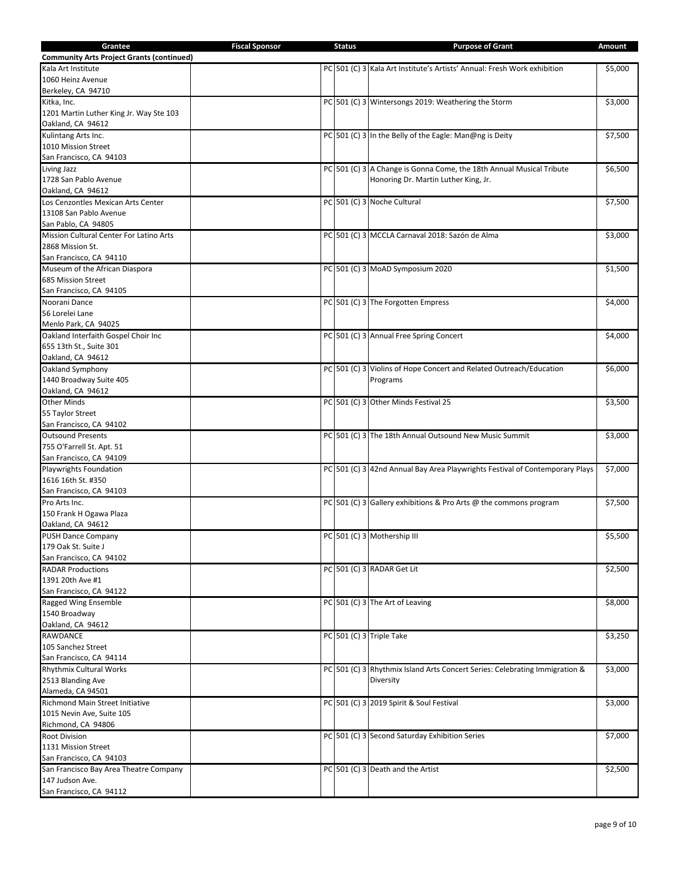| Grantee                                          | <b>Fiscal Sponsor</b> | <b>Status</b> | <b>Purpose of Grant</b>                                                      | Amount  |
|--------------------------------------------------|-----------------------|---------------|------------------------------------------------------------------------------|---------|
| <b>Community Arts Project Grants (continued)</b> |                       |               |                                                                              |         |
| Kala Art Institute                               |                       |               | PC 501 (C) 3 Kala Art Institute's Artists' Annual: Fresh Work exhibition     | 55,000  |
| 1060 Heinz Avenue                                |                       |               |                                                                              |         |
| Berkeley, CA 94710                               |                       |               |                                                                              |         |
| Kitka, Inc.                                      |                       |               | PC 501 (C) 3 Wintersongs 2019: Weathering the Storm                          | \$3,000 |
|                                                  |                       |               |                                                                              |         |
| 1201 Martin Luther King Jr. Way Ste 103          |                       |               |                                                                              |         |
| Oakland, CA 94612                                |                       |               |                                                                              |         |
| Kulintang Arts Inc.                              |                       |               | PC 501 (C) 3 In the Belly of the Eagle: Man@ng is Deity                      | \$7,500 |
| 1010 Mission Street                              |                       |               |                                                                              |         |
| San Francisco, CA 94103                          |                       |               |                                                                              |         |
| Living Jazz                                      |                       |               | PC 501 (C) 3 A Change is Gonna Come, the 18th Annual Musical Tribute         | \$6,500 |
| 1728 San Pablo Avenue                            |                       |               | Honoring Dr. Martin Luther King, Jr.                                         |         |
| Oakland, CA 94612                                |                       |               |                                                                              |         |
| Los Cenzontles Mexican Arts Center               |                       |               | PC 501 (C) 3 Noche Cultural                                                  | \$7,500 |
| 13108 San Pablo Avenue                           |                       |               |                                                                              |         |
| San Pablo, CA 94805                              |                       |               |                                                                              |         |
| Mission Cultural Center For Latino Arts          |                       |               | PC 501 (C) 3 MCCLA Carnaval 2018: Sazón de Alma                              | \$3,000 |
| 2868 Mission St.                                 |                       |               |                                                                              |         |
| San Francisco, CA 94110                          |                       |               |                                                                              |         |
| Museum of the African Diaspora                   |                       |               | PC 501 (C) 3 MoAD Symposium 2020                                             | \$1,500 |
| 685 Mission Street                               |                       |               |                                                                              |         |
|                                                  |                       |               |                                                                              |         |
| San Francisco, CA 94105                          |                       |               |                                                                              |         |
| Noorani Dance                                    |                       |               | PC 501 (C) 3 The Forgotten Empress                                           | \$4,000 |
| 56 Lorelei Lane                                  |                       |               |                                                                              |         |
| Menlo Park, CA 94025                             |                       |               |                                                                              |         |
| Oakland Interfaith Gospel Choir Inc              |                       |               | PC 501 (C) 3 Annual Free Spring Concert                                      | \$4,000 |
| 655 13th St., Suite 301                          |                       |               |                                                                              |         |
| Oakland, CA 94612                                |                       |               |                                                                              |         |
| Oakland Symphony                                 |                       |               | PC 501 (C) 3 Violins of Hope Concert and Related Outreach/Education          | \$6,000 |
| 1440 Broadway Suite 405                          |                       |               | Programs                                                                     |         |
| Oakland, CA 94612                                |                       |               |                                                                              |         |
| <b>Other Minds</b>                               |                       |               | PC 501 (C) 3 Other Minds Festival 25                                         | \$3,500 |
| 55 Taylor Street                                 |                       |               |                                                                              |         |
| San Francisco, CA 94102                          |                       |               |                                                                              |         |
| <b>Outsound Presents</b>                         |                       |               |                                                                              | \$3,000 |
|                                                  |                       |               | PC 501 (C) 3 The 18th Annual Outsound New Music Summit                       |         |
| 755 O'Farrell St. Apt. 51                        |                       |               |                                                                              |         |
| San Francisco, CA 94109                          |                       |               |                                                                              |         |
| <b>Playwrights Foundation</b>                    |                       |               | PC 501 (C) 3 42nd Annual Bay Area Playwrights Festival of Contemporary Plays | \$7,000 |
| 1616 16th St. #350                               |                       |               |                                                                              |         |
| San Francisco, CA 94103                          |                       |               |                                                                              |         |
| Pro Arts Inc.                                    |                       |               | PC 501 (C) 3 Gallery exhibitions & Pro Arts @ the commons program            | \$7,500 |
| 150 Frank H Ogawa Plaza                          |                       |               |                                                                              |         |
| Oakland, CA 94612                                |                       |               |                                                                              |         |
| <b>PUSH Dance Company</b>                        |                       |               | PC 501 (C) 3 Mothership III                                                  | \$5,500 |
| 179 Oak St. Suite J                              |                       |               |                                                                              |         |
| San Francisco, CA 94102                          |                       |               |                                                                              |         |
| <b>RADAR Productions</b>                         |                       |               | PC 501 (C) 3 RADAR Get Lit                                                   | \$2,500 |
| 1391 20th Ave #1                                 |                       |               |                                                                              |         |
| San Francisco, CA 94122                          |                       |               |                                                                              |         |
|                                                  |                       |               |                                                                              |         |
| Ragged Wing Ensemble                             |                       |               | PC 501 (C) 3 The Art of Leaving                                              | \$8,000 |
| 1540 Broadway                                    |                       |               |                                                                              |         |
| Oakland, CA 94612                                |                       |               |                                                                              |         |
| RAWDANCE                                         |                       |               | PC 501 (C) 3 Triple Take                                                     | \$3,250 |
| 105 Sanchez Street                               |                       |               |                                                                              |         |
| San Francisco, CA 94114                          |                       |               |                                                                              |         |
| <b>Rhythmix Cultural Works</b>                   |                       |               | PC 501 (C) 3 Rhythmix Island Arts Concert Series: Celebrating Immigration &  | \$3,000 |
| 2513 Blanding Ave                                |                       |               | Diversity                                                                    |         |
| Alameda, CA 94501                                |                       |               |                                                                              |         |
| Richmond Main Street Initiative                  |                       |               | PC 501 (C) 3 2019 Spirit & Soul Festival                                     | \$3,000 |
| 1015 Nevin Ave, Suite 105                        |                       |               |                                                                              |         |
| Richmond, CA 94806                               |                       |               |                                                                              |         |
| <b>Root Division</b>                             |                       |               | PC 501 (C) 3 Second Saturday Exhibition Series                               | \$7,000 |
| 1131 Mission Street                              |                       |               |                                                                              |         |
| San Francisco, CA 94103                          |                       |               |                                                                              |         |
|                                                  |                       |               |                                                                              |         |
| San Francisco Bay Area Theatre Company           |                       |               | PC 501 (C) 3 Death and the Artist                                            | \$2,500 |
| 147 Judson Ave.                                  |                       |               |                                                                              |         |
| San Francisco, CA 94112                          |                       |               |                                                                              |         |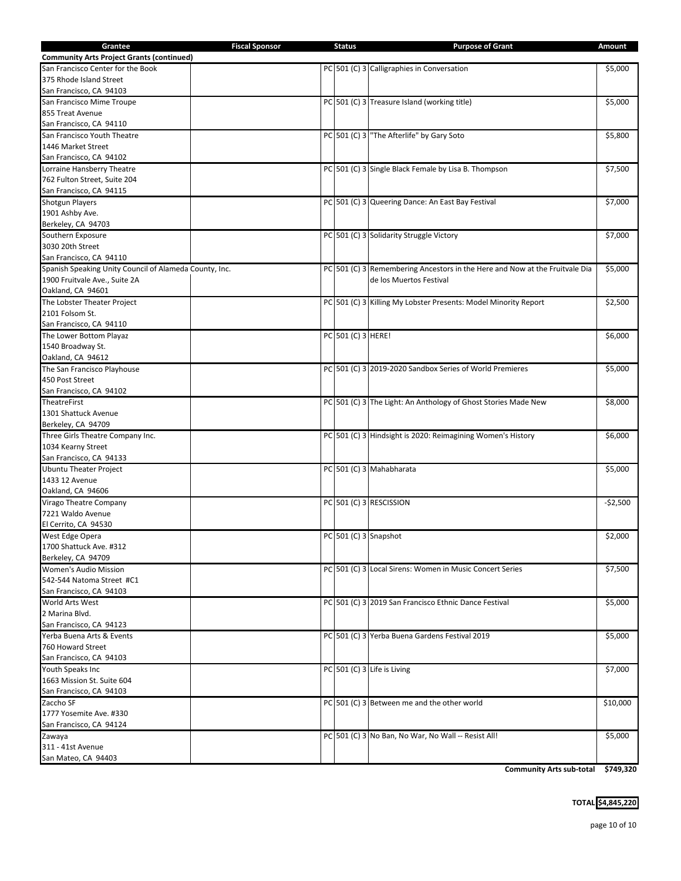| Grantee                                                | <b>Fiscal Sponsor</b> | <b>Status</b>      | <b>Purpose of Grant</b>                                                     | Amount    |
|--------------------------------------------------------|-----------------------|--------------------|-----------------------------------------------------------------------------|-----------|
| <b>Community Arts Project Grants (continued)</b>       |                       |                    |                                                                             |           |
| San Francisco Center for the Book                      |                       |                    | PC 501 (C) 3 Calligraphies in Conversation                                  | \$5,000   |
| 375 Rhode Island Street                                |                       |                    |                                                                             |           |
| San Francisco, CA 94103                                |                       |                    |                                                                             |           |
| San Francisco Mime Troupe                              |                       |                    | PC 501 (C) 3 Treasure Island (working title)                                | \$5,000   |
| 855 Treat Avenue                                       |                       |                    |                                                                             |           |
| San Francisco, CA 94110                                |                       |                    |                                                                             |           |
| San Francisco Youth Theatre                            |                       |                    | PC 501 (C) 3 The Afterlife" by Gary Soto                                    | \$5,800   |
| 1446 Market Street                                     |                       |                    |                                                                             |           |
| San Francisco, CA 94102                                |                       |                    |                                                                             |           |
| Lorraine Hansberry Theatre                             |                       |                    | PC 501 (C) 3 Single Black Female by Lisa B. Thompson                        | \$7,500   |
| 762 Fulton Street, Suite 204                           |                       |                    |                                                                             |           |
| San Francisco, CA 94115                                |                       |                    |                                                                             |           |
| <b>Shotgun Players</b>                                 |                       |                    | PC 501 (C) 3 Queering Dance: An East Bay Festival                           | \$7,000   |
| 1901 Ashby Ave.                                        |                       |                    |                                                                             |           |
| Berkeley, CA 94703                                     |                       |                    |                                                                             |           |
| Southern Exposure                                      |                       |                    | PC 501 (C) 3 Solidarity Struggle Victory                                    | \$7,000   |
| 3030 20th Street                                       |                       |                    |                                                                             |           |
| San Francisco, CA 94110                                |                       |                    |                                                                             |           |
| Spanish Speaking Unity Council of Alameda County, Inc. |                       |                    | PC 501 (C) 3 Remembering Ancestors in the Here and Now at the Fruitvale Dia | \$5,000   |
| 1900 Fruitvale Ave., Suite 2A                          |                       |                    | de los Muertos Festival                                                     |           |
| Oakland, CA 94601                                      |                       |                    |                                                                             |           |
| The Lobster Theater Project                            |                       |                    | PC 501 (C) 3 Killing My Lobster Presents: Model Minority Report             | \$2,500   |
| 2101 Folsom St.                                        |                       |                    |                                                                             |           |
| San Francisco, CA 94110                                |                       |                    |                                                                             |           |
| The Lower Bottom Playaz                                |                       | PC 501 (C) 3 HERE! |                                                                             | \$6,000   |
| 1540 Broadway St.                                      |                       |                    |                                                                             |           |
| Oakland, CA 94612                                      |                       |                    |                                                                             |           |
|                                                        |                       |                    | PC 501 (C) 3 2019-2020 Sandbox Series of World Premieres                    | \$5,000   |
| The San Francisco Playhouse                            |                       |                    |                                                                             |           |
| 450 Post Street                                        |                       |                    |                                                                             |           |
| San Francisco, CA 94102                                |                       |                    | PC 501 (C) 3 The Light: An Anthology of Ghost Stories Made New              |           |
| TheatreFirst<br>1301 Shattuck Avenue                   |                       |                    |                                                                             | \$8,000   |
| Berkeley, CA 94709                                     |                       |                    |                                                                             |           |
|                                                        |                       |                    |                                                                             | \$6,000   |
| Three Girls Theatre Company Inc.                       |                       |                    | PC 501 (C) 3 Hindsight is 2020: Reimagining Women's History                 |           |
| 1034 Kearny Street                                     |                       |                    |                                                                             |           |
| San Francisco, CA 94133                                |                       |                    |                                                                             |           |
| <b>Ubuntu Theater Project</b>                          |                       |                    | PC 501 (C) 3 Mahabharata                                                    | \$5,000   |
| 1433 12 Avenue                                         |                       |                    |                                                                             |           |
| Oakland, CA 94606                                      |                       |                    |                                                                             |           |
| Virago Theatre Company                                 |                       |                    | PC 501 (C) 3 RESCISSION                                                     | $-$2,500$ |
| 7221 Waldo Avenue                                      |                       |                    |                                                                             |           |
| El Cerrito, CA 94530                                   |                       |                    |                                                                             |           |
| West Edge Opera                                        |                       |                    | PC 501 (C) 3 Snapshot                                                       | \$2,000   |
| 1700 Shattuck Ave. #312                                |                       |                    |                                                                             |           |
| Berkeley, CA 94709                                     |                       |                    |                                                                             |           |
| Women's Audio Mission                                  |                       |                    | PC 501 (C) 3 Local Sirens: Women in Music Concert Series                    | \$7,500   |
| 542-544 Natoma Street #C1                              |                       |                    |                                                                             |           |
| San Francisco, CA 94103                                |                       |                    |                                                                             |           |
| World Arts West                                        |                       |                    | PC 501 (C) 3 2019 San Francisco Ethnic Dance Festival                       | \$5,000   |
| 2 Marina Blvd.                                         |                       |                    |                                                                             |           |
| San Francisco, CA 94123                                |                       |                    |                                                                             |           |
| Yerba Buena Arts & Events                              |                       |                    | PC 501 (C) 3 Yerba Buena Gardens Festival 2019                              | \$5,000   |
| 760 Howard Street                                      |                       |                    |                                                                             |           |
| San Francisco, CA 94103                                |                       |                    |                                                                             |           |
| Youth Speaks Inc                                       |                       |                    | PC 501 (C) 3 Life is Living                                                 | \$7,000   |
| 1663 Mission St. Suite 604                             |                       |                    |                                                                             |           |
| San Francisco, CA 94103                                |                       |                    |                                                                             |           |
| Zaccho SF                                              |                       |                    | PC 501 (C) 3 Between me and the other world                                 | \$10,000  |
| 1777 Yosemite Ave. #330                                |                       |                    |                                                                             |           |
| San Francisco, CA 94124                                |                       |                    |                                                                             |           |
| Zawaya                                                 |                       |                    | PC 501 (C) 3 No Ban, No War, No Wall -- Resist All!                         | \$5,000   |
| 311 - 41st Avenue                                      |                       |                    |                                                                             |           |
| San Mateo, CA 94403                                    |                       |                    |                                                                             |           |

**Community Arts sub-total \$749,320**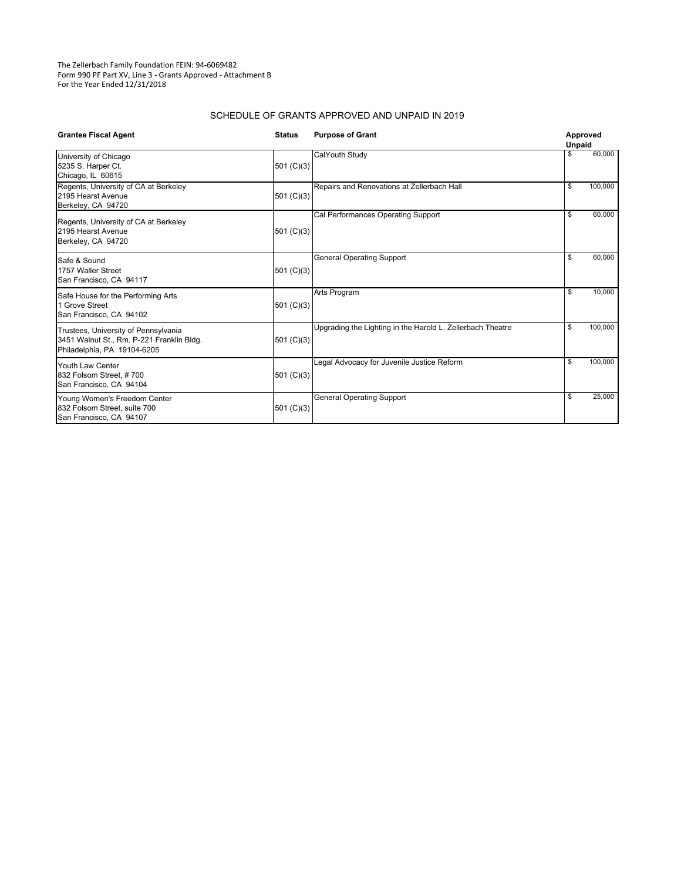The Zellerbach Family Foundation FEIN: 94‐6069482 Form 990 PF Part XV, Line 3 ‐ Grants Approved ‐ Attachment B For the Year Ended 12/31/2018

#### SCHEDULE OF GRANTS APPROVED AND UNPAID IN 2019

| <b>Grantee Fiscal Agent</b>                                                                                      | <b>Status</b> | <b>Purpose of Grant</b>                                    |    | Approved<br><b>Unpaid</b> |  |
|------------------------------------------------------------------------------------------------------------------|---------------|------------------------------------------------------------|----|---------------------------|--|
| University of Chicago<br>5235 S. Harper Ct.<br>Chicago, IL 60615                                                 | 501 $(C)(3)$  | CalYouth Study                                             | \$ | 60,000                    |  |
| Regents, University of CA at Berkeley<br>2195 Hearst Avenue<br>Berkeley, CA 94720                                | 501 $(C)(3)$  | Repairs and Renovations at Zellerbach Hall                 | \$ | 100,000                   |  |
| Regents, University of CA at Berkeley<br>2195 Hearst Avenue<br>Berkeley, CA 94720                                | 501 $(C)(3)$  | Cal Performances Operating Support                         | \$ | 60,000                    |  |
| Safe & Sound<br>1757 Waller Street<br>San Francisco, CA 94117                                                    | 501 $(C)(3)$  | <b>General Operating Support</b>                           | \$ | 60,000                    |  |
| Safe House for the Performing Arts<br>1 Grove Street<br>San Francisco, CA 94102                                  | 501 $(C)(3)$  | <b>Arts Program</b>                                        | \$ | 10,000                    |  |
| Trustees, University of Pennsylvania<br>3451 Walnut St., Rm. P-221 Franklin Bldg.<br>Philadelphia, PA 19104-6205 | 501 $(C)(3)$  | Upgrading the Lighting in the Harold L. Zellerbach Theatre | \$ | 100,000                   |  |
| Youth Law Center<br>832 Folsom Street, #700<br>San Francisco, CA 94104                                           | 501 $(C)(3)$  | Legal Advocacy for Juvenile Justice Reform                 | \$ | 100,000                   |  |
| Young Women's Freedom Center<br>832 Folsom Street, suite 700<br>San Francisco, CA 94107                          | 501 $(C)(3)$  | <b>General Operating Support</b>                           | \$ | 25,000                    |  |